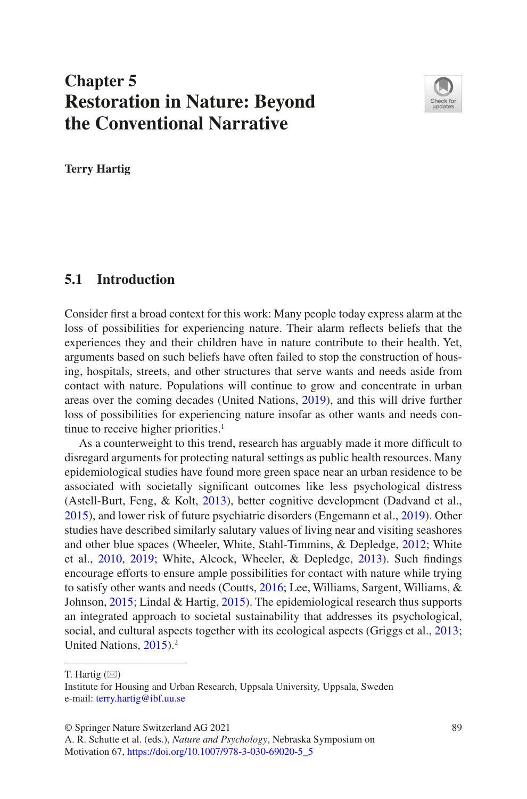# **Chapter 5 Restoration in Nature: Beyond the Conventional Narrative**



**Terry Hartig**

### **5.1 Introduction**

Consider frst a broad context for this work: Many people today express alarm at the loss of possibilities for experiencing nature. Their alarm refects beliefs that the experiences they and their children have in nature contribute to their health. Yet, arguments based on such beliefs have often failed to stop the construction of housing, hospitals, streets, and other structures that serve wants and needs aside from contact with nature. Populations will continue to grow and concentrate in urban areas over the coming decades (United Nations, [2019](#page-61-0)), and this will drive further loss of possibilities for experiencing nature insofar as other wants and needs continue to receive higher priorities.<sup>1</sup>

As a counterweight to this trend, research has arguably made it more difficult to disregard arguments for protecting natural settings as public health resources. Many epidemiological studies have found more green space near an urban residence to be associated with societally signifcant outcomes like less psychological distress (Astell-Burt, Feng, & Kolt, [2013](#page-48-0)), better cognitive development (Dadvand et al., [2015\)](#page-51-0), and lower risk of future psychiatric disorders (Engemann et al., [2019\)](#page-52-0). Other studies have described similarly salutary values of living near and visiting seashores and other blue spaces (Wheeler, White, Stahl-Timmins, & Depledge, [2012;](#page-61-1) White et al., [2010,](#page-61-2) [2019;](#page-61-3) White, Alcock, Wheeler, & Depledge, [2013\)](#page-61-4). Such fndings encourage efforts to ensure ample possibilities for contact with nature while trying to satisfy other wants and needs (Coutts, [2016](#page-51-1); Lee, Williams, Sargent, Williams, & Johnson, [2015](#page-56-0); Lindal & Hartig, [2015\)](#page-56-1). The epidemiological research thus supports an integrated approach to societal sustainability that addresses its psychological, social, and cultural aspects together with its ecological aspects (Griggs et al., [2013;](#page-53-0) United Nations, [2015\)](#page-61-5).<sup>2</sup>

© Springer Nature Switzerland AG 2021 89

T. Hartig  $(\boxtimes)$ 

Institute for Housing and Urban Research, Uppsala University, Uppsala, Sweden e-mail: [terry.hartig@ibf.uu.se](mailto:terry.hartig@ibf.uu.se)

A. R. Schutte et al. (eds.), *Nature and Psychology*, Nebraska Symposium on Motivation 67, [https://doi.org/10.1007/978-3-030-69020-5\\_5](https://doi.org/10.1007/978-3-030-69020-5_5#DOI)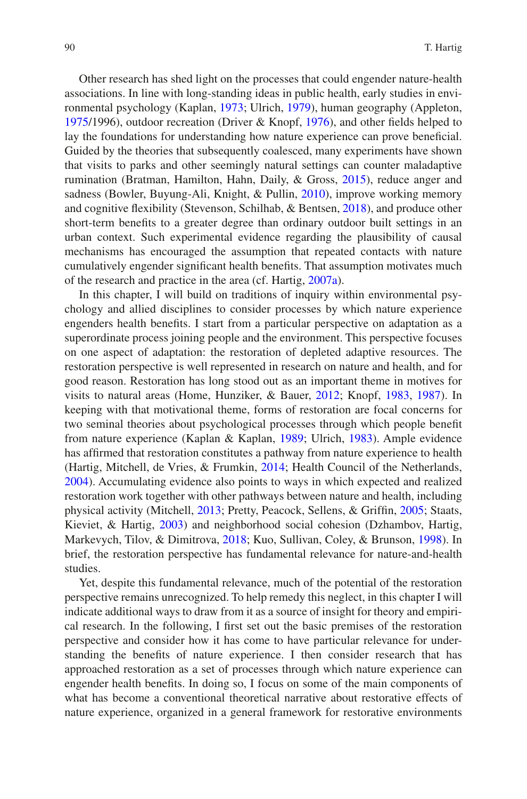Other research has shed light on the processes that could engender nature-health associations. In line with long-standing ideas in public health, early studies in environmental psychology (Kaplan, [1973](#page-55-0); Ulrich, [1979](#page-60-0)), human geography (Appleton, [1975/](#page-48-1)1996), outdoor recreation (Driver & Knopf, [1976\)](#page-51-2), and other felds helped to lay the foundations for understanding how nature experience can prove benefcial. Guided by the theories that subsequently coalesced, many experiments have shown that visits to parks and other seemingly natural settings can counter maladaptive rumination (Bratman, Hamilton, Hahn, Daily, & Gross, [2015\)](#page-49-0), reduce anger and sadness (Bowler, Buyung-Ali, Knight, & Pullin, [2010](#page-49-1)), improve working memory and cognitive fexibility (Stevenson, Schilhab, & Bentsen, [2018\)](#page-60-1), and produce other short-term benefts to a greater degree than ordinary outdoor built settings in an urban context. Such experimental evidence regarding the plausibility of causal mechanisms has encouraged the assumption that repeated contacts with nature cumulatively engender signifcant health benefts. That assumption motivates much of the research and practice in the area (cf. Hartig, [2007a\)](#page-53-1).

In this chapter, I will build on traditions of inquiry within environmental psychology and allied disciplines to consider processes by which nature experience engenders health benefts. I start from a particular perspective on adaptation as a superordinate process joining people and the environment. This perspective focuses on one aspect of adaptation: the restoration of depleted adaptive resources. The restoration perspective is well represented in research on nature and health, and for good reason. Restoration has long stood out as an important theme in motives for visits to natural areas (Home, Hunziker, & Bauer, [2012](#page-54-0); Knopf, [1983,](#page-56-2) [1987\)](#page-56-3). In keeping with that motivational theme, forms of restoration are focal concerns for two seminal theories about psychological processes through which people beneft from nature experience (Kaplan & Kaplan, [1989](#page-55-1); Ulrich, [1983\)](#page-60-2). Ample evidence has affrmed that restoration constitutes a pathway from nature experience to health (Hartig, Mitchell, de Vries, & Frumkin, [2014;](#page-54-1) Health Council of the Netherlands, [2004\)](#page-54-2). Accumulating evidence also points to ways in which expected and realized restoration work together with other pathways between nature and health, including physical activity (Mitchell, [2013;](#page-57-0) Pretty, Peacock, Sellens, & Griffn, [2005;](#page-58-0) Staats, Kieviet, & Hartig, [2003](#page-59-0)) and neighborhood social cohesion (Dzhambov, Hartig, Markevych, Tilov, & Dimitrova, [2018;](#page-51-3) Kuo, Sullivan, Coley, & Brunson, [1998\)](#page-56-4). In brief, the restoration perspective has fundamental relevance for nature-and-health studies.

Yet, despite this fundamental relevance, much of the potential of the restoration perspective remains unrecognized. To help remedy this neglect, in this chapter I will indicate additional ways to draw from it as a source of insight for theory and empirical research. In the following, I frst set out the basic premises of the restoration perspective and consider how it has come to have particular relevance for understanding the benefts of nature experience. I then consider research that has approached restoration as a set of processes through which nature experience can engender health benefts. In doing so, I focus on some of the main components of what has become a conventional theoretical narrative about restorative effects of nature experience, organized in a general framework for restorative environments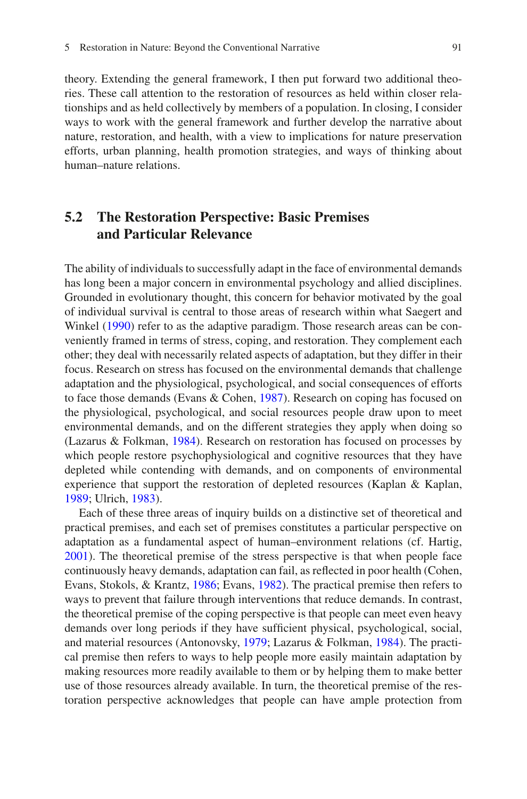theory. Extending the general framework, I then put forward two additional theories. These call attention to the restoration of resources as held within closer relationships and as held collectively by members of a population. In closing, I consider ways to work with the general framework and further develop the narrative about nature, restoration, and health, with a view to implications for nature preservation efforts, urban planning, health promotion strategies, and ways of thinking about human–nature relations.

# **5.2 The Restoration Perspective: Basic Premises and Particular Relevance**

The ability of individuals to successfully adapt in the face of environmental demands has long been a major concern in environmental psychology and allied disciplines. Grounded in evolutionary thought, this concern for behavior motivated by the goal of individual survival is central to those areas of research within what Saegert and Winkel ([1990\)](#page-59-1) refer to as the adaptive paradigm. Those research areas can be conveniently framed in terms of stress, coping, and restoration. They complement each other; they deal with necessarily related aspects of adaptation, but they differ in their focus. Research on stress has focused on the environmental demands that challenge adaptation and the physiological, psychological, and social consequences of efforts to face those demands (Evans & Cohen, [1987](#page-52-1)). Research on coping has focused on the physiological, psychological, and social resources people draw upon to meet environmental demands, and on the different strategies they apply when doing so (Lazarus & Folkman, [1984\)](#page-56-5). Research on restoration has focused on processes by which people restore psychophysiological and cognitive resources that they have depleted while contending with demands, and on components of environmental experience that support the restoration of depleted resources (Kaplan & Kaplan, [1989;](#page-55-1) Ulrich, [1983\)](#page-60-2).

Each of these three areas of inquiry builds on a distinctive set of theoretical and practical premises, and each set of premises constitutes a particular perspective on adaptation as a fundamental aspect of human–environment relations (cf. Hartig, [2001\)](#page-53-2). The theoretical premise of the stress perspective is that when people face continuously heavy demands, adaptation can fail, as refected in poor health (Cohen, Evans, Stokols, & Krantz, [1986;](#page-50-0) Evans, [1982](#page-52-2)). The practical premise then refers to ways to prevent that failure through interventions that reduce demands. In contrast, the theoretical premise of the coping perspective is that people can meet even heavy demands over long periods if they have sufficient physical, psychological, social, and material resources (Antonovsky, [1979;](#page-48-2) Lazarus & Folkman, [1984](#page-56-5)). The practical premise then refers to ways to help people more easily maintain adaptation by making resources more readily available to them or by helping them to make better use of those resources already available. In turn, the theoretical premise of the restoration perspective acknowledges that people can have ample protection from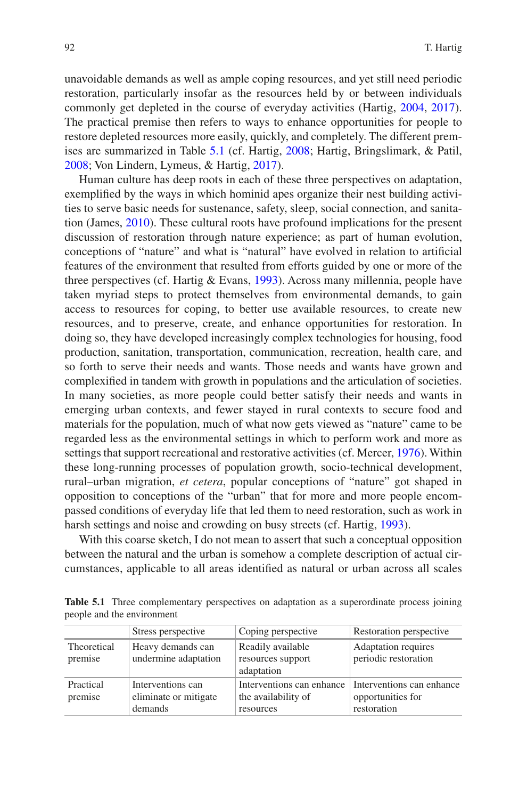unavoidable demands as well as ample coping resources, and yet still need periodic restoration, particularly insofar as the resources held by or between individuals commonly get depleted in the course of everyday activities (Hartig, [2004,](#page-53-3) [2017\)](#page-53-4). The practical premise then refers to ways to enhance opportunities for people to restore depleted resources more easily, quickly, and completely. The different premises are summarized in Table [5.1](#page-3-0) (cf. Hartig, [2008;](#page-53-5) Hartig, Bringslimark, & Patil, [2008;](#page-53-6) Von Lindern, Lymeus, & Hartig, [2017](#page-61-6)).

Human culture has deep roots in each of these three perspectives on adaptation, exemplifed by the ways in which hominid apes organize their nest building activities to serve basic needs for sustenance, safety, sleep, social connection, and sanitation (James, [2010\)](#page-55-2). These cultural roots have profound implications for the present discussion of restoration through nature experience; as part of human evolution, conceptions of "nature" and what is "natural" have evolved in relation to artifcial features of the environment that resulted from efforts guided by one or more of the three perspectives (cf. Hartig & Evans, [1993\)](#page-53-7). Across many millennia, people have taken myriad steps to protect themselves from environmental demands, to gain access to resources for coping, to better use available resources, to create new resources, and to preserve, create, and enhance opportunities for restoration. In doing so, they have developed increasingly complex technologies for housing, food production, sanitation, transportation, communication, recreation, health care, and so forth to serve their needs and wants. Those needs and wants have grown and complexifed in tandem with growth in populations and the articulation of societies. In many societies, as more people could better satisfy their needs and wants in emerging urban contexts, and fewer stayed in rural contexts to secure food and materials for the population, much of what now gets viewed as "nature" came to be regarded less as the environmental settings in which to perform work and more as settings that support recreational and restorative activities (cf. Mercer, [1976\)](#page-57-1). Within these long-running processes of population growth, socio-technical development, rural–urban migration, *et cetera*, popular conceptions of "nature" got shaped in opposition to conceptions of the "urban" that for more and more people encompassed conditions of everyday life that led them to need restoration, such as work in harsh settings and noise and crowding on busy streets (cf. Hartig, [1993\)](#page-53-8).

With this coarse sketch, I do not mean to assert that such a conceptual opposition between the natural and the urban is somehow a complete description of actual circumstances, applicable to all areas identifed as natural or urban across all scales

<span id="page-3-0"></span>Table 5.1 Three complementary perspectives on adaptation as a superordinate process joining people and the environment

|                        | Stress perspective                                    | Coping perspective                                            | Restoration perspective                                       |
|------------------------|-------------------------------------------------------|---------------------------------------------------------------|---------------------------------------------------------------|
| Theoretical<br>premise | Heavy demands can<br>undermine adaptation             | Readily available<br>resources support<br>adaptation          | Adaptation requires<br>periodic restoration                   |
| Practical<br>premise   | Interventions can<br>eliminate or mitigate<br>demands | Interventions can enhance<br>the availability of<br>resources | Interventions can enhance<br>opportunities for<br>restoration |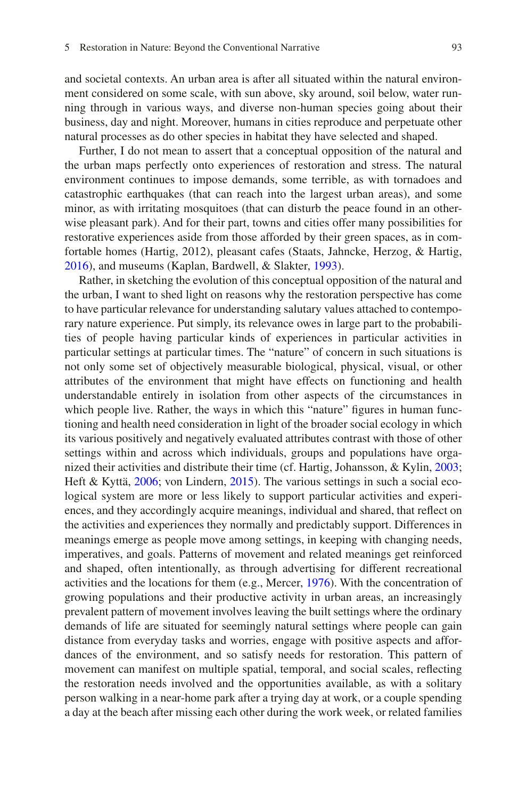and societal contexts. An urban area is after all situated within the natural environment considered on some scale, with sun above, sky around, soil below, water running through in various ways, and diverse non-human species going about their business, day and night. Moreover, humans in cities reproduce and perpetuate other natural processes as do other species in habitat they have selected and shaped.

Further, I do not mean to assert that a conceptual opposition of the natural and the urban maps perfectly onto experiences of restoration and stress. The natural environment continues to impose demands, some terrible, as with tornadoes and catastrophic earthquakes (that can reach into the largest urban areas), and some minor, as with irritating mosquitoes (that can disturb the peace found in an otherwise pleasant park). And for their part, towns and cities offer many possibilities for restorative experiences aside from those afforded by their green spaces, as in comfortable homes (Hartig, 2012), pleasant cafes (Staats, Jahncke, Herzog, & Hartig, [2016\)](#page-59-2), and museums (Kaplan, Bardwell, & Slakter, [1993](#page-55-3)).

Rather, in sketching the evolution of this conceptual opposition of the natural and the urban, I want to shed light on reasons why the restoration perspective has come to have particular relevance for understanding salutary values attached to contemporary nature experience. Put simply, its relevance owes in large part to the probabilities of people having particular kinds of experiences in particular activities in particular settings at particular times. The "nature" of concern in such situations is not only some set of objectively measurable biological, physical, visual, or other attributes of the environment that might have effects on functioning and health understandable entirely in isolation from other aspects of the circumstances in which people live. Rather, the ways in which this "nature" figures in human functioning and health need consideration in light of the broader social ecology in which its various positively and negatively evaluated attributes contrast with those of other settings within and across which individuals, groups and populations have organized their activities and distribute their time (cf. Hartig, Johansson, & Kylin, [2003;](#page-54-3) Heft & Kyttä, [2006;](#page-54-4) von Lindern, [2015\)](#page-61-7). The various settings in such a social ecological system are more or less likely to support particular activities and experiences, and they accordingly acquire meanings, individual and shared, that refect on the activities and experiences they normally and predictably support. Differences in meanings emerge as people move among settings, in keeping with changing needs, imperatives, and goals. Patterns of movement and related meanings get reinforced and shaped, often intentionally, as through advertising for different recreational activities and the locations for them (e.g., Mercer, [1976](#page-57-1)). With the concentration of growing populations and their productive activity in urban areas, an increasingly prevalent pattern of movement involves leaving the built settings where the ordinary demands of life are situated for seemingly natural settings where people can gain distance from everyday tasks and worries, engage with positive aspects and affordances of the environment, and so satisfy needs for restoration. This pattern of movement can manifest on multiple spatial, temporal, and social scales, refecting the restoration needs involved and the opportunities available, as with a solitary person walking in a near-home park after a trying day at work, or a couple spending a day at the beach after missing each other during the work week, or related families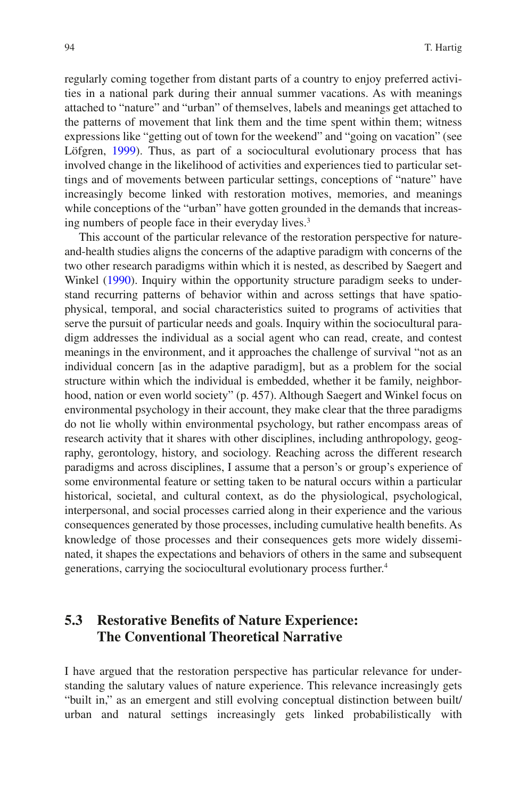regularly coming together from distant parts of a country to enjoy preferred activities in a national park during their annual summer vacations. As with meanings attached to "nature" and "urban" of themselves, labels and meanings get attached to the patterns of movement that link them and the time spent within them; witness expressions like "getting out of town for the weekend" and "going on vacation" (see Löfgren, [1999](#page-57-2)). Thus, as part of a sociocultural evolutionary process that has involved change in the likelihood of activities and experiences tied to particular settings and of movements between particular settings, conceptions of "nature" have increasingly become linked with restoration motives, memories, and meanings while conceptions of the "urban" have gotten grounded in the demands that increasing numbers of people face in their everyday lives.<sup>3</sup>

This account of the particular relevance of the restoration perspective for natureand-health studies aligns the concerns of the adaptive paradigm with concerns of the two other research paradigms within which it is nested, as described by Saegert and Winkel [\(1990](#page-59-1)). Inquiry within the opportunity structure paradigm seeks to understand recurring patterns of behavior within and across settings that have spatiophysical, temporal, and social characteristics suited to programs of activities that serve the pursuit of particular needs and goals. Inquiry within the sociocultural paradigm addresses the individual as a social agent who can read, create, and contest meanings in the environment, and it approaches the challenge of survival "not as an individual concern [as in the adaptive paradigm], but as a problem for the social structure within which the individual is embedded, whether it be family, neighborhood, nation or even world society" (p. 457). Although Saegert and Winkel focus on environmental psychology in their account, they make clear that the three paradigms do not lie wholly within environmental psychology, but rather encompass areas of research activity that it shares with other disciplines, including anthropology, geography, gerontology, history, and sociology. Reaching across the different research paradigms and across disciplines, I assume that a person's or group's experience of some environmental feature or setting taken to be natural occurs within a particular historical, societal, and cultural context, as do the physiological, psychological, interpersonal, and social processes carried along in their experience and the various consequences generated by those processes, including cumulative health benefts. As knowledge of those processes and their consequences gets more widely disseminated, it shapes the expectations and behaviors of others in the same and subsequent generations, carrying the sociocultural evolutionary process further.4

# **5.3 Restorative Benefts of Nature Experience: The Conventional Theoretical Narrative**

I have argued that the restoration perspective has particular relevance for understanding the salutary values of nature experience. This relevance increasingly gets "built in," as an emergent and still evolving conceptual distinction between built/ urban and natural settings increasingly gets linked probabilistically with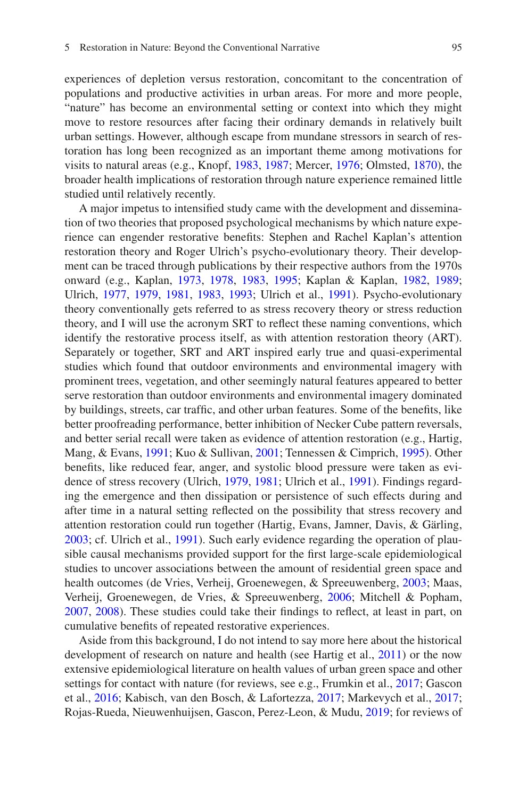experiences of depletion versus restoration, concomitant to the concentration of populations and productive activities in urban areas. For more and more people, "nature" has become an environmental setting or context into which they might move to restore resources after facing their ordinary demands in relatively built urban settings. However, although escape from mundane stressors in search of restoration has long been recognized as an important theme among motivations for visits to natural areas (e.g., Knopf, [1983,](#page-56-2) [1987;](#page-56-3) Mercer, [1976](#page-57-1); Olmsted, [1870\)](#page-58-1), the broader health implications of restoration through nature experience remained little studied until relatively recently.

A major impetus to intensifed study came with the development and dissemination of two theories that proposed psychological mechanisms by which nature experience can engender restorative benefts: Stephen and Rachel Kaplan's attention restoration theory and Roger Ulrich's psycho-evolutionary theory. Their development can be traced through publications by their respective authors from the 1970s onward (e.g., Kaplan, [1973](#page-55-0), [1978,](#page-55-4) [1983,](#page-55-5) [1995](#page-55-6); Kaplan & Kaplan, [1982](#page-55-7), [1989;](#page-55-1) Ulrich, [1977,](#page-60-3) [1979,](#page-60-0) [1981](#page-60-4), [1983](#page-60-2), [1993;](#page-61-8) Ulrich et al., [1991\)](#page-61-9). Psycho-evolutionary theory conventionally gets referred to as stress recovery theory or stress reduction theory, and I will use the acronym SRT to refect these naming conventions, which identify the restorative process itself, as with attention restoration theory (ART). Separately or together, SRT and ART inspired early true and quasi-experimental studies which found that outdoor environments and environmental imagery with prominent trees, vegetation, and other seemingly natural features appeared to better serve restoration than outdoor environments and environmental imagery dominated by buildings, streets, car traffc, and other urban features. Some of the benefts, like better proofreading performance, better inhibition of Necker Cube pattern reversals, and better serial recall were taken as evidence of attention restoration (e.g., Hartig, Mang, & Evans, [1991](#page-54-5); Kuo & Sullivan, [2001](#page-56-6); Tennessen & Cimprich, [1995\)](#page-60-5). Other benefts, like reduced fear, anger, and systolic blood pressure were taken as evidence of stress recovery (Ulrich, [1979](#page-60-0), [1981](#page-60-4); Ulrich et al., [1991\)](#page-61-9). Findings regarding the emergence and then dissipation or persistence of such effects during and after time in a natural setting refected on the possibility that stress recovery and attention restoration could run together (Hartig, Evans, Jamner, Davis, & Gärling, [2003;](#page-54-6) cf. Ulrich et al., [1991\)](#page-61-9). Such early evidence regarding the operation of plausible causal mechanisms provided support for the frst large-scale epidemiological studies to uncover associations between the amount of residential green space and health outcomes (de Vries, Verheij, Groenewegen, & Spreeuwenberg, [2003;](#page-51-4) Maas, Verheij, Groenewegen, de Vries, & Spreeuwenberg, [2006](#page-57-3); Mitchell & Popham, [2007,](#page-57-4) [2008\)](#page-57-5). These studies could take their fndings to refect, at least in part, on cumulative benefts of repeated restorative experiences.

Aside from this background, I do not intend to say more here about the historical development of research on nature and health (see Hartig et al., [2011](#page-54-7)) or the now extensive epidemiological literature on health values of urban green space and other settings for contact with nature (for reviews, see e.g., Frumkin et al., [2017](#page-52-3); Gascon et al., [2016;](#page-52-4) Kabisch, van den Bosch, & Lafortezza, [2017;](#page-55-8) Markevych et al., [2017;](#page-57-6) Rojas-Rueda, Nieuwenhuijsen, Gascon, Perez-Leon, & Mudu, [2019](#page-58-2); for reviews of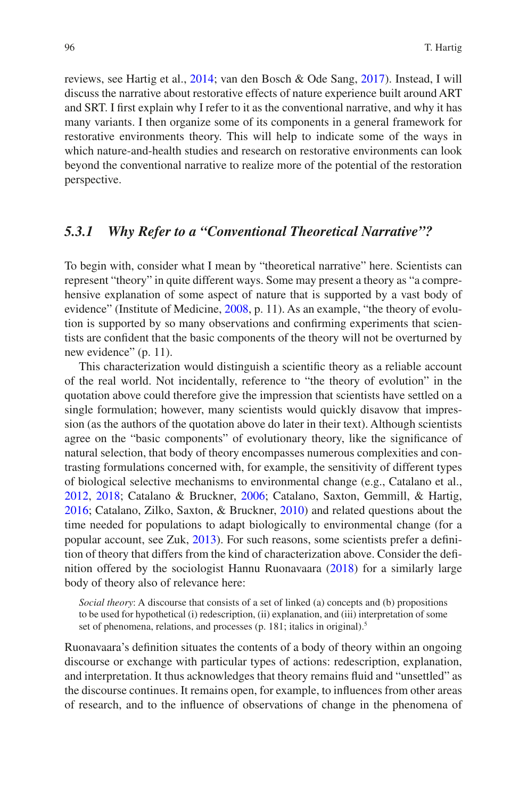reviews, see Hartig et al., [2014](#page-54-1); van den Bosch & Ode Sang, [2017](#page-61-10)). Instead, I will discuss the narrative about restorative effects of nature experience built around ART and SRT. I frst explain why I refer to it as the conventional narrative, and why it has many variants. I then organize some of its components in a general framework for restorative environments theory. This will help to indicate some of the ways in which nature-and-health studies and research on restorative environments can look beyond the conventional narrative to realize more of the potential of the restoration perspective.

### *5.3.1 Why Refer to a "Conventional Theoretical Narrative"?*

To begin with, consider what I mean by "theoretical narrative" here. Scientists can represent "theory" in quite different ways. Some may present a theory as "a comprehensive explanation of some aspect of nature that is supported by a vast body of evidence" (Institute of Medicine, [2008](#page-54-8), p. 11). As an example, "the theory of evolution is supported by so many observations and confrming experiments that scientists are confdent that the basic components of the theory will not be overturned by new evidence" (p. 11).

This characterization would distinguish a scientifc theory as a reliable account of the real world. Not incidentally, reference to "the theory of evolution" in the quotation above could therefore give the impression that scientists have settled on a single formulation; however, many scientists would quickly disavow that impression (as the authors of the quotation above do later in their text). Although scientists agree on the "basic components" of evolutionary theory, like the signifcance of natural selection, that body of theory encompasses numerous complexities and contrasting formulations concerned with, for example, the sensitivity of different types of biological selective mechanisms to environmental change (e.g., Catalano et al., [2012,](#page-50-1) [2018](#page-50-2); Catalano & Bruckner, [2006](#page-50-3); Catalano, Saxton, Gemmill, & Hartig, [2016;](#page-50-4) Catalano, Zilko, Saxton, & Bruckner, [2010\)](#page-50-5) and related questions about the time needed for populations to adapt biologically to environmental change (for a popular account, see Zuk, [2013\)](#page-62-0). For such reasons, some scientists prefer a defnition of theory that differs from the kind of characterization above. Consider the defnition offered by the sociologist Hannu Ruonavaara [\(2018](#page-58-3)) for a similarly large body of theory also of relevance here:

*Social theory*: A discourse that consists of a set of linked (a) concepts and (b) propositions to be used for hypothetical (i) redescription, (ii) explanation, and (iii) interpretation of some set of phenomena, relations, and processes (p. 181; italics in original).<sup>5</sup>

Ruonavaara's defnition situates the contents of a body of theory within an ongoing discourse or exchange with particular types of actions: redescription, explanation, and interpretation. It thus acknowledges that theory remains fuid and "unsettled" as the discourse continues. It remains open, for example, to infuences from other areas of research, and to the infuence of observations of change in the phenomena of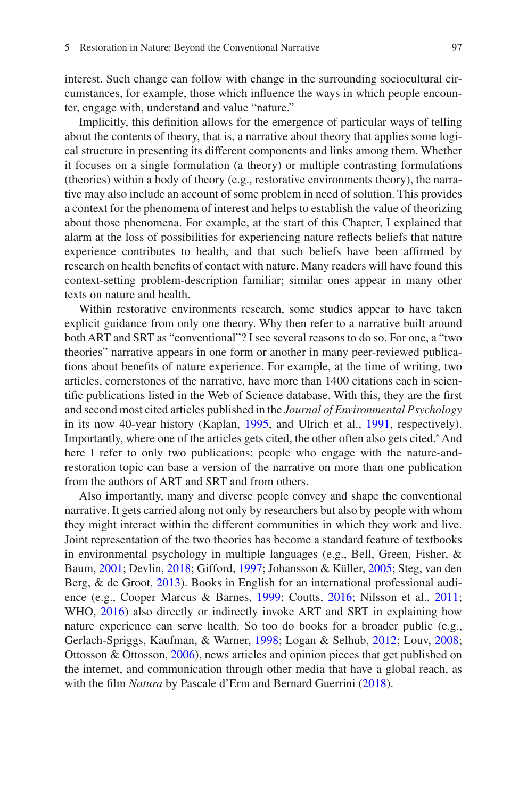interest. Such change can follow with change in the surrounding sociocultural circumstances, for example, those which infuence the ways in which people encounter, engage with, understand and value "nature."

Implicitly, this defnition allows for the emergence of particular ways of telling about the contents of theory, that is, a narrative about theory that applies some logical structure in presenting its different components and links among them. Whether it focuses on a single formulation (a theory) or multiple contrasting formulations (theories) within a body of theory (e.g., restorative environments theory), the narrative may also include an account of some problem in need of solution. This provides a context for the phenomena of interest and helps to establish the value of theorizing about those phenomena. For example, at the start of this Chapter, I explained that alarm at the loss of possibilities for experiencing nature refects beliefs that nature experience contributes to health, and that such beliefs have been affrmed by research on health benefts of contact with nature. Many readers will have found this context-setting problem-description familiar; similar ones appear in many other texts on nature and health.

Within restorative environments research, some studies appear to have taken explicit guidance from only one theory. Why then refer to a narrative built around both ART and SRT as "conventional"? I see several reasons to do so. For one, a "two theories" narrative appears in one form or another in many peer-reviewed publications about benefts of nature experience. For example, at the time of writing, two articles, cornerstones of the narrative, have more than 1400 citations each in scientifc publications listed in the Web of Science database. With this, they are the frst and second most cited articles published in the *Journal of Environmental Psychology* in its now 40-year history (Kaplan, [1995](#page-55-6), and Ulrich et al., [1991](#page-61-9), respectively). Importantly, where one of the articles gets cited, the other often also gets cited.<sup>6</sup> And here I refer to only two publications; people who engage with the nature-andrestoration topic can base a version of the narrative on more than one publication from the authors of ART and SRT and from others.

Also importantly, many and diverse people convey and shape the conventional narrative. It gets carried along not only by researchers but also by people with whom they might interact within the different communities in which they work and live. Joint representation of the two theories has become a standard feature of textbooks in environmental psychology in multiple languages (e.g., Bell, Green, Fisher, & Baum, [2001;](#page-49-2) Devlin, [2018](#page-51-5); Gifford, [1997;](#page-52-5) Johansson & Küller, [2005](#page-55-9); Steg, van den Berg, & de Groot, [2013\)](#page-60-6). Books in English for an international professional audience (e.g., Cooper Marcus & Barnes, [1999](#page-51-6); Coutts, [2016;](#page-51-1) Nilsson et al., [2011;](#page-57-7) WHO, [2016\)](#page-62-1) also directly or indirectly invoke ART and SRT in explaining how nature experience can serve health. So too do books for a broader public (e.g., Gerlach-Spriggs, Kaufman, & Warner, [1998](#page-52-6); Logan & Selhub, [2012;](#page-57-8) Louv, [2008;](#page-57-9) Ottosson & Ottosson, [2006\)](#page-58-4), news articles and opinion pieces that get published on the internet, and communication through other media that have a global reach, as with the flm *Natura* by Pascale d'Erm and Bernard Guerrini [\(2018](#page-51-7)).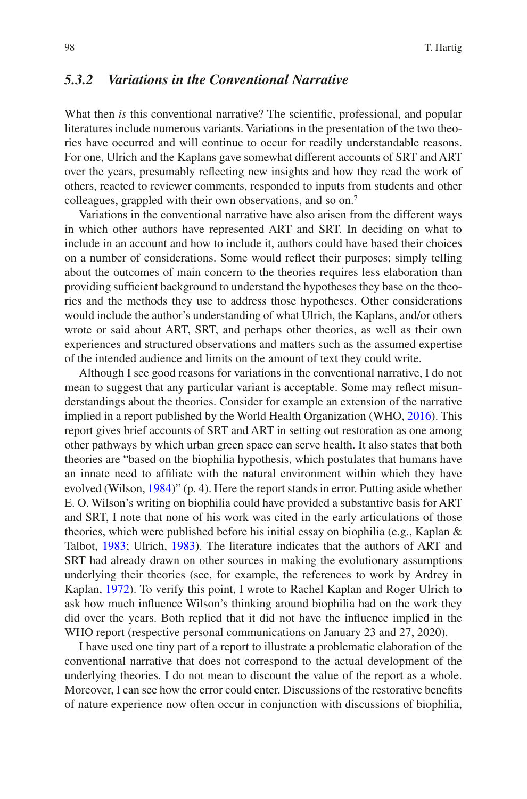## *5.3.2 Variations in the Conventional Narrative*

What then *is* this conventional narrative? The scientific, professional, and popular literatures include numerous variants. Variations in the presentation of the two theories have occurred and will continue to occur for readily understandable reasons. For one, Ulrich and the Kaplans gave somewhat different accounts of SRT and ART over the years, presumably refecting new insights and how they read the work of others, reacted to reviewer comments, responded to inputs from students and other colleagues, grappled with their own observations, and so on.7

Variations in the conventional narrative have also arisen from the different ways in which other authors have represented ART and SRT. In deciding on what to include in an account and how to include it, authors could have based their choices on a number of considerations. Some would refect their purposes; simply telling about the outcomes of main concern to the theories requires less elaboration than providing suffcient background to understand the hypotheses they base on the theories and the methods they use to address those hypotheses. Other considerations would include the author's understanding of what Ulrich, the Kaplans, and/or others wrote or said about ART, SRT, and perhaps other theories, as well as their own experiences and structured observations and matters such as the assumed expertise of the intended audience and limits on the amount of text they could write.

Although I see good reasons for variations in the conventional narrative, I do not mean to suggest that any particular variant is acceptable. Some may refect misunderstandings about the theories. Consider for example an extension of the narrative implied in a report published by the World Health Organization (WHO, [2016\)](#page-62-1). This report gives brief accounts of SRT and ART in setting out restoration as one among other pathways by which urban green space can serve health. It also states that both theories are "based on the biophilia hypothesis, which postulates that humans have an innate need to affliate with the natural environment within which they have evolved (Wilson, [1984](#page-62-2))" (p. 4). Here the report stands in error. Putting aside whether E. O. Wilson's writing on biophilia could have provided a substantive basis for ART and SRT, I note that none of his work was cited in the early articulations of those theories, which were published before his initial essay on biophilia (e.g., Kaplan & Talbot, [1983](#page-55-10); Ulrich, [1983\)](#page-60-2). The literature indicates that the authors of ART and SRT had already drawn on other sources in making the evolutionary assumptions underlying their theories (see, for example, the references to work by Ardrey in Kaplan, [1972](#page-55-11)). To verify this point, I wrote to Rachel Kaplan and Roger Ulrich to ask how much infuence Wilson's thinking around biophilia had on the work they did over the years. Both replied that it did not have the infuence implied in the WHO report (respective personal communications on January 23 and 27, 2020).

I have used one tiny part of a report to illustrate a problematic elaboration of the conventional narrative that does not correspond to the actual development of the underlying theories. I do not mean to discount the value of the report as a whole. Moreover, I can see how the error could enter. Discussions of the restorative benefts of nature experience now often occur in conjunction with discussions of biophilia,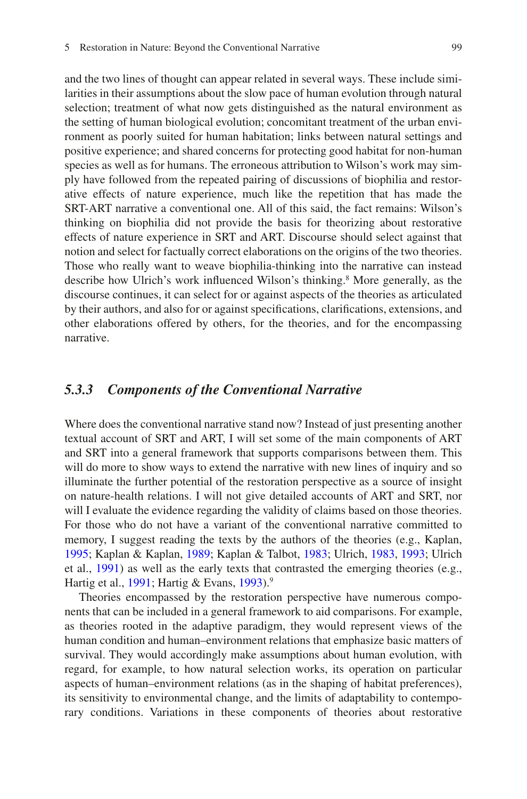and the two lines of thought can appear related in several ways. These include similarities in their assumptions about the slow pace of human evolution through natural selection; treatment of what now gets distinguished as the natural environment as the setting of human biological evolution; concomitant treatment of the urban environment as poorly suited for human habitation; links between natural settings and positive experience; and shared concerns for protecting good habitat for non-human species as well as for humans. The erroneous attribution to Wilson's work may simply have followed from the repeated pairing of discussions of biophilia and restorative effects of nature experience, much like the repetition that has made the SRT-ART narrative a conventional one. All of this said, the fact remains: Wilson's thinking on biophilia did not provide the basis for theorizing about restorative effects of nature experience in SRT and ART. Discourse should select against that notion and select for factually correct elaborations on the origins of the two theories. Those who really want to weave biophilia-thinking into the narrative can instead describe how Ulrich's work influenced Wilson's thinking.<sup>8</sup> More generally, as the discourse continues, it can select for or against aspects of the theories as articulated by their authors, and also for or against specifcations, clarifcations, extensions, and other elaborations offered by others, for the theories, and for the encompassing narrative.

### *5.3.3 Components of the Conventional Narrative*

Where does the conventional narrative stand now? Instead of just presenting another textual account of SRT and ART, I will set some of the main components of ART and SRT into a general framework that supports comparisons between them. This will do more to show ways to extend the narrative with new lines of inquiry and so illuminate the further potential of the restoration perspective as a source of insight on nature-health relations. I will not give detailed accounts of ART and SRT, nor will I evaluate the evidence regarding the validity of claims based on those theories. For those who do not have a variant of the conventional narrative committed to memory, I suggest reading the texts by the authors of the theories (e.g., Kaplan, [1995;](#page-55-6) Kaplan & Kaplan, [1989](#page-55-1); Kaplan & Talbot, [1983](#page-55-10); Ulrich, [1983](#page-60-2), [1993;](#page-61-8) Ulrich et al., [1991\)](#page-61-9) as well as the early texts that contrasted the emerging theories (e.g., Hartig et al., [1991](#page-54-5); Hartig & Evans, [1993](#page-53-7)).9

Theories encompassed by the restoration perspective have numerous components that can be included in a general framework to aid comparisons. For example, as theories rooted in the adaptive paradigm, they would represent views of the human condition and human–environment relations that emphasize basic matters of survival. They would accordingly make assumptions about human evolution, with regard, for example, to how natural selection works, its operation on particular aspects of human–environment relations (as in the shaping of habitat preferences), its sensitivity to environmental change, and the limits of adaptability to contemporary conditions. Variations in these components of theories about restorative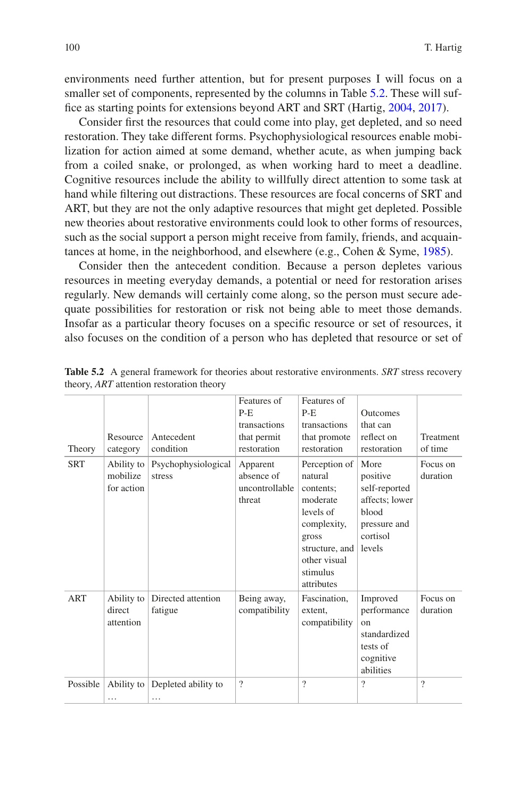environments need further attention, but for present purposes I will focus on a smaller set of components, represented by the columns in Table [5.2](#page-11-0). These will suf-fice as starting points for extensions beyond ART and SRT (Hartig, [2004](#page-53-3), [2017](#page-53-4)).

Consider frst the resources that could come into play, get depleted, and so need restoration. They take different forms. Psychophysiological resources enable mobilization for action aimed at some demand, whether acute, as when jumping back from a coiled snake, or prolonged, as when working hard to meet a deadline. Cognitive resources include the ability to willfully direct attention to some task at hand while fltering out distractions. These resources are focal concerns of SRT and ART, but they are not the only adaptive resources that might get depleted. Possible new theories about restorative environments could look to other forms of resources, such as the social support a person might receive from family, friends, and acquaintances at home, in the neighborhood, and elsewhere (e.g., Cohen & Syme, [1985](#page-50-6)).

Consider then the antecedent condition. Because a person depletes various resources in meeting everyday demands, a potential or need for restoration arises regularly. New demands will certainly come along, so the person must secure adequate possibilities for restoration or risk not being able to meet those demands. Insofar as a particular theory focuses on a specifc resource or set of resources, it also focuses on the condition of a person who has depleted that resource or set of

| Theory     | Resource<br>category                 | Antecedent<br>condition       | Features of<br>$P-E$<br>transactions<br>that permit<br>restoration | Features of<br>$P-E$<br>transactions<br>that promote<br>restoration                                                                                | <b>Outcomes</b><br>that can<br>reflect on<br>restoration                                           | Treatment<br>of time |
|------------|--------------------------------------|-------------------------------|--------------------------------------------------------------------|----------------------------------------------------------------------------------------------------------------------------------------------------|----------------------------------------------------------------------------------------------------|----------------------|
| <b>SRT</b> | Ability to<br>mobilize<br>for action | Psychophysiological<br>stress | Apparent<br>absence of<br>uncontrollable<br>threat                 | Perception of<br>natural<br>contents;<br>moderate<br>levels of<br>complexity,<br>gross<br>structure, and<br>other visual<br>stimulus<br>attributes | More<br>positive<br>self-reported<br>affects; lower<br>blood<br>pressure and<br>cortisol<br>levels | Focus on<br>duration |
| ART        | Ability to<br>direct<br>attention    | Directed attention<br>fatigue | Being away,<br>compatibility                                       | Fascination,<br>extent,<br>compatibility                                                                                                           | Improved<br>performance<br>on<br>standardized<br>tests of<br>cognitive<br>abilities                | Focus on<br>duration |
| Possible   | Ability to<br>.                      | Depleted ability to<br>.      | $\gamma$                                                           | $\gamma$                                                                                                                                           | $\gamma$                                                                                           | $\gamma$             |

<span id="page-11-0"></span>**Table 5.2** A general framework for theories about restorative environments. *SRT* stress recovery theory, *ART* attention restoration theory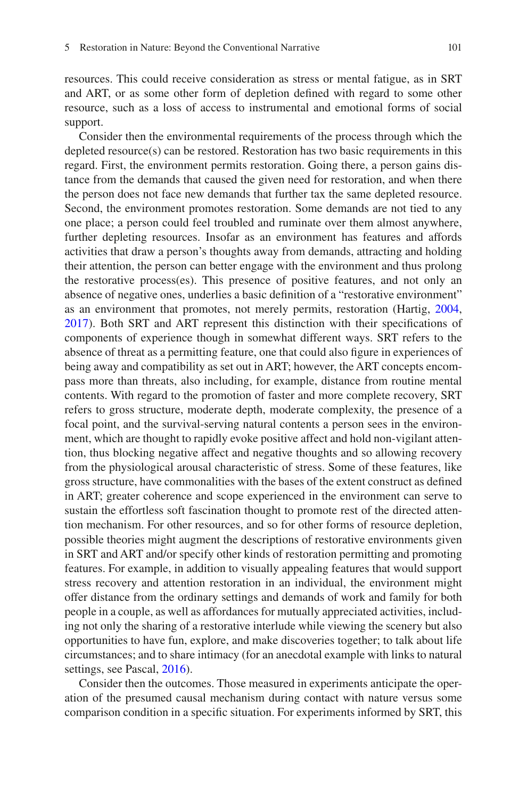resources. This could receive consideration as stress or mental fatigue, as in SRT and ART, or as some other form of depletion defned with regard to some other resource, such as a loss of access to instrumental and emotional forms of social support.

Consider then the environmental requirements of the process through which the depleted resource(s) can be restored. Restoration has two basic requirements in this regard. First, the environment permits restoration. Going there, a person gains distance from the demands that caused the given need for restoration, and when there the person does not face new demands that further tax the same depleted resource. Second, the environment promotes restoration. Some demands are not tied to any one place; a person could feel troubled and ruminate over them almost anywhere, further depleting resources. Insofar as an environment has features and affords activities that draw a person's thoughts away from demands, attracting and holding their attention, the person can better engage with the environment and thus prolong the restorative process(es). This presence of positive features, and not only an absence of negative ones, underlies a basic defnition of a "restorative environment" as an environment that promotes, not merely permits, restoration (Hartig, [2004,](#page-53-3) [2017\)](#page-53-4). Both SRT and ART represent this distinction with their specifcations of components of experience though in somewhat different ways. SRT refers to the absence of threat as a permitting feature, one that could also fgure in experiences of being away and compatibility as set out in ART; however, the ART concepts encompass more than threats, also including, for example, distance from routine mental contents. With regard to the promotion of faster and more complete recovery, SRT refers to gross structure, moderate depth, moderate complexity, the presence of a focal point, and the survival-serving natural contents a person sees in the environment, which are thought to rapidly evoke positive affect and hold non-vigilant attention, thus blocking negative affect and negative thoughts and so allowing recovery from the physiological arousal characteristic of stress. Some of these features, like gross structure, have commonalities with the bases of the extent construct as defned in ART; greater coherence and scope experienced in the environment can serve to sustain the effortless soft fascination thought to promote rest of the directed attention mechanism. For other resources, and so for other forms of resource depletion, possible theories might augment the descriptions of restorative environments given in SRT and ART and/or specify other kinds of restoration permitting and promoting features. For example, in addition to visually appealing features that would support stress recovery and attention restoration in an individual, the environment might offer distance from the ordinary settings and demands of work and family for both people in a couple, as well as affordances for mutually appreciated activities, including not only the sharing of a restorative interlude while viewing the scenery but also opportunities to have fun, explore, and make discoveries together; to talk about life circumstances; and to share intimacy (for an anecdotal example with links to natural settings, see Pascal, [2016](#page-58-5)).

Consider then the outcomes. Those measured in experiments anticipate the operation of the presumed causal mechanism during contact with nature versus some comparison condition in a specifc situation. For experiments informed by SRT, this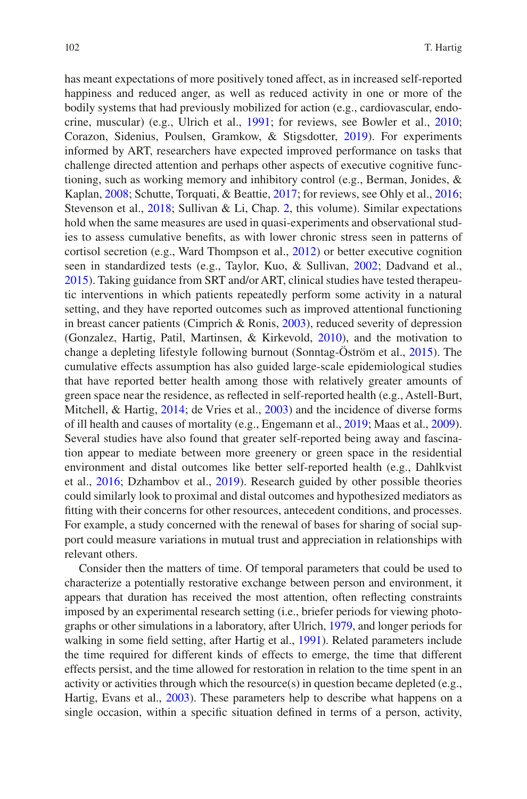has meant expectations of more positively toned affect, as in increased self-reported happiness and reduced anger, as well as reduced activity in one or more of the bodily systems that had previously mobilized for action (e.g., cardiovascular, endocrine, muscular) (e.g., Ulrich et al., [1991;](#page-61-9) for reviews, see Bowler et al., [2010;](#page-49-1) Corazon, Sidenius, Poulsen, Gramkow, & Stigsdotter, [2019\)](#page-51-8). For experiments informed by ART, researchers have expected improved performance on tasks that challenge directed attention and perhaps other aspects of executive cognitive functioning, such as working memory and inhibitory control (e.g., Berman, Jonides, & Kaplan, [2008](#page-49-3); Schutte, Torquati, & Beattie, [2017;](#page-59-3) for reviews, see Ohly et al., [2016;](#page-57-10) Stevenson et al., [2018](#page-60-1); Sullivan & Li, Chap. [2,](https://doi.org/10.1007/978-3-030-69020-5_2) this volume). Similar expectations hold when the same measures are used in quasi-experiments and observational studies to assess cumulative benefts, as with lower chronic stress seen in patterns of cortisol secretion (e.g., Ward Thompson et al., [2012\)](#page-61-11) or better executive cognition seen in standardized tests (e.g., Taylor, Kuo, & Sullivan, [2002](#page-60-7); Dadvand et al., [2015\)](#page-51-0). Taking guidance from SRT and/or ART, clinical studies have tested therapeutic interventions in which patients repeatedly perform some activity in a natural setting, and they have reported outcomes such as improved attentional functioning in breast cancer patients (Cimprich & Ronis, [2003](#page-50-7)), reduced severity of depression (Gonzalez, Hartig, Patil, Martinsen, & Kirkevold, [2010](#page-52-7)), and the motivation to change a depleting lifestyle following burnout (Sonntag-Öström et al., [2015](#page-59-4)). The cumulative effects assumption has also guided large-scale epidemiological studies that have reported better health among those with relatively greater amounts of green space near the residence, as refected in self-reported health (e.g., Astell-Burt, Mitchell, & Hartig, [2014](#page-49-4); de Vries et al., [2003\)](#page-51-4) and the incidence of diverse forms of ill health and causes of mortality (e.g., Engemann et al., [2019](#page-52-0); Maas et al., [2009\)](#page-57-11). Several studies have also found that greater self-reported being away and fascination appear to mediate between more greenery or green space in the residential environment and distal outcomes like better self-reported health (e.g., Dahlkvist et al., [2016](#page-51-9); Dzhambov et al., [2019](#page-51-10)). Research guided by other possible theories could similarly look to proximal and distal outcomes and hypothesized mediators as ftting with their concerns for other resources, antecedent conditions, and processes. For example, a study concerned with the renewal of bases for sharing of social support could measure variations in mutual trust and appreciation in relationships with relevant others.

Consider then the matters of time. Of temporal parameters that could be used to characterize a potentially restorative exchange between person and environment, it appears that duration has received the most attention, often refecting constraints imposed by an experimental research setting (i.e., briefer periods for viewing photographs or other simulations in a laboratory, after Ulrich, [1979](#page-60-0), and longer periods for walking in some feld setting, after Hartig et al., [1991\)](#page-54-5). Related parameters include the time required for different kinds of effects to emerge, the time that different effects persist, and the time allowed for restoration in relation to the time spent in an activity or activities through which the resource(s) in question became depleted (e.g., Hartig, Evans et al., [2003](#page-54-6)). These parameters help to describe what happens on a single occasion, within a specifc situation defned in terms of a person, activity,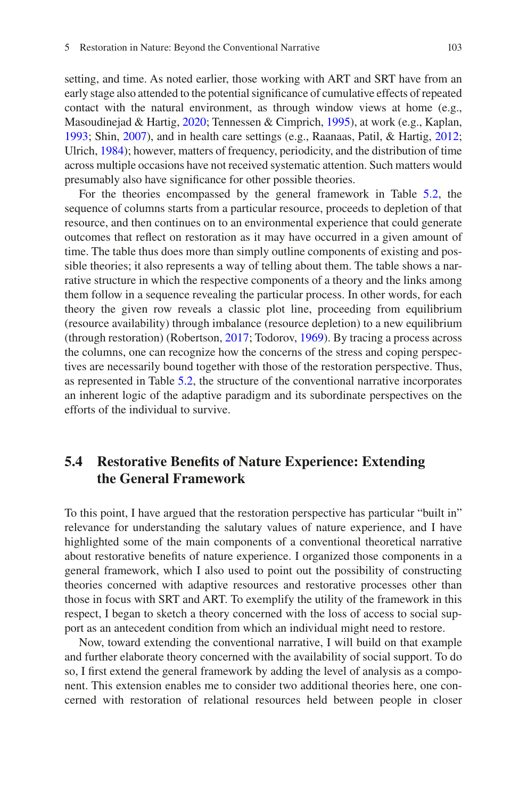setting, and time. As noted earlier, those working with ART and SRT have from an early stage also attended to the potential signifcance of cumulative effects of repeated contact with the natural environment, as through window views at home (e.g., Masoudinejad & Hartig, [2020](#page-57-12); Tennessen & Cimprich, [1995](#page-60-5)), at work (e.g., Kaplan, [1993;](#page-55-12) Shin, [2007](#page-59-5)), and in health care settings (e.g., Raanaas, Patil, & Hartig, [2012;](#page-58-6) Ulrich, [1984](#page-61-12)); however, matters of frequency, periodicity, and the distribution of time across multiple occasions have not received systematic attention. Such matters would presumably also have signifcance for other possible theories.

For the theories encompassed by the general framework in Table [5.2,](#page-11-0) the sequence of columns starts from a particular resource, proceeds to depletion of that resource, and then continues on to an environmental experience that could generate outcomes that refect on restoration as it may have occurred in a given amount of time. The table thus does more than simply outline components of existing and possible theories; it also represents a way of telling about them. The table shows a narrative structure in which the respective components of a theory and the links among them follow in a sequence revealing the particular process. In other words, for each theory the given row reveals a classic plot line, proceeding from equilibrium (resource availability) through imbalance (resource depletion) to a new equilibrium (through restoration) (Robertson, [2017;](#page-58-7) Todorov, [1969](#page-60-8)). By tracing a process across the columns, one can recognize how the concerns of the stress and coping perspectives are necessarily bound together with those of the restoration perspective. Thus, as represented in Table [5.2,](#page-11-0) the structure of the conventional narrative incorporates an inherent logic of the adaptive paradigm and its subordinate perspectives on the efforts of the individual to survive.

# **5.4 Restorative Benefts of Nature Experience: Extending the General Framework**

To this point, I have argued that the restoration perspective has particular "built in" relevance for understanding the salutary values of nature experience, and I have highlighted some of the main components of a conventional theoretical narrative about restorative benefts of nature experience. I organized those components in a general framework, which I also used to point out the possibility of constructing theories concerned with adaptive resources and restorative processes other than those in focus with SRT and ART. To exemplify the utility of the framework in this respect, I began to sketch a theory concerned with the loss of access to social support as an antecedent condition from which an individual might need to restore.

Now, toward extending the conventional narrative, I will build on that example and further elaborate theory concerned with the availability of social support. To do so, I frst extend the general framework by adding the level of analysis as a component. This extension enables me to consider two additional theories here, one concerned with restoration of relational resources held between people in closer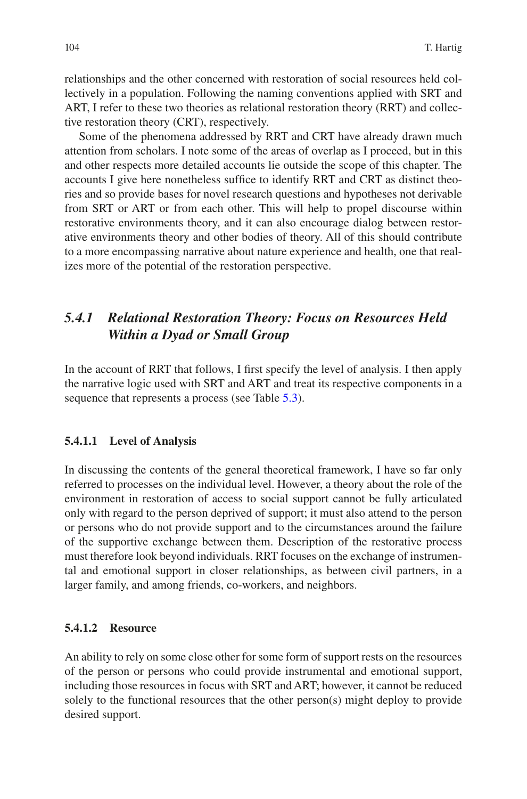relationships and the other concerned with restoration of social resources held collectively in a population. Following the naming conventions applied with SRT and ART, I refer to these two theories as relational restoration theory (RRT) and collective restoration theory (CRT), respectively.

Some of the phenomena addressed by RRT and CRT have already drawn much attention from scholars. I note some of the areas of overlap as I proceed, but in this and other respects more detailed accounts lie outside the scope of this chapter. The accounts I give here nonetheless suffice to identify RRT and CRT as distinct theories and so provide bases for novel research questions and hypotheses not derivable from SRT or ART or from each other. This will help to propel discourse within restorative environments theory, and it can also encourage dialog between restorative environments theory and other bodies of theory. All of this should contribute to a more encompassing narrative about nature experience and health, one that realizes more of the potential of the restoration perspective.

# *5.4.1 Relational Restoration Theory: Focus on Resources Held Within a Dyad or Small Group*

In the account of RRT that follows, I frst specify the level of analysis. I then apply the narrative logic used with SRT and ART and treat its respective components in a sequence that represents a process (see Table [5.3](#page-16-0)).

### **5.4.1.1 Level of Analysis**

In discussing the contents of the general theoretical framework, I have so far only referred to processes on the individual level. However, a theory about the role of the environment in restoration of access to social support cannot be fully articulated only with regard to the person deprived of support; it must also attend to the person or persons who do not provide support and to the circumstances around the failure of the supportive exchange between them. Description of the restorative process must therefore look beyond individuals. RRT focuses on the exchange of instrumental and emotional support in closer relationships, as between civil partners, in a larger family, and among friends, co-workers, and neighbors.

### **5.4.1.2 Resource**

An ability to rely on some close other for some form of support rests on the resources of the person or persons who could provide instrumental and emotional support, including those resources in focus with SRT and ART; however, it cannot be reduced solely to the functional resources that the other person(s) might deploy to provide desired support.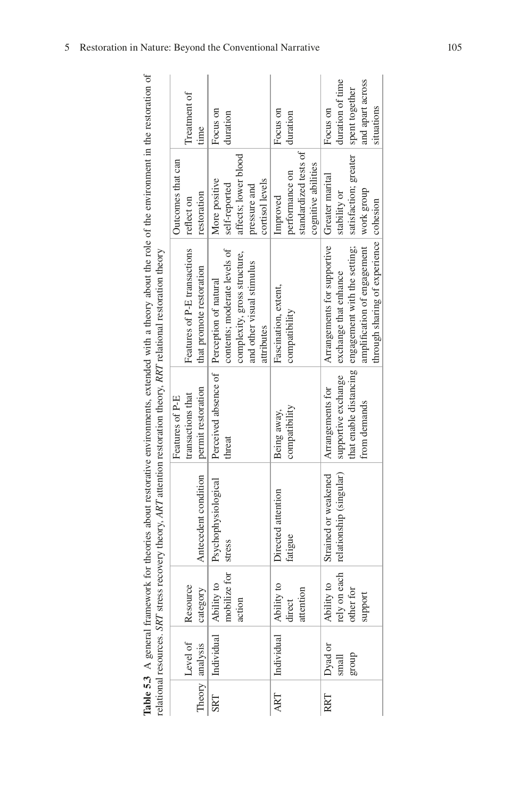|                                                                                                                                                                                                                                | Treatment of<br>time                                       | Focus on<br>duration                                                                                    | Focus on<br>duration                                                       | duration of time<br>and apart across<br>spent together<br>situations<br>Focus on                                                                                                                                    |
|--------------------------------------------------------------------------------------------------------------------------------------------------------------------------------------------------------------------------------|------------------------------------------------------------|---------------------------------------------------------------------------------------------------------|----------------------------------------------------------------------------|---------------------------------------------------------------------------------------------------------------------------------------------------------------------------------------------------------------------|
|                                                                                                                                                                                                                                | Outcomes that can<br>restoration<br>reflect on             | affects; lower blood<br>More positive<br>cortisol levels<br>self-reported<br>pressure and               | standardized tests of<br>cognitive abilities<br>performance on<br>Improved | satisfaction; greater<br>stability or                                                                                                                                                                               |
| l Erginian resolutes, over su ess recover a dientification resident dientification and the statement of the statement of the statement of the statement of the statement of the statement of the statement of the statement of | Features of P-E transactions<br>that promote restoration   | contents; moderate levels of<br>complexity, gross structure,<br>and other visual stimulus<br>attributes | Fascination, extent,<br>compatibility                                      | Arrangements for supportive Greater marital<br>amplification of engagement   work group<br>through sharing of experience   cohesion<br>that enable distancing engagement with the setting;<br>exchange that enhance |
|                                                                                                                                                                                                                                | permit restoration<br>transactions that<br>Features of P-E | Perceived absence of Perception of natural<br>threat                                                    | compatibility<br>Being away,                                               | supportive exchange<br>Arrangements for<br>from demands                                                                                                                                                             |
|                                                                                                                                                                                                                                | Antecedent condition                                       | Psychophysiological                                                                                     | Directed attention<br>fatigue                                              | Strained or weakened<br>rely on each crelationship (singular)<br>other for                                                                                                                                          |
|                                                                                                                                                                                                                                | Resource<br>category                                       | mobilize for stress<br>action                                                                           | attention<br>direct                                                        | Ability to<br>support                                                                                                                                                                                               |
|                                                                                                                                                                                                                                | Level of<br>Theory analysis                                | Individual Ability to                                                                                   | Individual Ability to                                                      | Dyad or<br>group<br>small                                                                                                                                                                                           |
|                                                                                                                                                                                                                                |                                                            | SRT                                                                                                     | ART                                                                        | RRT                                                                                                                                                                                                                 |

<span id="page-16-0"></span>Table 5.3 A general framework for theories about restorative environments, extended with a theory about the role of the environment in the restoration of **Table 5.3** A general framework for theories about restorative environments, extended with a theory about the role of the environment in the restoration of A ARTICLE AND THE SECOND TRANSPORTED TO A SUBSERVED TO A SUBSERVED TO A SUBSERVED THAT A RECORD TO A SUBSERVED TO A SUBSERVED TO A SUBSERVED TO A SUBSERVED TO A SUBSERVED TO A SUBSERVED TO A SUBSERVED TO A SUBSERVED TO A S relational resources. *SRT* stress recovery theory, *ART* attention restoration theory, *RRT* relational restoration theory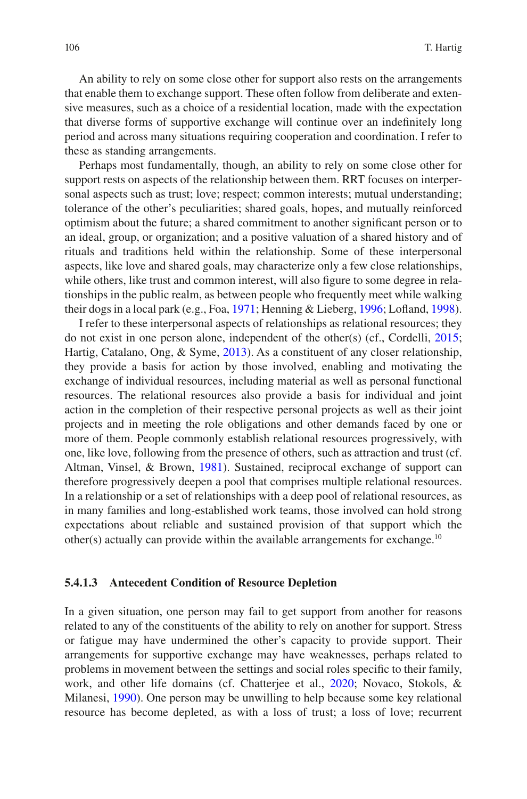An ability to rely on some close other for support also rests on the arrangements that enable them to exchange support. These often follow from deliberate and extensive measures, such as a choice of a residential location, made with the expectation that diverse forms of supportive exchange will continue over an indefnitely long period and across many situations requiring cooperation and coordination. I refer to these as standing arrangements.

Perhaps most fundamentally, though, an ability to rely on some close other for support rests on aspects of the relationship between them. RRT focuses on interpersonal aspects such as trust; love; respect; common interests; mutual understanding; tolerance of the other's peculiarities; shared goals, hopes, and mutually reinforced optimism about the future; a shared commitment to another signifcant person or to an ideal, group, or organization; and a positive valuation of a shared history and of rituals and traditions held within the relationship. Some of these interpersonal aspects, like love and shared goals, may characterize only a few close relationships, while others, like trust and common interest, will also figure to some degree in relationships in the public realm, as between people who frequently meet while walking their dogs in a local park (e.g., Foa, [1971](#page-52-8); Henning & Lieberg, [1996](#page-54-9); Lofand, [1998\)](#page-57-13).

I refer to these interpersonal aspects of relationships as relational resources; they do not exist in one person alone, independent of the other(s) (cf., Cordelli, [2015;](#page-51-11) Hartig, Catalano, Ong, & Syme, [2013\)](#page-53-9). As a constituent of any closer relationship, they provide a basis for action by those involved, enabling and motivating the exchange of individual resources, including material as well as personal functional resources. The relational resources also provide a basis for individual and joint action in the completion of their respective personal projects as well as their joint projects and in meeting the role obligations and other demands faced by one or more of them. People commonly establish relational resources progressively, with one, like love, following from the presence of others, such as attraction and trust (cf. Altman, Vinsel, & Brown, [1981](#page-48-3)). Sustained, reciprocal exchange of support can therefore progressively deepen a pool that comprises multiple relational resources. In a relationship or a set of relationships with a deep pool of relational resources, as in many families and long-established work teams, those involved can hold strong expectations about reliable and sustained provision of that support which the other(s) actually can provide within the available arrangements for exchange.<sup>10</sup>

#### **5.4.1.3 Antecedent Condition of Resource Depletion**

In a given situation, one person may fail to get support from another for reasons related to any of the constituents of the ability to rely on another for support. Stress or fatigue may have undermined the other's capacity to provide support. Their arrangements for supportive exchange may have weaknesses, perhaps related to problems in movement between the settings and social roles specifc to their family, work, and other life domains (cf. Chatterjee et al., [2020](#page-50-8); Novaco, Stokols, & Milanesi, [1990\)](#page-57-14). One person may be unwilling to help because some key relational resource has become depleted, as with a loss of trust; a loss of love; recurrent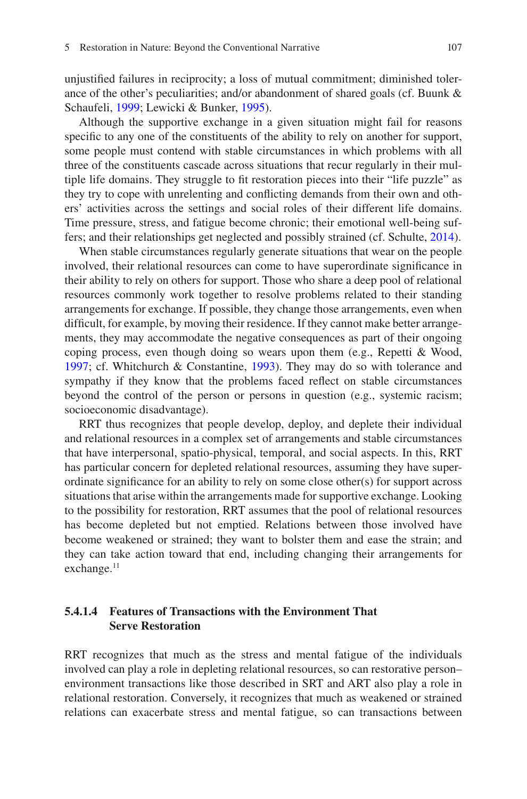unjustifed failures in reciprocity; a loss of mutual commitment; diminished tolerance of the other's peculiarities; and/or abandonment of shared goals (cf. Buunk & Schaufeli, [1999;](#page-49-5) Lewicki & Bunker, [1995](#page-56-7)).

Although the supportive exchange in a given situation might fail for reasons specifc to any one of the constituents of the ability to rely on another for support, some people must contend with stable circumstances in which problems with all three of the constituents cascade across situations that recur regularly in their multiple life domains. They struggle to ft restoration pieces into their "life puzzle" as they try to cope with unrelenting and conficting demands from their own and others' activities across the settings and social roles of their different life domains. Time pressure, stress, and fatigue become chronic; their emotional well-being suffers; and their relationships get neglected and possibly strained (cf. Schulte, [2014\)](#page-59-6).

When stable circumstances regularly generate situations that wear on the people involved, their relational resources can come to have superordinate signifcance in their ability to rely on others for support. Those who share a deep pool of relational resources commonly work together to resolve problems related to their standing arrangements for exchange. If possible, they change those arrangements, even when diffcult, for example, by moving their residence. If they cannot make better arrangements, they may accommodate the negative consequences as part of their ongoing coping process, even though doing so wears upon them (e.g., Repetti & Wood, [1997;](#page-58-8) cf. Whitchurch & Constantine, [1993\)](#page-61-13). They may do so with tolerance and sympathy if they know that the problems faced refect on stable circumstances beyond the control of the person or persons in question (e.g., systemic racism; socioeconomic disadvantage).

RRT thus recognizes that people develop, deploy, and deplete their individual and relational resources in a complex set of arrangements and stable circumstances that have interpersonal, spatio-physical, temporal, and social aspects. In this, RRT has particular concern for depleted relational resources, assuming they have superordinate signifcance for an ability to rely on some close other(s) for support across situations that arise within the arrangements made for supportive exchange. Looking to the possibility for restoration, RRT assumes that the pool of relational resources has become depleted but not emptied. Relations between those involved have become weakened or strained; they want to bolster them and ease the strain; and they can take action toward that end, including changing their arrangements for exchange.<sup>11</sup>

### **5.4.1.4 Features of Transactions with the Environment That Serve Restoration**

RRT recognizes that much as the stress and mental fatigue of the individuals involved can play a role in depleting relational resources, so can restorative person– environment transactions like those described in SRT and ART also play a role in relational restoration. Conversely, it recognizes that much as weakened or strained relations can exacerbate stress and mental fatigue, so can transactions between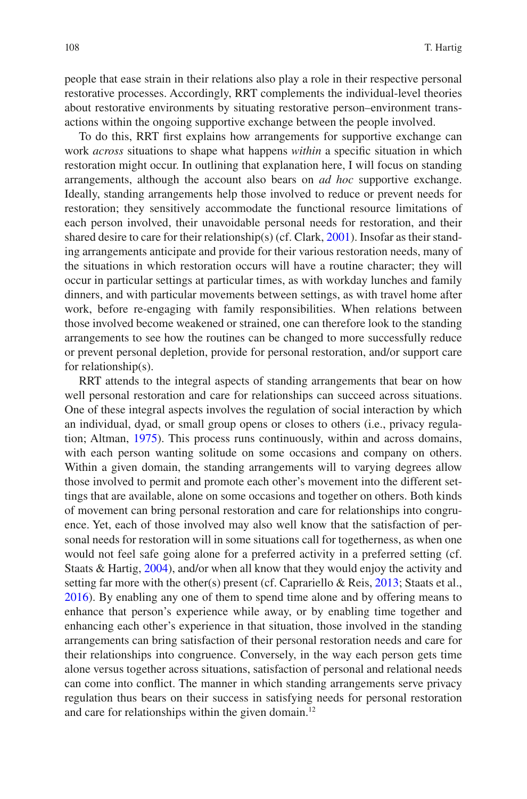people that ease strain in their relations also play a role in their respective personal restorative processes. Accordingly, RRT complements the individual-level theories about restorative environments by situating restorative person–environment transactions within the ongoing supportive exchange between the people involved.

To do this, RRT frst explains how arrangements for supportive exchange can work *across* situations to shape what happens *within* a specifc situation in which restoration might occur. In outlining that explanation here, I will focus on standing arrangements, although the account also bears on *ad hoc* supportive exchange. Ideally, standing arrangements help those involved to reduce or prevent needs for restoration; they sensitively accommodate the functional resource limitations of each person involved, their unavoidable personal needs for restoration, and their shared desire to care for their relationship(s) (cf. Clark, [2001](#page-50-9)). Insofar as their standing arrangements anticipate and provide for their various restoration needs, many of the situations in which restoration occurs will have a routine character; they will occur in particular settings at particular times, as with workday lunches and family dinners, and with particular movements between settings, as with travel home after work, before re-engaging with family responsibilities. When relations between those involved become weakened or strained, one can therefore look to the standing arrangements to see how the routines can be changed to more successfully reduce or prevent personal depletion, provide for personal restoration, and/or support care for relationship(s).

RRT attends to the integral aspects of standing arrangements that bear on how well personal restoration and care for relationships can succeed across situations. One of these integral aspects involves the regulation of social interaction by which an individual, dyad, or small group opens or closes to others (i.e., privacy regulation; Altman, [1975](#page-48-4)). This process runs continuously, within and across domains, with each person wanting solitude on some occasions and company on others. Within a given domain, the standing arrangements will to varying degrees allow those involved to permit and promote each other's movement into the different settings that are available, alone on some occasions and together on others. Both kinds of movement can bring personal restoration and care for relationships into congruence. Yet, each of those involved may also well know that the satisfaction of personal needs for restoration will in some situations call for togetherness, as when one would not feel safe going alone for a preferred activity in a preferred setting (cf. Staats & Hartig, [2004](#page-59-7)), and/or when all know that they would enjoy the activity and setting far more with the other(s) present (cf. Caprariello & Reis, [2013;](#page-50-10) Staats et al., [2016\)](#page-59-2). By enabling any one of them to spend time alone and by offering means to enhance that person's experience while away, or by enabling time together and enhancing each other's experience in that situation, those involved in the standing arrangements can bring satisfaction of their personal restoration needs and care for their relationships into congruence. Conversely, in the way each person gets time alone versus together across situations, satisfaction of personal and relational needs can come into confict. The manner in which standing arrangements serve privacy regulation thus bears on their success in satisfying needs for personal restoration and care for relationships within the given domain.<sup>12</sup>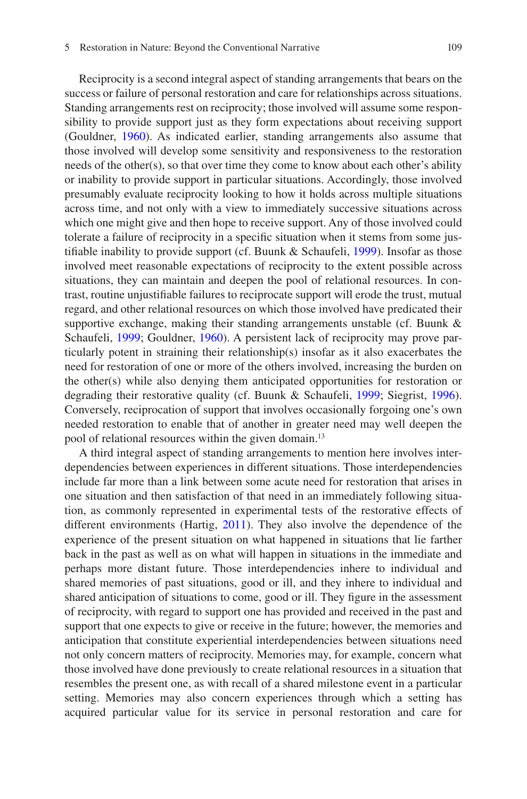Reciprocity is a second integral aspect of standing arrangements that bears on the success or failure of personal restoration and care for relationships across situations. Standing arrangements rest on reciprocity; those involved will assume some responsibility to provide support just as they form expectations about receiving support (Gouldner, [1960](#page-53-10)). As indicated earlier, standing arrangements also assume that those involved will develop some sensitivity and responsiveness to the restoration needs of the other(s), so that over time they come to know about each other's ability or inability to provide support in particular situations. Accordingly, those involved presumably evaluate reciprocity looking to how it holds across multiple situations across time, and not only with a view to immediately successive situations across which one might give and then hope to receive support. Any of those involved could tolerate a failure of reciprocity in a specifc situation when it stems from some justifable inability to provide support (cf. Buunk & Schaufeli, [1999](#page-49-5)). Insofar as those involved meet reasonable expectations of reciprocity to the extent possible across situations, they can maintain and deepen the pool of relational resources. In contrast, routine unjustifable failures to reciprocate support will erode the trust, mutual regard, and other relational resources on which those involved have predicated their supportive exchange, making their standing arrangements unstable (cf. Buunk & Schaufeli, [1999](#page-49-5); Gouldner, [1960](#page-53-10)). A persistent lack of reciprocity may prove particularly potent in straining their relationship(s) insofar as it also exacerbates the need for restoration of one or more of the others involved, increasing the burden on the other(s) while also denying them anticipated opportunities for restoration or degrading their restorative quality (cf. Buunk & Schaufeli, [1999](#page-49-5); Siegrist, [1996\)](#page-59-8). Conversely, reciprocation of support that involves occasionally forgoing one's own needed restoration to enable that of another in greater need may well deepen the pool of relational resources within the given domain.13

A third integral aspect of standing arrangements to mention here involves interdependencies between experiences in different situations. Those interdependencies include far more than a link between some acute need for restoration that arises in one situation and then satisfaction of that need in an immediately following situation, as commonly represented in experimental tests of the restorative effects of different environments (Hartig, [2011\)](#page-54-7). They also involve the dependence of the experience of the present situation on what happened in situations that lie farther back in the past as well as on what will happen in situations in the immediate and perhaps more distant future. Those interdependencies inhere to individual and shared memories of past situations, good or ill, and they inhere to individual and shared anticipation of situations to come, good or ill. They fgure in the assessment of reciprocity, with regard to support one has provided and received in the past and support that one expects to give or receive in the future; however, the memories and anticipation that constitute experiential interdependencies between situations need not only concern matters of reciprocity. Memories may, for example, concern what those involved have done previously to create relational resources in a situation that resembles the present one, as with recall of a shared milestone event in a particular setting. Memories may also concern experiences through which a setting has acquired particular value for its service in personal restoration and care for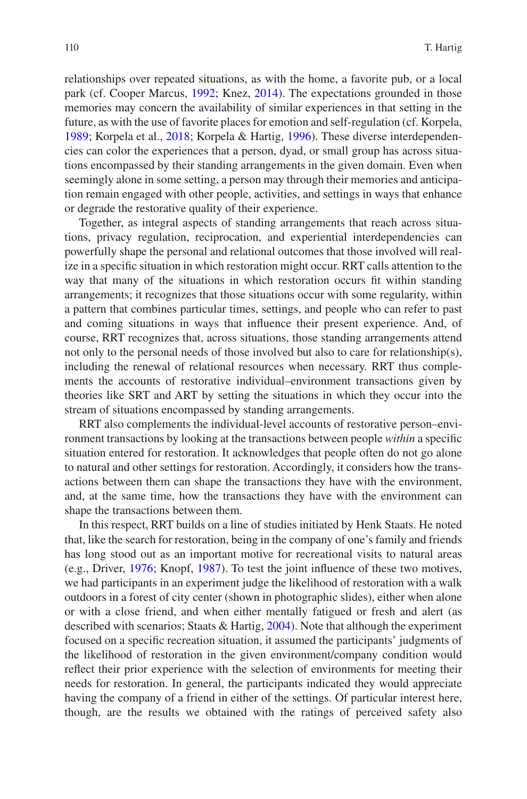relationships over repeated situations, as with the home, a favorite pub, or a local park (cf. Cooper Marcus, [1992;](#page-51-12) Knez, [2014](#page-56-8)). The expectations grounded in those memories may concern the availability of similar experiences in that setting in the future, as with the use of favorite places for emotion and self-regulation (cf. Korpela, [1989;](#page-56-9) Korpela et al., [2018;](#page-56-10) Korpela & Hartig, [1996\)](#page-56-11). These diverse interdependencies can color the experiences that a person, dyad, or small group has across situations encompassed by their standing arrangements in the given domain. Even when seemingly alone in some setting, a person may through their memories and anticipation remain engaged with other people, activities, and settings in ways that enhance or degrade the restorative quality of their experience.

Together, as integral aspects of standing arrangements that reach across situations, privacy regulation, reciprocation, and experiential interdependencies can powerfully shape the personal and relational outcomes that those involved will realize in a specifc situation in which restoration might occur. RRT calls attention to the way that many of the situations in which restoration occurs ft within standing arrangements; it recognizes that those situations occur with some regularity, within a pattern that combines particular times, settings, and people who can refer to past and coming situations in ways that infuence their present experience. And, of course, RRT recognizes that, across situations, those standing arrangements attend not only to the personal needs of those involved but also to care for relationship(s), including the renewal of relational resources when necessary. RRT thus complements the accounts of restorative individual–environment transactions given by theories like SRT and ART by setting the situations in which they occur into the stream of situations encompassed by standing arrangements.

RRT also complements the individual-level accounts of restorative person–environment transactions by looking at the transactions between people *within* a specifc situation entered for restoration. It acknowledges that people often do not go alone to natural and other settings for restoration. Accordingly, it considers how the transactions between them can shape the transactions they have with the environment, and, at the same time, how the transactions they have with the environment can shape the transactions between them.

In this respect, RRT builds on a line of studies initiated by Henk Staats. He noted that, like the search for restoration, being in the company of one's family and friends has long stood out as an important motive for recreational visits to natural areas (e.g., Driver, [1976;](#page-51-13) Knopf, [1987](#page-56-3)). To test the joint infuence of these two motives, we had participants in an experiment judge the likelihood of restoration with a walk outdoors in a forest of city center (shown in photographic slides), either when alone or with a close friend, and when either mentally fatigued or fresh and alert (as described with scenarios; Staats & Hartig, [2004](#page-59-7)). Note that although the experiment focused on a specifc recreation situation, it assumed the participants' judgments of the likelihood of restoration in the given environment/company condition would refect their prior experience with the selection of environments for meeting their needs for restoration. In general, the participants indicated they would appreciate having the company of a friend in either of the settings. Of particular interest here, though, are the results we obtained with the ratings of perceived safety also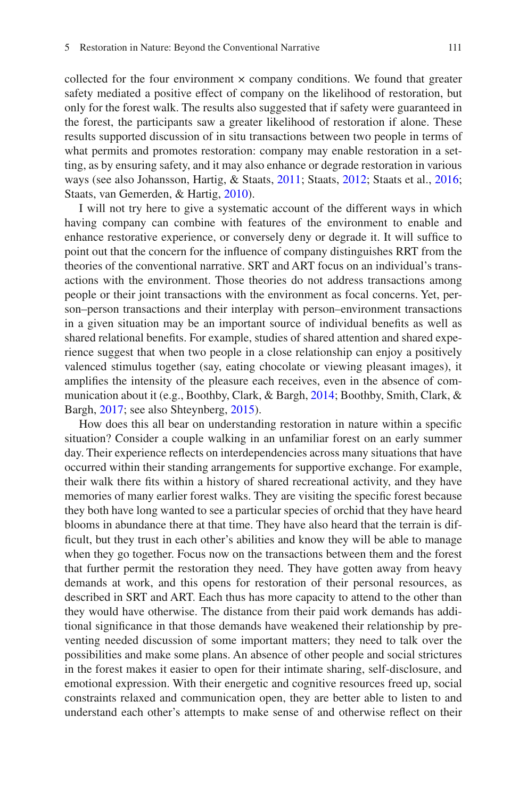collected for the four environment  $\times$  company conditions. We found that greater safety mediated a positive effect of company on the likelihood of restoration, but only for the forest walk. The results also suggested that if safety were guaranteed in the forest, the participants saw a greater likelihood of restoration if alone. These results supported discussion of in situ transactions between two people in terms of what permits and promotes restoration: company may enable restoration in a setting, as by ensuring safety, and it may also enhance or degrade restoration in various ways (see also Johansson, Hartig, & Staats, [2011](#page-55-13); Staats, [2012;](#page-59-9) Staats et al., [2016;](#page-59-2) Staats, van Gemerden, & Hartig, [2010\)](#page-59-10).

I will not try here to give a systematic account of the different ways in which having company can combine with features of the environment to enable and enhance restorative experience, or conversely deny or degrade it. It will suffice to point out that the concern for the infuence of company distinguishes RRT from the theories of the conventional narrative. SRT and ART focus on an individual's transactions with the environment. Those theories do not address transactions among people or their joint transactions with the environment as focal concerns. Yet, person–person transactions and their interplay with person–environment transactions in a given situation may be an important source of individual benefts as well as shared relational benefts. For example, studies of shared attention and shared experience suggest that when two people in a close relationship can enjoy a positively valenced stimulus together (say, eating chocolate or viewing pleasant images), it amplifes the intensity of the pleasure each receives, even in the absence of communication about it (e.g., Boothby, Clark, & Bargh, [2014](#page-49-6); Boothby, Smith, Clark, & Bargh, [2017](#page-49-7); see also Shteynberg, [2015](#page-59-11)).

How does this all bear on understanding restoration in nature within a specifc situation? Consider a couple walking in an unfamiliar forest on an early summer day. Their experience refects on interdependencies across many situations that have occurred within their standing arrangements for supportive exchange. For example, their walk there fts within a history of shared recreational activity, and they have memories of many earlier forest walks. They are visiting the specifc forest because they both have long wanted to see a particular species of orchid that they have heard blooms in abundance there at that time. They have also heard that the terrain is diffcult, but they trust in each other's abilities and know they will be able to manage when they go together. Focus now on the transactions between them and the forest that further permit the restoration they need. They have gotten away from heavy demands at work, and this opens for restoration of their personal resources, as described in SRT and ART. Each thus has more capacity to attend to the other than they would have otherwise. The distance from their paid work demands has additional signifcance in that those demands have weakened their relationship by preventing needed discussion of some important matters; they need to talk over the possibilities and make some plans. An absence of other people and social strictures in the forest makes it easier to open for their intimate sharing, self-disclosure, and emotional expression. With their energetic and cognitive resources freed up, social constraints relaxed and communication open, they are better able to listen to and understand each other's attempts to make sense of and otherwise refect on their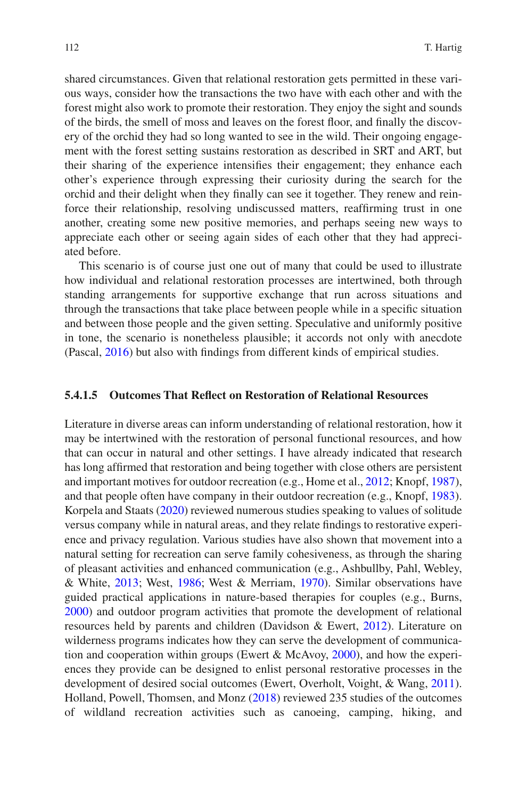shared circumstances. Given that relational restoration gets permitted in these various ways, consider how the transactions the two have with each other and with the forest might also work to promote their restoration. They enjoy the sight and sounds of the birds, the smell of moss and leaves on the forest foor, and fnally the discovery of the orchid they had so long wanted to see in the wild. Their ongoing engagement with the forest setting sustains restoration as described in SRT and ART, but their sharing of the experience intensifes their engagement; they enhance each other's experience through expressing their curiosity during the search for the orchid and their delight when they fnally can see it together. They renew and reinforce their relationship, resolving undiscussed matters, reaffrming trust in one another, creating some new positive memories, and perhaps seeing new ways to appreciate each other or seeing again sides of each other that they had appreciated before.

This scenario is of course just one out of many that could be used to illustrate how individual and relational restoration processes are intertwined, both through standing arrangements for supportive exchange that run across situations and through the transactions that take place between people while in a specifc situation and between those people and the given setting. Speculative and uniformly positive in tone, the scenario is nonetheless plausible; it accords not only with anecdote (Pascal, [2016\)](#page-58-5) but also with fndings from different kinds of empirical studies.

### **5.4.1.5 Outcomes That Refect on Restoration of Relational Resources**

Literature in diverse areas can inform understanding of relational restoration, how it may be intertwined with the restoration of personal functional resources, and how that can occur in natural and other settings. I have already indicated that research has long affrmed that restoration and being together with close others are persistent and important motives for outdoor recreation (e.g., Home et al., [2012;](#page-54-0) Knopf, [1987\)](#page-56-3), and that people often have company in their outdoor recreation (e.g., Knopf, [1983\)](#page-56-2). Korpela and Staats ([2020\)](#page-56-12) reviewed numerous studies speaking to values of solitude versus company while in natural areas, and they relate fndings to restorative experience and privacy regulation. Various studies have also shown that movement into a natural setting for recreation can serve family cohesiveness, as through the sharing of pleasant activities and enhanced communication (e.g., Ashbullby, Pahl, Webley, & White, [2013;](#page-48-5) West, [1986;](#page-61-14) West & Merriam, [1970](#page-61-15)). Similar observations have guided practical applications in nature-based therapies for couples (e.g., Burns, [2000\)](#page-49-8) and outdoor program activities that promote the development of relational resources held by parents and children (Davidson & Ewert, [2012](#page-51-14)). Literature on wilderness programs indicates how they can serve the development of communication and cooperation within groups (Ewert  $\&$  McAvoy, [2000\)](#page-52-9), and how the experiences they provide can be designed to enlist personal restorative processes in the development of desired social outcomes (Ewert, Overholt, Voight, & Wang, [2011\)](#page-52-10). Holland, Powell, Thomsen, and Monz ([2018\)](#page-54-10) reviewed 235 studies of the outcomes of wildland recreation activities such as canoeing, camping, hiking, and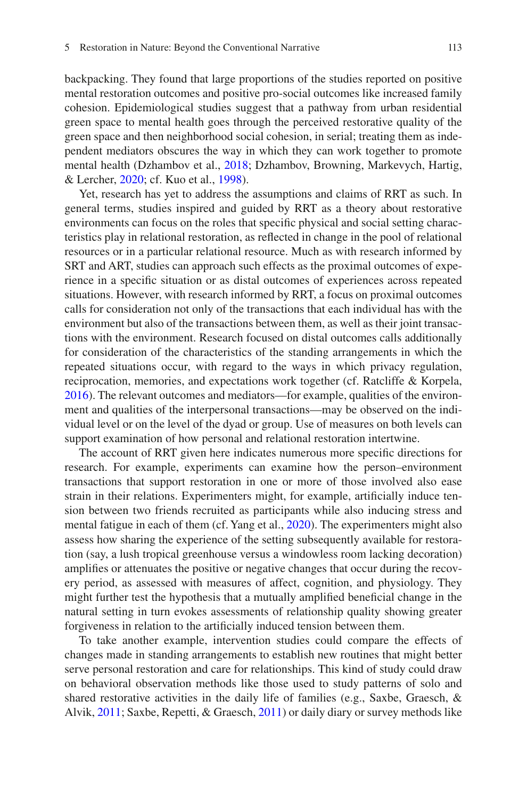backpacking. They found that large proportions of the studies reported on positive mental restoration outcomes and positive pro-social outcomes like increased family cohesion. Epidemiological studies suggest that a pathway from urban residential green space to mental health goes through the perceived restorative quality of the green space and then neighborhood social cohesion, in serial; treating them as independent mediators obscures the way in which they can work together to promote mental health (Dzhambov et al., [2018](#page-51-3); Dzhambov, Browning, Markevych, Hartig, & Lercher, [2020;](#page-51-15) cf. Kuo et al., [1998\)](#page-56-4).

Yet, research has yet to address the assumptions and claims of RRT as such. In general terms, studies inspired and guided by RRT as a theory about restorative environments can focus on the roles that specifc physical and social setting characteristics play in relational restoration, as refected in change in the pool of relational resources or in a particular relational resource. Much as with research informed by SRT and ART, studies can approach such effects as the proximal outcomes of experience in a specifc situation or as distal outcomes of experiences across repeated situations. However, with research informed by RRT, a focus on proximal outcomes calls for consideration not only of the transactions that each individual has with the environment but also of the transactions between them, as well as their joint transactions with the environment. Research focused on distal outcomes calls additionally for consideration of the characteristics of the standing arrangements in which the repeated situations occur, with regard to the ways in which privacy regulation, reciprocation, memories, and expectations work together (cf. Ratcliffe & Korpela, [2016\)](#page-58-9). The relevant outcomes and mediators—for example, qualities of the environment and qualities of the interpersonal transactions—may be observed on the individual level or on the level of the dyad or group. Use of measures on both levels can support examination of how personal and relational restoration intertwine.

The account of RRT given here indicates numerous more specifc directions for research. For example, experiments can examine how the person–environment transactions that support restoration in one or more of those involved also ease strain in their relations. Experimenters might, for example, artifcially induce tension between two friends recruited as participants while also inducing stress and mental fatigue in each of them (cf. Yang et al., [2020](#page-62-3)). The experimenters might also assess how sharing the experience of the setting subsequently available for restoration (say, a lush tropical greenhouse versus a windowless room lacking decoration) amplifes or attenuates the positive or negative changes that occur during the recovery period, as assessed with measures of affect, cognition, and physiology. They might further test the hypothesis that a mutually amplifed benefcial change in the natural setting in turn evokes assessments of relationship quality showing greater forgiveness in relation to the artifcially induced tension between them.

To take another example, intervention studies could compare the effects of changes made in standing arrangements to establish new routines that might better serve personal restoration and care for relationships. This kind of study could draw on behavioral observation methods like those used to study patterns of solo and shared restorative activities in the daily life of families (e.g., Saxbe, Graesch, & Alvik, [2011](#page-59-12); Saxbe, Repetti, & Graesch, [2011\)](#page-59-13) or daily diary or survey methods like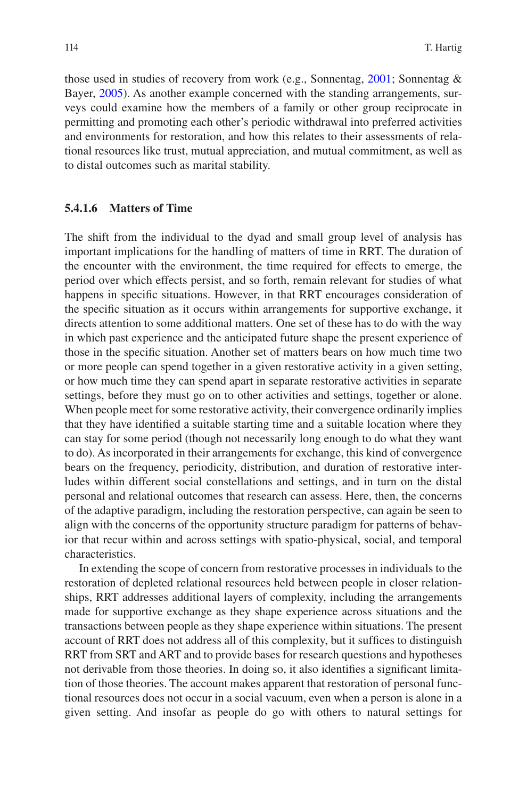those used in studies of recovery from work (e.g., Sonnentag, [2001;](#page-59-14) Sonnentag & Bayer, [2005\)](#page-59-15). As another example concerned with the standing arrangements, surveys could examine how the members of a family or other group reciprocate in permitting and promoting each other's periodic withdrawal into preferred activities and environments for restoration, and how this relates to their assessments of relational resources like trust, mutual appreciation, and mutual commitment, as well as to distal outcomes such as marital stability.

### **5.4.1.6 Matters of Time**

The shift from the individual to the dyad and small group level of analysis has important implications for the handling of matters of time in RRT. The duration of the encounter with the environment, the time required for effects to emerge, the period over which effects persist, and so forth, remain relevant for studies of what happens in specifc situations. However, in that RRT encourages consideration of the specifc situation as it occurs within arrangements for supportive exchange, it directs attention to some additional matters. One set of these has to do with the way in which past experience and the anticipated future shape the present experience of those in the specifc situation. Another set of matters bears on how much time two or more people can spend together in a given restorative activity in a given setting, or how much time they can spend apart in separate restorative activities in separate settings, before they must go on to other activities and settings, together or alone. When people meet for some restorative activity, their convergence ordinarily implies that they have identifed a suitable starting time and a suitable location where they can stay for some period (though not necessarily long enough to do what they want to do). As incorporated in their arrangements for exchange, this kind of convergence bears on the frequency, periodicity, distribution, and duration of restorative interludes within different social constellations and settings, and in turn on the distal personal and relational outcomes that research can assess. Here, then, the concerns of the adaptive paradigm, including the restoration perspective, can again be seen to align with the concerns of the opportunity structure paradigm for patterns of behavior that recur within and across settings with spatio-physical, social, and temporal characteristics.

In extending the scope of concern from restorative processes in individuals to the restoration of depleted relational resources held between people in closer relationships, RRT addresses additional layers of complexity, including the arrangements made for supportive exchange as they shape experience across situations and the transactions between people as they shape experience within situations. The present account of RRT does not address all of this complexity, but it suffices to distinguish RRT from SRT and ART and to provide bases for research questions and hypotheses not derivable from those theories. In doing so, it also identifes a signifcant limitation of those theories. The account makes apparent that restoration of personal functional resources does not occur in a social vacuum, even when a person is alone in a given setting. And insofar as people do go with others to natural settings for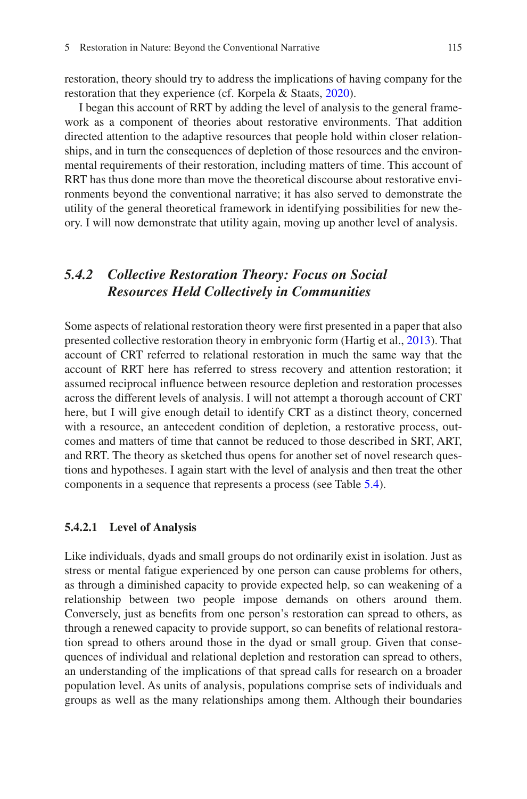restoration, theory should try to address the implications of having company for the restoration that they experience (cf. Korpela & Staats, [2020](#page-56-12)).

I began this account of RRT by adding the level of analysis to the general framework as a component of theories about restorative environments. That addition directed attention to the adaptive resources that people hold within closer relationships, and in turn the consequences of depletion of those resources and the environmental requirements of their restoration, including matters of time. This account of RRT has thus done more than move the theoretical discourse about restorative environments beyond the conventional narrative; it has also served to demonstrate the utility of the general theoretical framework in identifying possibilities for new theory. I will now demonstrate that utility again, moving up another level of analysis.

# *5.4.2 Collective Restoration Theory: Focus on Social Resources Held Collectively in Communities*

Some aspects of relational restoration theory were frst presented in a paper that also presented collective restoration theory in embryonic form (Hartig et al., [2013](#page-53-9)). That account of CRT referred to relational restoration in much the same way that the account of RRT here has referred to stress recovery and attention restoration; it assumed reciprocal infuence between resource depletion and restoration processes across the different levels of analysis. I will not attempt a thorough account of CRT here, but I will give enough detail to identify CRT as a distinct theory, concerned with a resource, an antecedent condition of depletion, a restorative process, outcomes and matters of time that cannot be reduced to those described in SRT, ART, and RRT. The theory as sketched thus opens for another set of novel research questions and hypotheses. I again start with the level of analysis and then treat the other components in a sequence that represents a process (see Table [5.4](#page-27-0)).

#### **5.4.2.1 Level of Analysis**

Like individuals, dyads and small groups do not ordinarily exist in isolation. Just as stress or mental fatigue experienced by one person can cause problems for others, as through a diminished capacity to provide expected help, so can weakening of a relationship between two people impose demands on others around them. Conversely, just as benefts from one person's restoration can spread to others, as through a renewed capacity to provide support, so can benefts of relational restoration spread to others around those in the dyad or small group. Given that consequences of individual and relational depletion and restoration can spread to others, an understanding of the implications of that spread calls for research on a broader population level. As units of analysis, populations comprise sets of individuals and groups as well as the many relationships among them. Although their boundaries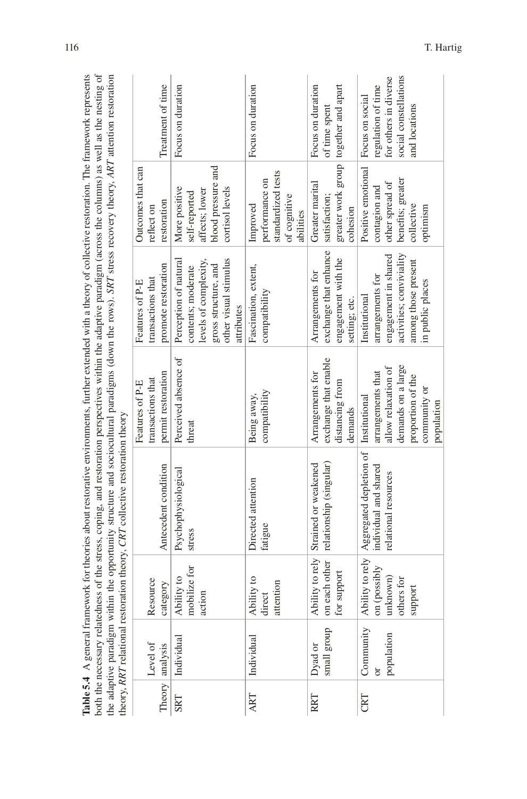<span id="page-27-0"></span>

both the necessary relatedness of the stress, coping, and restoration perspectives within the adaptive paradigm (across the columns) as well as the nesting of the adaptive paradigm (across the columns) as well as the nest Table 5.4 A general framework for theories about restorative environments, further extended with a theory of collective restoration. The framework represents **Table 5.4** A general framework for theories about restorative environments, further extended with a theory of collective restoration. The framework represents both the necessary relatedness of the stress, coping, and restoration perspectives within the adaptive paradigm (across the columns) as well as the nesting of the adaptive paradigm within the opportunity structure and sociocultural paradigms (down the rows). *SRT* stress recovery theory, *ART* attention restoration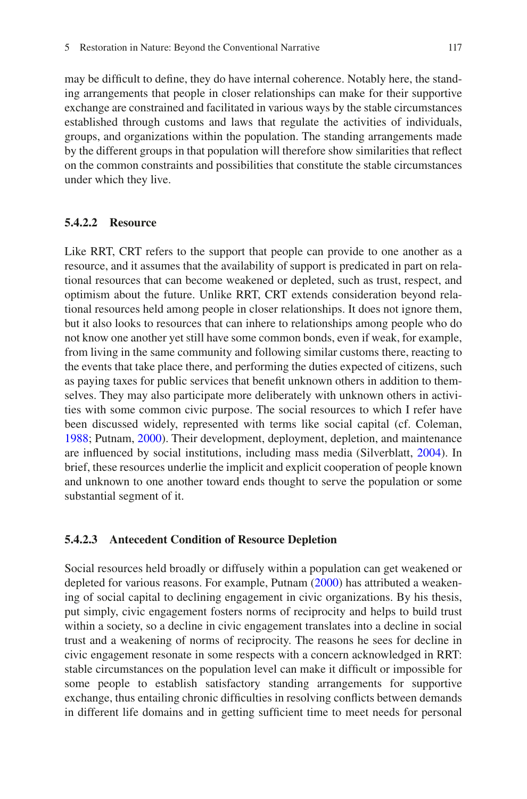may be diffcult to defne, they do have internal coherence. Notably here, the standing arrangements that people in closer relationships can make for their supportive exchange are constrained and facilitated in various ways by the stable circumstances established through customs and laws that regulate the activities of individuals, groups, and organizations within the population. The standing arrangements made by the different groups in that population will therefore show similarities that refect on the common constraints and possibilities that constitute the stable circumstances under which they live.

### **5.4.2.2 Resource**

Like RRT, CRT refers to the support that people can provide to one another as a resource, and it assumes that the availability of support is predicated in part on relational resources that can become weakened or depleted, such as trust, respect, and optimism about the future. Unlike RRT, CRT extends consideration beyond relational resources held among people in closer relationships. It does not ignore them, but it also looks to resources that can inhere to relationships among people who do not know one another yet still have some common bonds, even if weak, for example, from living in the same community and following similar customs there, reacting to the events that take place there, and performing the duties expected of citizens, such as paying taxes for public services that beneft unknown others in addition to themselves. They may also participate more deliberately with unknown others in activities with some common civic purpose. The social resources to which I refer have been discussed widely, represented with terms like social capital (cf. Coleman, [1988;](#page-50-11) Putnam, [2000\)](#page-58-10). Their development, deployment, depletion, and maintenance are infuenced by social institutions, including mass media (Silverblatt, [2004](#page-59-16)). In brief, these resources underlie the implicit and explicit cooperation of people known and unknown to one another toward ends thought to serve the population or some substantial segment of it.

#### **5.4.2.3 Antecedent Condition of Resource Depletion**

Social resources held broadly or diffusely within a population can get weakened or depleted for various reasons. For example, Putnam [\(2000](#page-58-10)) has attributed a weakening of social capital to declining engagement in civic organizations. By his thesis, put simply, civic engagement fosters norms of reciprocity and helps to build trust within a society, so a decline in civic engagement translates into a decline in social trust and a weakening of norms of reciprocity. The reasons he sees for decline in civic engagement resonate in some respects with a concern acknowledged in RRT: stable circumstances on the population level can make it diffcult or impossible for some people to establish satisfactory standing arrangements for supportive exchange, thus entailing chronic diffculties in resolving conficts between demands in different life domains and in getting sufficient time to meet needs for personal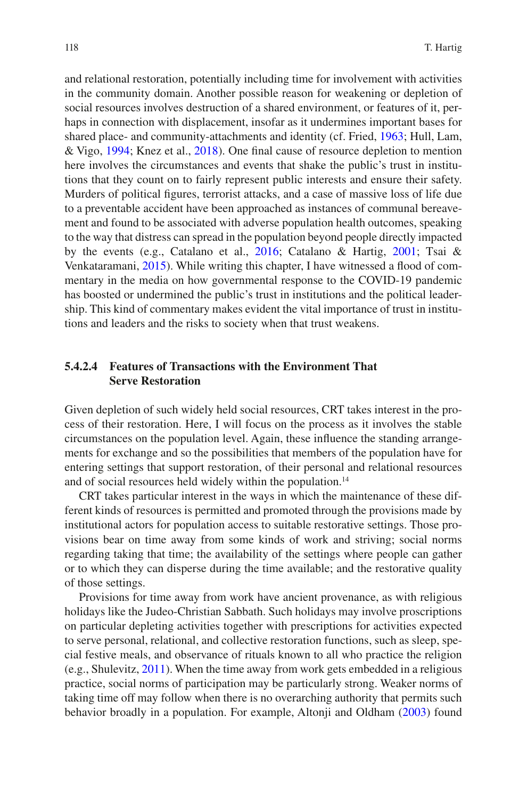and relational restoration, potentially including time for involvement with activities in the community domain. Another possible reason for weakening or depletion of social resources involves destruction of a shared environment, or features of it, perhaps in connection with displacement, insofar as it undermines important bases for shared place- and community-attachments and identity (cf. Fried, [1963;](#page-52-11) Hull, Lam, & Vigo, [1994](#page-54-11); Knez et al., [2018](#page-56-13)). One fnal cause of resource depletion to mention here involves the circumstances and events that shake the public's trust in institutions that they count on to fairly represent public interests and ensure their safety. Murders of political fgures, terrorist attacks, and a case of massive loss of life due to a preventable accident have been approached as instances of communal bereavement and found to be associated with adverse population health outcomes, speaking to the way that distress can spread in the population beyond people directly impacted by the events (e.g., Catalano et al., [2016;](#page-50-4) Catalano & Hartig, [2001;](#page-50-12) Tsai & Venkataramani, [2015\)](#page-60-9). While writing this chapter, I have witnessed a flood of commentary in the media on how governmental response to the COVID-19 pandemic has boosted or undermined the public's trust in institutions and the political leadership. This kind of commentary makes evident the vital importance of trust in institutions and leaders and the risks to society when that trust weakens.

### **5.4.2.4 Features of Transactions with the Environment That Serve Restoration**

Given depletion of such widely held social resources, CRT takes interest in the process of their restoration. Here, I will focus on the process as it involves the stable circumstances on the population level. Again, these infuence the standing arrangements for exchange and so the possibilities that members of the population have for entering settings that support restoration, of their personal and relational resources and of social resources held widely within the population.<sup>14</sup>

CRT takes particular interest in the ways in which the maintenance of these different kinds of resources is permitted and promoted through the provisions made by institutional actors for population access to suitable restorative settings. Those provisions bear on time away from some kinds of work and striving; social norms regarding taking that time; the availability of the settings where people can gather or to which they can disperse during the time available; and the restorative quality of those settings.

Provisions for time away from work have ancient provenance, as with religious holidays like the Judeo-Christian Sabbath. Such holidays may involve proscriptions on particular depleting activities together with prescriptions for activities expected to serve personal, relational, and collective restoration functions, such as sleep, special festive meals, and observance of rituals known to all who practice the religion (e.g., Shulevitz, [2011](#page-59-17)). When the time away from work gets embedded in a religious practice, social norms of participation may be particularly strong. Weaker norms of taking time off may follow when there is no overarching authority that permits such behavior broadly in a population. For example, Altonji and Oldham ([2003\)](#page-48-6) found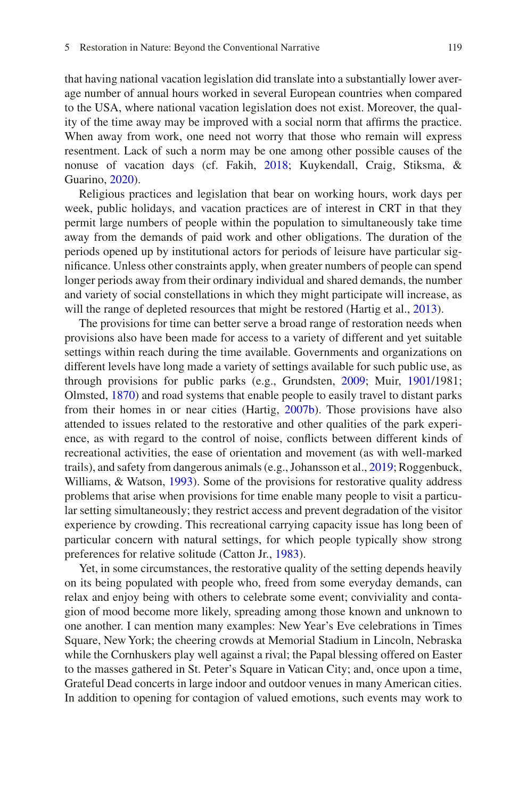that having national vacation legislation did translate into a substantially lower average number of annual hours worked in several European countries when compared to the USA, where national vacation legislation does not exist. Moreover, the quality of the time away may be improved with a social norm that affrms the practice. When away from work, one need not worry that those who remain will express resentment. Lack of such a norm may be one among other possible causes of the nonuse of vacation days (cf. Fakih, [2018](#page-52-12); Kuykendall, Craig, Stiksma, & Guarino, [2020\)](#page-56-14).

Religious practices and legislation that bear on working hours, work days per week, public holidays, and vacation practices are of interest in CRT in that they permit large numbers of people within the population to simultaneously take time away from the demands of paid work and other obligations. The duration of the periods opened up by institutional actors for periods of leisure have particular signifcance. Unless other constraints apply, when greater numbers of people can spend longer periods away from their ordinary individual and shared demands, the number and variety of social constellations in which they might participate will increase, as will the range of depleted resources that might be restored (Hartig et al., [2013\)](#page-53-9).

The provisions for time can better serve a broad range of restoration needs when provisions also have been made for access to a variety of different and yet suitable settings within reach during the time available. Governments and organizations on different levels have long made a variety of settings available for such public use, as through provisions for public parks (e.g., Grundsten, [2009;](#page-53-11) Muir, [1901/](#page-57-15)1981; Olmsted, [1870\)](#page-58-1) and road systems that enable people to easily travel to distant parks from their homes in or near cities (Hartig, [2007b](#page-53-12)). Those provisions have also attended to issues related to the restorative and other qualities of the park experience, as with regard to the control of noise, conficts between different kinds of recreational activities, the ease of orientation and movement (as with well-marked trails), and safety from dangerous animals (e.g., Johansson et al., [2019](#page-55-14); Roggenbuck, Williams, & Watson, [1993\)](#page-58-11). Some of the provisions for restorative quality address problems that arise when provisions for time enable many people to visit a particular setting simultaneously; they restrict access and prevent degradation of the visitor experience by crowding. This recreational carrying capacity issue has long been of particular concern with natural settings, for which people typically show strong preferences for relative solitude (Catton Jr., [1983\)](#page-50-13).

Yet, in some circumstances, the restorative quality of the setting depends heavily on its being populated with people who, freed from some everyday demands, can relax and enjoy being with others to celebrate some event; conviviality and contagion of mood become more likely, spreading among those known and unknown to one another. I can mention many examples: New Year's Eve celebrations in Times Square, New York; the cheering crowds at Memorial Stadium in Lincoln, Nebraska while the Cornhuskers play well against a rival; the Papal blessing offered on Easter to the masses gathered in St. Peter's Square in Vatican City; and, once upon a time, Grateful Dead concerts in large indoor and outdoor venues in many American cities. In addition to opening for contagion of valued emotions, such events may work to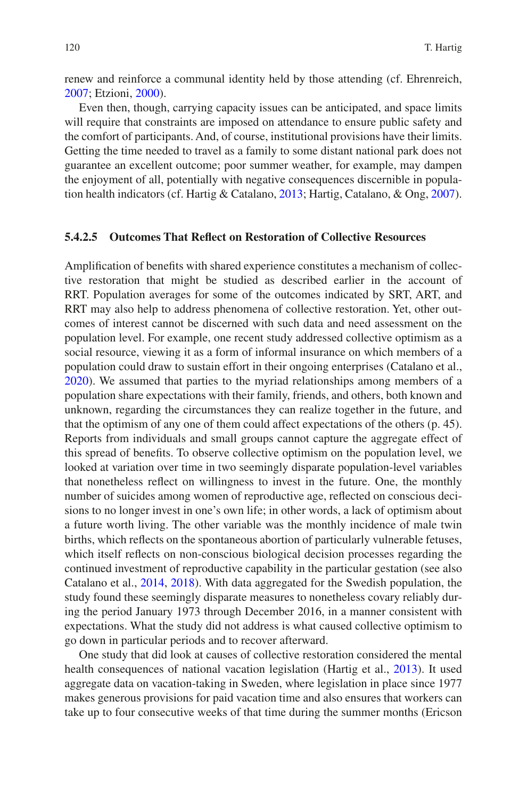renew and reinforce a communal identity held by those attending (cf. Ehrenreich, [2007;](#page-51-16) Etzioni, [2000](#page-52-13)).

Even then, though, carrying capacity issues can be anticipated, and space limits will require that constraints are imposed on attendance to ensure public safety and the comfort of participants. And, of course, institutional provisions have their limits. Getting the time needed to travel as a family to some distant national park does not guarantee an excellent outcome; poor summer weather, for example, may dampen the enjoyment of all, potentially with negative consequences discernible in population health indicators (cf. Hartig & Catalano, [2013;](#page-53-13) Hartig, Catalano, & Ong, [2007\)](#page-53-14).

#### **5.4.2.5 Outcomes That Refect on Restoration of Collective Resources**

Amplifcation of benefts with shared experience constitutes a mechanism of collective restoration that might be studied as described earlier in the account of RRT. Population averages for some of the outcomes indicated by SRT, ART, and RRT may also help to address phenomena of collective restoration. Yet, other outcomes of interest cannot be discerned with such data and need assessment on the population level. For example, one recent study addressed collective optimism as a social resource, viewing it as a form of informal insurance on which members of a population could draw to sustain effort in their ongoing enterprises (Catalano et al., [2020\)](#page-50-14). We assumed that parties to the myriad relationships among members of a population share expectations with their family, friends, and others, both known and unknown, regarding the circumstances they can realize together in the future, and that the optimism of any one of them could affect expectations of the others (p. 45). Reports from individuals and small groups cannot capture the aggregate effect of this spread of benefts. To observe collective optimism on the population level, we looked at variation over time in two seemingly disparate population-level variables that nonetheless refect on willingness to invest in the future. One, the monthly number of suicides among women of reproductive age, refected on conscious decisions to no longer invest in one's own life; in other words, a lack of optimism about a future worth living. The other variable was the monthly incidence of male twin births, which refects on the spontaneous abortion of particularly vulnerable fetuses, which itself refects on non-conscious biological decision processes regarding the continued investment of reproductive capability in the particular gestation (see also Catalano et al., [2014](#page-50-15), [2018](#page-50-2)). With data aggregated for the Swedish population, the study found these seemingly disparate measures to nonetheless covary reliably during the period January 1973 through December 2016, in a manner consistent with expectations. What the study did not address is what caused collective optimism to go down in particular periods and to recover afterward.

One study that did look at causes of collective restoration considered the mental health consequences of national vacation legislation (Hartig et al., [2013](#page-53-9)). It used aggregate data on vacation-taking in Sweden, where legislation in place since 1977 makes generous provisions for paid vacation time and also ensures that workers can take up to four consecutive weeks of that time during the summer months (Ericson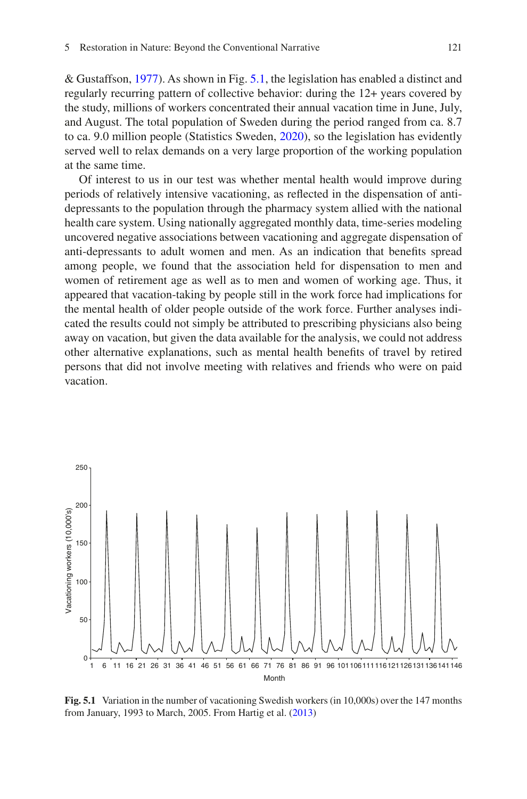& Gustaffson, [1977](#page-52-14)). As shown in Fig. [5.1](#page-32-0), the legislation has enabled a distinct and regularly recurring pattern of collective behavior: during the 12+ years covered by the study, millions of workers concentrated their annual vacation time in June, July, and August. The total population of Sweden during the period ranged from ca. 8.7 to ca. 9.0 million people (Statistics Sweden, [2020](#page-60-10)), so the legislation has evidently served well to relax demands on a very large proportion of the working population at the same time.

Of interest to us in our test was whether mental health would improve during periods of relatively intensive vacationing, as refected in the dispensation of antidepressants to the population through the pharmacy system allied with the national health care system. Using nationally aggregated monthly data, time-series modeling uncovered negative associations between vacationing and aggregate dispensation of anti-depressants to adult women and men. As an indication that benefts spread among people, we found that the association held for dispensation to men and women of retirement age as well as to men and women of working age. Thus, it appeared that vacation-taking by people still in the work force had implications for the mental health of older people outside of the work force. Further analyses indicated the results could not simply be attributed to prescribing physicians also being away on vacation, but given the data available for the analysis, we could not address other alternative explanations, such as mental health benefts of travel by retired persons that did not involve meeting with relatives and friends who were on paid vacation.

<span id="page-32-0"></span>

**Fig. 5.1** Variation in the number of vacationing Swedish workers (in 10,000s) over the 147 months from January, 1993 to March, 2005. From Hartig et al. [\(2013](#page-53-9))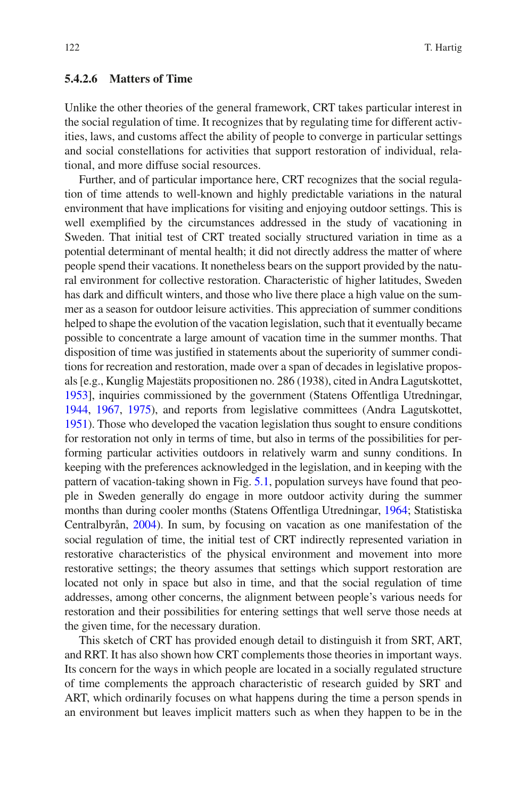### **5.4.2.6 Matters of Time**

Unlike the other theories of the general framework, CRT takes particular interest in the social regulation of time. It recognizes that by regulating time for different activities, laws, and customs affect the ability of people to converge in particular settings and social constellations for activities that support restoration of individual, relational, and more diffuse social resources.

Further, and of particular importance here, CRT recognizes that the social regulation of time attends to well-known and highly predictable variations in the natural environment that have implications for visiting and enjoying outdoor settings. This is well exemplifed by the circumstances addressed in the study of vacationing in Sweden. That initial test of CRT treated socially structured variation in time as a potential determinant of mental health; it did not directly address the matter of where people spend their vacations. It nonetheless bears on the support provided by the natural environment for collective restoration. Characteristic of higher latitudes, Sweden has dark and diffcult winters, and those who live there place a high value on the summer as a season for outdoor leisure activities. This appreciation of summer conditions helped to shape the evolution of the vacation legislation, such that it eventually became possible to concentrate a large amount of vacation time in the summer months. That disposition of time was justifed in statements about the superiority of summer conditions for recreation and restoration, made over a span of decades in legislative proposals [e.g., Kunglig Majestäts propositionen no. 286 (1938), cited in Andra Lagutskottet, [1953](#page-48-7)], inquiries commissioned by the government (Statens Offentliga Utredningar, [1944](#page-59-18), [1967,](#page-60-11) [1975](#page-60-12)), and reports from legislative committees (Andra Lagutskottet, [1951](#page-48-8)). Those who developed the vacation legislation thus sought to ensure conditions for restoration not only in terms of time, but also in terms of the possibilities for performing particular activities outdoors in relatively warm and sunny conditions. In keeping with the preferences acknowledged in the legislation, and in keeping with the pattern of vacation-taking shown in Fig. [5.1](#page-32-0), population surveys have found that people in Sweden generally do engage in more outdoor activity during the summer months than during cooler months (Statens Offentliga Utredningar, [1964](#page-59-19); Statistiska Centralbyrån, [2004\)](#page-60-13). In sum, by focusing on vacation as one manifestation of the social regulation of time, the initial test of CRT indirectly represented variation in restorative characteristics of the physical environment and movement into more restorative settings; the theory assumes that settings which support restoration are located not only in space but also in time, and that the social regulation of time addresses, among other concerns, the alignment between people's various needs for restoration and their possibilities for entering settings that well serve those needs at the given time, for the necessary duration.

This sketch of CRT has provided enough detail to distinguish it from SRT, ART, and RRT. It has also shown how CRT complements those theories in important ways. Its concern for the ways in which people are located in a socially regulated structure of time complements the approach characteristic of research guided by SRT and ART, which ordinarily focuses on what happens during the time a person spends in an environment but leaves implicit matters such as when they happen to be in the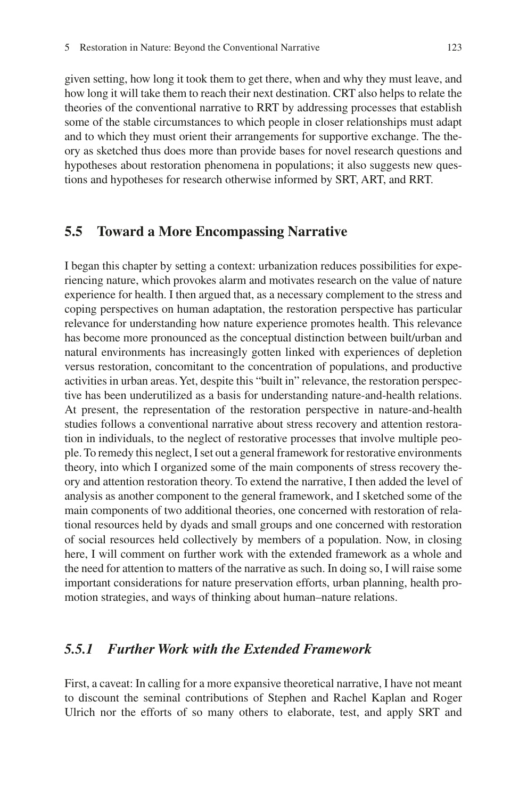given setting, how long it took them to get there, when and why they must leave, and how long it will take them to reach their next destination. CRT also helps to relate the theories of the conventional narrative to RRT by addressing processes that establish some of the stable circumstances to which people in closer relationships must adapt and to which they must orient their arrangements for supportive exchange. The theory as sketched thus does more than provide bases for novel research questions and hypotheses about restoration phenomena in populations; it also suggests new questions and hypotheses for research otherwise informed by SRT, ART, and RRT.

### **5.5 Toward a More Encompassing Narrative**

I began this chapter by setting a context: urbanization reduces possibilities for experiencing nature, which provokes alarm and motivates research on the value of nature experience for health. I then argued that, as a necessary complement to the stress and coping perspectives on human adaptation, the restoration perspective has particular relevance for understanding how nature experience promotes health. This relevance has become more pronounced as the conceptual distinction between built/urban and natural environments has increasingly gotten linked with experiences of depletion versus restoration, concomitant to the concentration of populations, and productive activities in urban areas. Yet, despite this "built in" relevance, the restoration perspective has been underutilized as a basis for understanding nature-and-health relations. At present, the representation of the restoration perspective in nature-and-health studies follows a conventional narrative about stress recovery and attention restoration in individuals, to the neglect of restorative processes that involve multiple people. To remedy this neglect, I set out a general framework for restorative environments theory, into which I organized some of the main components of stress recovery theory and attention restoration theory. To extend the narrative, I then added the level of analysis as another component to the general framework, and I sketched some of the main components of two additional theories, one concerned with restoration of relational resources held by dyads and small groups and one concerned with restoration of social resources held collectively by members of a population. Now, in closing here, I will comment on further work with the extended framework as a whole and the need for attention to matters of the narrative as such. In doing so, I will raise some important considerations for nature preservation efforts, urban planning, health promotion strategies, and ways of thinking about human–nature relations.

### *5.5.1 Further Work with the Extended Framework*

First, a caveat: In calling for a more expansive theoretical narrative, I have not meant to discount the seminal contributions of Stephen and Rachel Kaplan and Roger Ulrich nor the efforts of so many others to elaborate, test, and apply SRT and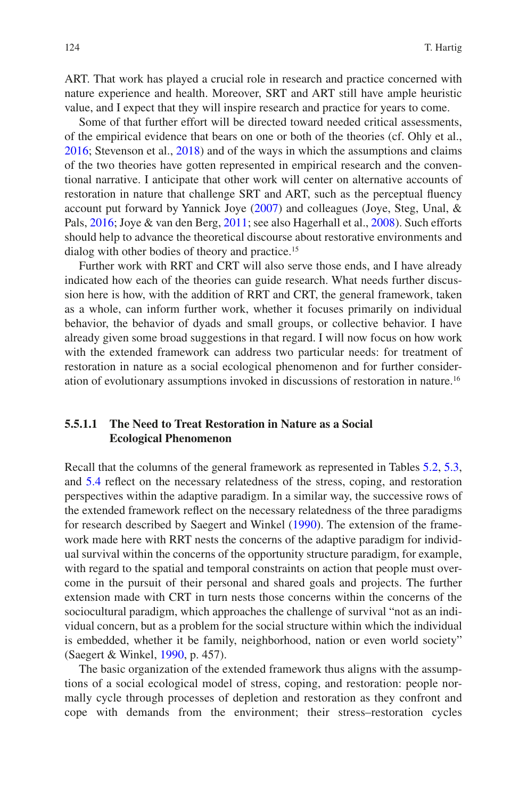ART. That work has played a crucial role in research and practice concerned with nature experience and health. Moreover, SRT and ART still have ample heuristic value, and I expect that they will inspire research and practice for years to come.

Some of that further effort will be directed toward needed critical assessments, of the empirical evidence that bears on one or both of the theories (cf. Ohly et al., [2016;](#page-57-10) Stevenson et al., [2018\)](#page-60-1) and of the ways in which the assumptions and claims of the two theories have gotten represented in empirical research and the conventional narrative. I anticipate that other work will center on alternative accounts of restoration in nature that challenge SRT and ART, such as the perceptual fuency account put forward by Yannick Joye [\(2007](#page-55-15)) and colleagues (Joye, Steg, Unal, & Pals, [2016;](#page-55-16) Joye & van den Berg, [2011;](#page-55-17) see also Hagerhall et al., [2008\)](#page-53-15). Such efforts should help to advance the theoretical discourse about restorative environments and dialog with other bodies of theory and practice.15

Further work with RRT and CRT will also serve those ends, and I have already indicated how each of the theories can guide research. What needs further discussion here is how, with the addition of RRT and CRT, the general framework, taken as a whole, can inform further work, whether it focuses primarily on individual behavior, the behavior of dyads and small groups, or collective behavior. I have already given some broad suggestions in that regard. I will now focus on how work with the extended framework can address two particular needs: for treatment of restoration in nature as a social ecological phenomenon and for further consideration of evolutionary assumptions invoked in discussions of restoration in nature.16

### **5.5.1.1 The Need to Treat Restoration in Nature as a Social Ecological Phenomenon**

Recall that the columns of the general framework as represented in Tables [5.2](#page-11-0), [5.3](#page-16-0), and [5.4](#page-27-0) refect on the necessary relatedness of the stress, coping, and restoration perspectives within the adaptive paradigm. In a similar way, the successive rows of the extended framework refect on the necessary relatedness of the three paradigms for research described by Saegert and Winkel [\(1990](#page-59-1)). The extension of the framework made here with RRT nests the concerns of the adaptive paradigm for individual survival within the concerns of the opportunity structure paradigm, for example, with regard to the spatial and temporal constraints on action that people must overcome in the pursuit of their personal and shared goals and projects. The further extension made with CRT in turn nests those concerns within the concerns of the sociocultural paradigm, which approaches the challenge of survival "not as an individual concern, but as a problem for the social structure within which the individual is embedded, whether it be family, neighborhood, nation or even world society" (Saegert & Winkel, [1990](#page-59-1), p. 457).

The basic organization of the extended framework thus aligns with the assumptions of a social ecological model of stress, coping, and restoration: people normally cycle through processes of depletion and restoration as they confront and cope with demands from the environment; their stress–restoration cycles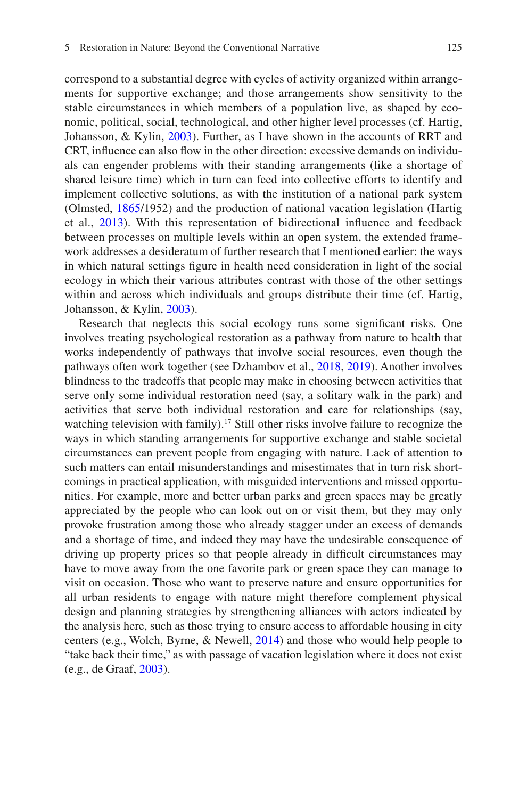correspond to a substantial degree with cycles of activity organized within arrangements for supportive exchange; and those arrangements show sensitivity to the stable circumstances in which members of a population live, as shaped by economic, political, social, technological, and other higher level processes (cf. Hartig, Johansson, & Kylin, [2003](#page-54-3)). Further, as I have shown in the accounts of RRT and CRT, infuence can also fow in the other direction: excessive demands on individuals can engender problems with their standing arrangements (like a shortage of shared leisure time) which in turn can feed into collective efforts to identify and implement collective solutions, as with the institution of a national park system (Olmsted, [1865](#page-58-12)/1952) and the production of national vacation legislation (Hartig et al., [2013](#page-53-9)). With this representation of bidirectional infuence and feedback between processes on multiple levels within an open system, the extended framework addresses a desideratum of further research that I mentioned earlier: the ways in which natural settings fgure in health need consideration in light of the social ecology in which their various attributes contrast with those of the other settings within and across which individuals and groups distribute their time (cf. Hartig, Johansson, & Kylin, [2003\)](#page-54-3).

Research that neglects this social ecology runs some signifcant risks. One involves treating psychological restoration as a pathway from nature to health that works independently of pathways that involve social resources, even though the pathways often work together (see Dzhambov et al., [2018](#page-51-3), [2019](#page-51-10)). Another involves blindness to the tradeoffs that people may make in choosing between activities that serve only some individual restoration need (say, a solitary walk in the park) and activities that serve both individual restoration and care for relationships (say, watching television with family).<sup>17</sup> Still other risks involve failure to recognize the ways in which standing arrangements for supportive exchange and stable societal circumstances can prevent people from engaging with nature. Lack of attention to such matters can entail misunderstandings and misestimates that in turn risk shortcomings in practical application, with misguided interventions and missed opportunities. For example, more and better urban parks and green spaces may be greatly appreciated by the people who can look out on or visit them, but they may only provoke frustration among those who already stagger under an excess of demands and a shortage of time, and indeed they may have the undesirable consequence of driving up property prices so that people already in diffcult circumstances may have to move away from the one favorite park or green space they can manage to visit on occasion. Those who want to preserve nature and ensure opportunities for all urban residents to engage with nature might therefore complement physical design and planning strategies by strengthening alliances with actors indicated by the analysis here, such as those trying to ensure access to affordable housing in city centers (e.g., Wolch, Byrne, & Newell, [2014](#page-62-4)) and those who would help people to "take back their time," as with passage of vacation legislation where it does not exist (e.g., de Graaf, [2003](#page-51-17)).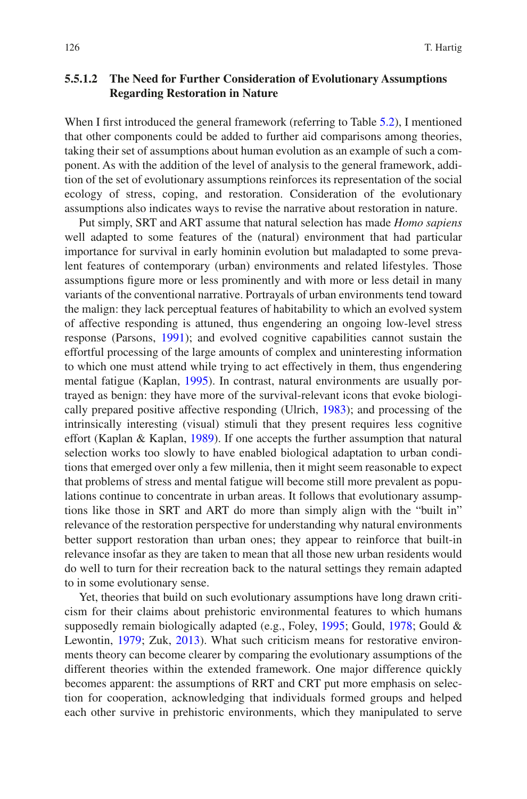### **5.5.1.2 The Need for Further Consideration of Evolutionary Assumptions Regarding Restoration in Nature**

When I first introduced the general framework (referring to Table [5.2](#page-11-0)), I mentioned that other components could be added to further aid comparisons among theories, taking their set of assumptions about human evolution as an example of such a component. As with the addition of the level of analysis to the general framework, addition of the set of evolutionary assumptions reinforces its representation of the social ecology of stress, coping, and restoration. Consideration of the evolutionary assumptions also indicates ways to revise the narrative about restoration in nature.

Put simply, SRT and ART assume that natural selection has made *Homo sapiens* well adapted to some features of the (natural) environment that had particular importance for survival in early hominin evolution but maladapted to some prevalent features of contemporary (urban) environments and related lifestyles. Those assumptions fgure more or less prominently and with more or less detail in many variants of the conventional narrative. Portrayals of urban environments tend toward the malign: they lack perceptual features of habitability to which an evolved system of affective responding is attuned, thus engendering an ongoing low-level stress response (Parsons, [1991](#page-58-13)); and evolved cognitive capabilities cannot sustain the effortful processing of the large amounts of complex and uninteresting information to which one must attend while trying to act effectively in them, thus engendering mental fatigue (Kaplan, [1995\)](#page-55-6). In contrast, natural environments are usually portrayed as benign: they have more of the survival-relevant icons that evoke biologically prepared positive affective responding (Ulrich, [1983\)](#page-60-2); and processing of the intrinsically interesting (visual) stimuli that they present requires less cognitive effort (Kaplan & Kaplan, [1989\)](#page-55-1). If one accepts the further assumption that natural selection works too slowly to have enabled biological adaptation to urban conditions that emerged over only a few millenia, then it might seem reasonable to expect that problems of stress and mental fatigue will become still more prevalent as populations continue to concentrate in urban areas. It follows that evolutionary assumptions like those in SRT and ART do more than simply align with the "built in" relevance of the restoration perspective for understanding why natural environments better support restoration than urban ones; they appear to reinforce that built-in relevance insofar as they are taken to mean that all those new urban residents would do well to turn for their recreation back to the natural settings they remain adapted to in some evolutionary sense.

Yet, theories that build on such evolutionary assumptions have long drawn criticism for their claims about prehistoric environmental features to which humans supposedly remain biologically adapted (e.g., Foley, [1995;](#page-52-15) Gould, [1978](#page-52-16); Gould & Lewontin, [1979](#page-52-17); Zuk, [2013\)](#page-62-0). What such criticism means for restorative environments theory can become clearer by comparing the evolutionary assumptions of the different theories within the extended framework. One major difference quickly becomes apparent: the assumptions of RRT and CRT put more emphasis on selection for cooperation, acknowledging that individuals formed groups and helped each other survive in prehistoric environments, which they manipulated to serve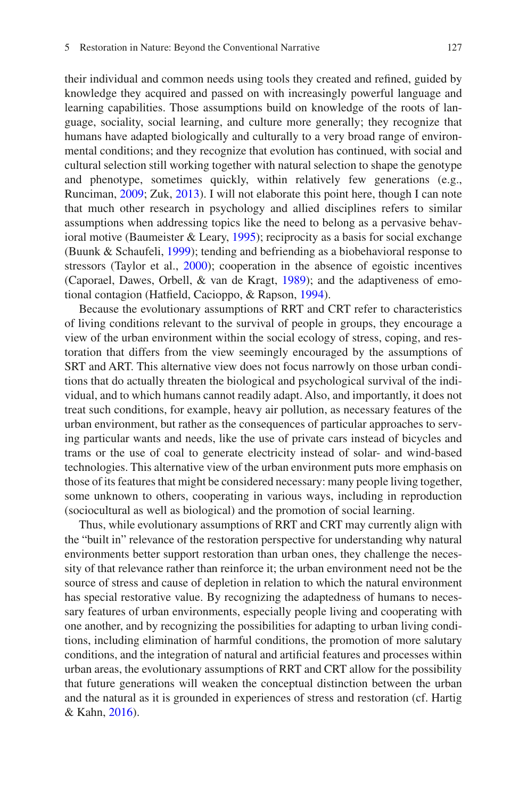their individual and common needs using tools they created and refned, guided by knowledge they acquired and passed on with increasingly powerful language and learning capabilities. Those assumptions build on knowledge of the roots of language, sociality, social learning, and culture more generally; they recognize that humans have adapted biologically and culturally to a very broad range of environmental conditions; and they recognize that evolution has continued, with social and cultural selection still working together with natural selection to shape the genotype and phenotype, sometimes quickly, within relatively few generations (e.g., Runciman, [2009](#page-58-14); Zuk, [2013](#page-62-0)). I will not elaborate this point here, though I can note that much other research in psychology and allied disciplines refers to similar assumptions when addressing topics like the need to belong as a pervasive behavioral motive (Baumeister & Leary, [1995\)](#page-49-9); reciprocity as a basis for social exchange (Buunk & Schaufeli, [1999](#page-49-5)); tending and befriending as a biobehavioral response to stressors (Taylor et al., [2000](#page-60-14)); cooperation in the absence of egoistic incentives (Caporael, Dawes, Orbell, & van de Kragt, [1989](#page-49-10)); and the adaptiveness of emotional contagion (Hatfeld, Cacioppo, & Rapson, [1994](#page-54-12)).

Because the evolutionary assumptions of RRT and CRT refer to characteristics of living conditions relevant to the survival of people in groups, they encourage a view of the urban environment within the social ecology of stress, coping, and restoration that differs from the view seemingly encouraged by the assumptions of SRT and ART. This alternative view does not focus narrowly on those urban conditions that do actually threaten the biological and psychological survival of the individual, and to which humans cannot readily adapt. Also, and importantly, it does not treat such conditions, for example, heavy air pollution, as necessary features of the urban environment, but rather as the consequences of particular approaches to serving particular wants and needs, like the use of private cars instead of bicycles and trams or the use of coal to generate electricity instead of solar- and wind-based technologies. This alternative view of the urban environment puts more emphasis on those of its features that might be considered necessary: many people living together, some unknown to others, cooperating in various ways, including in reproduction (sociocultural as well as biological) and the promotion of social learning.

Thus, while evolutionary assumptions of RRT and CRT may currently align with the "built in" relevance of the restoration perspective for understanding why natural environments better support restoration than urban ones, they challenge the necessity of that relevance rather than reinforce it; the urban environment need not be the source of stress and cause of depletion in relation to which the natural environment has special restorative value. By recognizing the adaptedness of humans to necessary features of urban environments, especially people living and cooperating with one another, and by recognizing the possibilities for adapting to urban living conditions, including elimination of harmful conditions, the promotion of more salutary conditions, and the integration of natural and artifcial features and processes within urban areas, the evolutionary assumptions of RRT and CRT allow for the possibility that future generations will weaken the conceptual distinction between the urban and the natural as it is grounded in experiences of stress and restoration (cf. Hartig & Kahn, [2016\)](#page-54-13).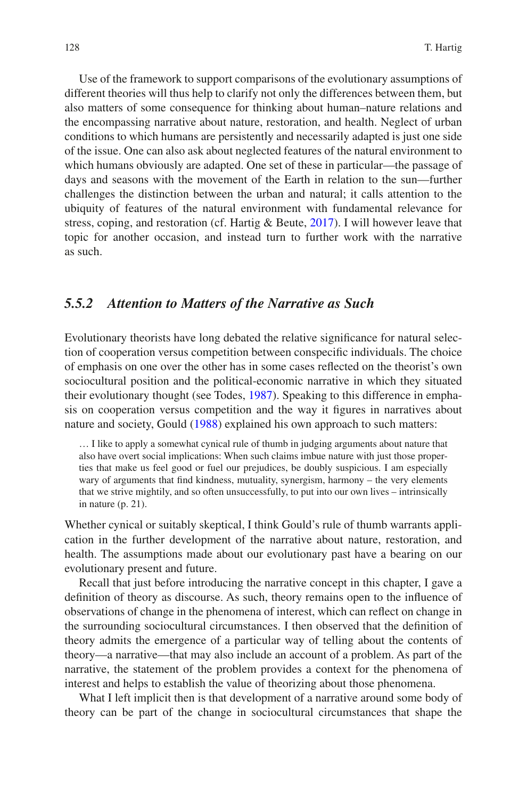Use of the framework to support comparisons of the evolutionary assumptions of different theories will thus help to clarify not only the differences between them, but also matters of some consequence for thinking about human–nature relations and the encompassing narrative about nature, restoration, and health. Neglect of urban conditions to which humans are persistently and necessarily adapted is just one side of the issue. One can also ask about neglected features of the natural environment to which humans obviously are adapted. One set of these in particular—the passage of days and seasons with the movement of the Earth in relation to the sun—further challenges the distinction between the urban and natural; it calls attention to the ubiquity of features of the natural environment with fundamental relevance for stress, coping, and restoration (cf. Hartig & Beute, [2017\)](#page-53-16). I will however leave that topic for another occasion, and instead turn to further work with the narrative as such.

### *5.5.2 Attention to Matters of the Narrative as Such*

Evolutionary theorists have long debated the relative signifcance for natural selection of cooperation versus competition between conspecifc individuals. The choice of emphasis on one over the other has in some cases refected on the theorist's own sociocultural position and the political-economic narrative in which they situated their evolutionary thought (see Todes, [1987](#page-60-15)). Speaking to this difference in emphasis on cooperation versus competition and the way it fgures in narratives about nature and society, Gould ([1988\)](#page-52-18) explained his own approach to such matters:

… I like to apply a somewhat cynical rule of thumb in judging arguments about nature that also have overt social implications: When such claims imbue nature with just those properties that make us feel good or fuel our prejudices, be doubly suspicious. I am especially wary of arguments that fnd kindness, mutuality, synergism, harmony – the very elements that we strive mightily, and so often unsuccessfully, to put into our own lives – intrinsically in nature (p. 21).

Whether cynical or suitably skeptical, I think Gould's rule of thumb warrants application in the further development of the narrative about nature, restoration, and health. The assumptions made about our evolutionary past have a bearing on our evolutionary present and future.

Recall that just before introducing the narrative concept in this chapter, I gave a defnition of theory as discourse. As such, theory remains open to the infuence of observations of change in the phenomena of interest, which can refect on change in the surrounding sociocultural circumstances. I then observed that the defnition of theory admits the emergence of a particular way of telling about the contents of theory—a narrative—that may also include an account of a problem. As part of the narrative, the statement of the problem provides a context for the phenomena of interest and helps to establish the value of theorizing about those phenomena.

What I left implicit then is that development of a narrative around some body of theory can be part of the change in sociocultural circumstances that shape the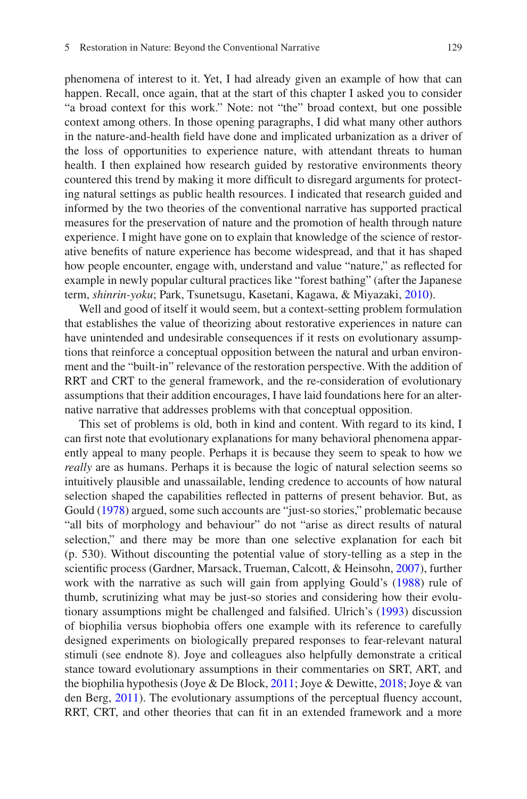phenomena of interest to it. Yet, I had already given an example of how that can happen. Recall, once again, that at the start of this chapter I asked you to consider "a broad context for this work." Note: not "the" broad context, but one possible context among others. In those opening paragraphs, I did what many other authors in the nature-and-health feld have done and implicated urbanization as a driver of the loss of opportunities to experience nature, with attendant threats to human health. I then explained how research guided by restorative environments theory countered this trend by making it more diffcult to disregard arguments for protecting natural settings as public health resources. I indicated that research guided and informed by the two theories of the conventional narrative has supported practical measures for the preservation of nature and the promotion of health through nature experience. I might have gone on to explain that knowledge of the science of restorative benefts of nature experience has become widespread, and that it has shaped how people encounter, engage with, understand and value "nature," as refected for example in newly popular cultural practices like "forest bathing" (after the Japanese term, *shinrin-yoku*; Park, Tsunetsugu, Kasetani, Kagawa, & Miyazaki, [2010\)](#page-58-15).

Well and good of itself it would seem, but a context-setting problem formulation that establishes the value of theorizing about restorative experiences in nature can have unintended and undesirable consequences if it rests on evolutionary assumptions that reinforce a conceptual opposition between the natural and urban environment and the "built-in" relevance of the restoration perspective. With the addition of RRT and CRT to the general framework, and the re-consideration of evolutionary assumptions that their addition encourages, I have laid foundations here for an alternative narrative that addresses problems with that conceptual opposition.

This set of problems is old, both in kind and content. With regard to its kind, I can frst note that evolutionary explanations for many behavioral phenomena apparently appeal to many people. Perhaps it is because they seem to speak to how we *really* are as humans. Perhaps it is because the logic of natural selection seems so intuitively plausible and unassailable, lending credence to accounts of how natural selection shaped the capabilities refected in patterns of present behavior. But, as Gould [\(1978](#page-52-16)) argued, some such accounts are "just-so stories," problematic because "all bits of morphology and behaviour" do not "arise as direct results of natural selection," and there may be more than one selective explanation for each bit (p. 530). Without discounting the potential value of story-telling as a step in the scientifc process (Gardner, Marsack, Trueman, Calcott, & Heinsohn, [2007](#page-52-19)), further work with the narrative as such will gain from applying Gould's ([1988\)](#page-52-18) rule of thumb, scrutinizing what may be just-so stories and considering how their evolutionary assumptions might be challenged and falsifed. Ulrich's [\(1993](#page-61-8)) discussion of biophilia versus biophobia offers one example with its reference to carefully designed experiments on biologically prepared responses to fear-relevant natural stimuli (see endnote 8). Joye and colleagues also helpfully demonstrate a critical stance toward evolutionary assumptions in their commentaries on SRT, ART, and the biophilia hypothesis (Joye & De Block, [2011;](#page-55-18) Joye & Dewitte, [2018;](#page-55-19) Joye & van den Berg, [2011\)](#page-55-17). The evolutionary assumptions of the perceptual fuency account, RRT, CRT, and other theories that can fit in an extended framework and a more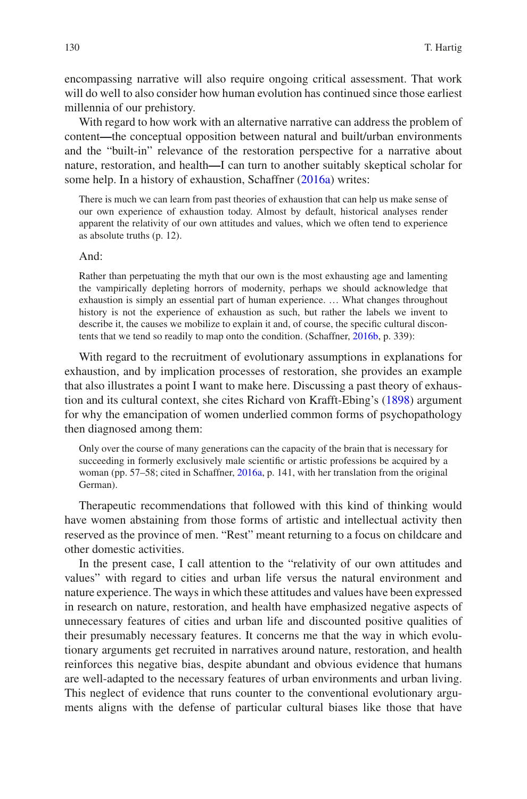encompassing narrative will also require ongoing critical assessment. That work will do well to also consider how human evolution has continued since those earliest millennia of our prehistory.

With regard to how work with an alternative narrative can address the problem of content**—**the conceptual opposition between natural and built/urban environments and the "built-in" relevance of the restoration perspective for a narrative about nature, restoration, and health**—**I can turn to another suitably skeptical scholar for some help. In a history of exhaustion, Schaffner [\(2016a\)](#page-59-20) writes:

There is much we can learn from past theories of exhaustion that can help us make sense of our own experience of exhaustion today. Almost by default, historical analyses render apparent the relativity of our own attitudes and values, which we often tend to experience as absolute truths (p. 12).

#### And:

Rather than perpetuating the myth that our own is the most exhausting age and lamenting the vampirically depleting horrors of modernity, perhaps we should acknowledge that exhaustion is simply an essential part of human experience. … What changes throughout history is not the experience of exhaustion as such, but rather the labels we invent to describe it, the causes we mobilize to explain it and, of course, the specifc cultural discontents that we tend so readily to map onto the condition. (Schaffner, [2016b,](#page-59-21) p. 339):

With regard to the recruitment of evolutionary assumptions in explanations for exhaustion, and by implication processes of restoration, she provides an example that also illustrates a point I want to make here. Discussing a past theory of exhaustion and its cultural context, she cites Richard von Krafft-Ebing's ([1898\)](#page-61-16) argument for why the emancipation of women underlied common forms of psychopathology then diagnosed among them:

Only over the course of many generations can the capacity of the brain that is necessary for succeeding in formerly exclusively male scientifc or artistic professions be acquired by a woman (pp. 57–58; cited in Schaffner, [2016a,](#page-59-20) p. 141, with her translation from the original German).

Therapeutic recommendations that followed with this kind of thinking would have women abstaining from those forms of artistic and intellectual activity then reserved as the province of men. "Rest" meant returning to a focus on childcare and other domestic activities.

In the present case, I call attention to the "relativity of our own attitudes and values" with regard to cities and urban life versus the natural environment and nature experience. The ways in which these attitudes and values have been expressed in research on nature, restoration, and health have emphasized negative aspects of unnecessary features of cities and urban life and discounted positive qualities of their presumably necessary features. It concerns me that the way in which evolutionary arguments get recruited in narratives around nature, restoration, and health reinforces this negative bias, despite abundant and obvious evidence that humans are well-adapted to the necessary features of urban environments and urban living. This neglect of evidence that runs counter to the conventional evolutionary arguments aligns with the defense of particular cultural biases like those that have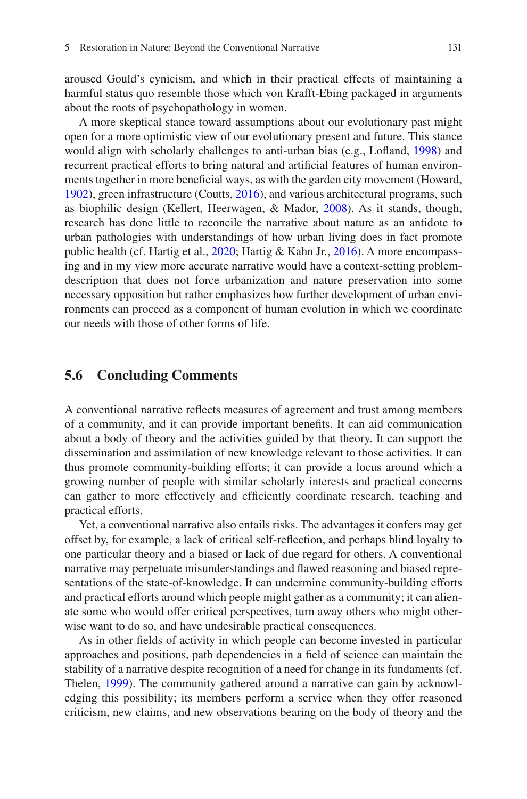aroused Gould's cynicism, and which in their practical effects of maintaining a harmful status quo resemble those which von Krafft-Ebing packaged in arguments about the roots of psychopathology in women.

A more skeptical stance toward assumptions about our evolutionary past might open for a more optimistic view of our evolutionary present and future. This stance would align with scholarly challenges to anti-urban bias (e.g., Lofand, [1998\)](#page-57-13) and recurrent practical efforts to bring natural and artifcial features of human environments together in more benefcial ways, as with the garden city movement (Howard, [1902\)](#page-54-14), green infrastructure (Coutts, [2016](#page-51-1)), and various architectural programs, such as biophilic design (Kellert, Heerwagen, & Mador, [2008\)](#page-55-20). As it stands, though, research has done little to reconcile the narrative about nature as an antidote to urban pathologies with understandings of how urban living does in fact promote public health (cf. Hartig et al., [2020](#page-53-17); Hartig & Kahn Jr., [2016\)](#page-54-13). A more encompassing and in my view more accurate narrative would have a context-setting problemdescription that does not force urbanization and nature preservation into some necessary opposition but rather emphasizes how further development of urban environments can proceed as a component of human evolution in which we coordinate our needs with those of other forms of life.

### **5.6 Concluding Comments**

A conventional narrative refects measures of agreement and trust among members of a community, and it can provide important benefts. It can aid communication about a body of theory and the activities guided by that theory. It can support the dissemination and assimilation of new knowledge relevant to those activities. It can thus promote community-building efforts; it can provide a locus around which a growing number of people with similar scholarly interests and practical concerns can gather to more effectively and effciently coordinate research, teaching and practical efforts.

Yet, a conventional narrative also entails risks. The advantages it confers may get offset by, for example, a lack of critical self-refection, and perhaps blind loyalty to one particular theory and a biased or lack of due regard for others. A conventional narrative may perpetuate misunderstandings and fawed reasoning and biased representations of the state-of-knowledge. It can undermine community-building efforts and practical efforts around which people might gather as a community; it can alienate some who would offer critical perspectives, turn away others who might otherwise want to do so, and have undesirable practical consequences.

As in other felds of activity in which people can become invested in particular approaches and positions, path dependencies in a feld of science can maintain the stability of a narrative despite recognition of a need for change in its fundaments (cf. Thelen, [1999](#page-60-16)). The community gathered around a narrative can gain by acknowledging this possibility; its members perform a service when they offer reasoned criticism, new claims, and new observations bearing on the body of theory and the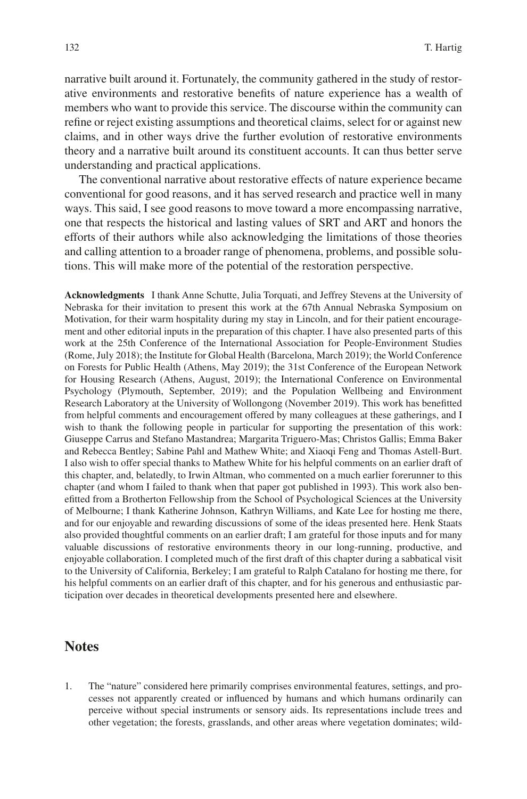narrative built around it. Fortunately, the community gathered in the study of restorative environments and restorative benefts of nature experience has a wealth of members who want to provide this service. The discourse within the community can refne or reject existing assumptions and theoretical claims, select for or against new claims, and in other ways drive the further evolution of restorative environments theory and a narrative built around its constituent accounts. It can thus better serve understanding and practical applications.

The conventional narrative about restorative effects of nature experience became conventional for good reasons, and it has served research and practice well in many ways. This said, I see good reasons to move toward a more encompassing narrative, one that respects the historical and lasting values of SRT and ART and honors the efforts of their authors while also acknowledging the limitations of those theories and calling attention to a broader range of phenomena, problems, and possible solutions. This will make more of the potential of the restoration perspective.

**Acknowledgments** I thank Anne Schutte, Julia Torquati, and Jeffrey Stevens at the University of Nebraska for their invitation to present this work at the 67th Annual Nebraska Symposium on Motivation, for their warm hospitality during my stay in Lincoln, and for their patient encouragement and other editorial inputs in the preparation of this chapter. I have also presented parts of this work at the 25th Conference of the International Association for People-Environment Studies (Rome, July 2018); the Institute for Global Health (Barcelona, March 2019); the World Conference on Forests for Public Health (Athens, May 2019); the 31st Conference of the European Network for Housing Research (Athens, August, 2019); the International Conference on Environmental Psychology (Plymouth, September, 2019); and the Population Wellbeing and Environment Research Laboratory at the University of Wollongong (November 2019). This work has beneftted from helpful comments and encouragement offered by many colleagues at these gatherings, and I wish to thank the following people in particular for supporting the presentation of this work: Giuseppe Carrus and Stefano Mastandrea; Margarita Triguero-Mas; Christos Gallis; Emma Baker and Rebecca Bentley; Sabine Pahl and Mathew White; and Xiaoqi Feng and Thomas Astell-Burt. I also wish to offer special thanks to Mathew White for his helpful comments on an earlier draft of this chapter, and, belatedly, to Irwin Altman, who commented on a much earlier forerunner to this chapter (and whom I failed to thank when that paper got published in 1993). This work also beneftted from a Brotherton Fellowship from the School of Psychological Sciences at the University of Melbourne; I thank Katherine Johnson, Kathryn Williams, and Kate Lee for hosting me there, and for our enjoyable and rewarding discussions of some of the ideas presented here. Henk Staats also provided thoughtful comments on an earlier draft; I am grateful for those inputs and for many valuable discussions of restorative environments theory in our long-running, productive, and enjoyable collaboration. I completed much of the frst draft of this chapter during a sabbatical visit to the University of California, Berkeley; I am grateful to Ralph Catalano for hosting me there, for his helpful comments on an earlier draft of this chapter, and for his generous and enthusiastic participation over decades in theoretical developments presented here and elsewhere.

### **Notes**

1. The "nature" considered here primarily comprises environmental features, settings, and processes not apparently created or infuenced by humans and which humans ordinarily can perceive without special instruments or sensory aids. Its representations include trees and other vegetation; the forests, grasslands, and other areas where vegetation dominates; wild-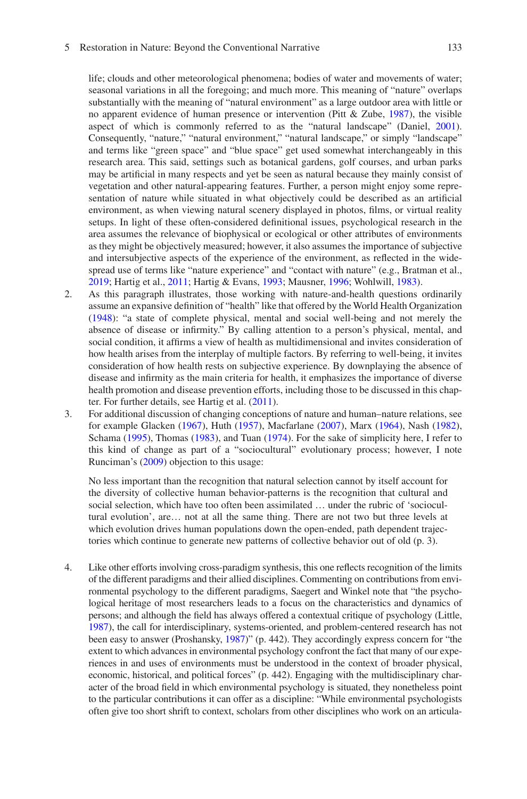#### 5 Restoration in Nature: Beyond the Conventional Narrative

life; clouds and other meteorological phenomena; bodies of water and movements of water; seasonal variations in all the foregoing; and much more. This meaning of "nature" overlaps substantially with the meaning of "natural environment" as a large outdoor area with little or no apparent evidence of human presence or intervention (Pitt & Zube, [1987](#page-58-16)), the visible aspect of which is commonly referred to as the "natural landscape" (Daniel, [2001\)](#page-51-18). Consequently, "nature," "natural environment," "natural landscape," or simply "landscape" and terms like "green space" and "blue space" get used somewhat interchangeably in this research area. This said, settings such as botanical gardens, golf courses, and urban parks may be artifcial in many respects and yet be seen as natural because they mainly consist of vegetation and other natural-appearing features. Further, a person might enjoy some representation of nature while situated in what objectively could be described as an artifcial environment, as when viewing natural scenery displayed in photos, flms, or virtual reality setups. In light of these often-considered defnitional issues, psychological research in the area assumes the relevance of biophysical or ecological or other attributes of environments as they might be objectively measured; however, it also assumes the importance of subjective and intersubjective aspects of the experience of the environment, as refected in the widespread use of terms like "nature experience" and "contact with nature" (e.g., Bratman et al., [2019;](#page-49-11) Hartig et al., [2011;](#page-54-7) Hartig & Evans, [1993;](#page-53-7) Mausner, [1996;](#page-57-16) Wohlwill, [1983\)](#page-62-5).

- 2. As this paragraph illustrates, those working with nature-and-health questions ordinarily assume an expansive defnition of "health" like that offered by the World Health Organization ([1948\)](#page-61-17): "a state of complete physical, mental and social well-being and not merely the absence of disease or infrmity." By calling attention to a person's physical, mental, and social condition, it affrms a view of health as multidimensional and invites consideration of how health arises from the interplay of multiple factors. By referring to well-being, it invites consideration of how health rests on subjective experience. By downplaying the absence of disease and infrmity as the main criteria for health, it emphasizes the importance of diverse health promotion and disease prevention efforts, including those to be discussed in this chapter. For further details, see Hartig et al. [\(2011](#page-54-7)).
- 3. For additional discussion of changing conceptions of nature and human–nature relations, see for example Glacken ([1967\)](#page-52-20), Huth ([1957\)](#page-54-15), Macfarlane [\(2007](#page-57-17)), Marx ([1964\)](#page-57-18), Nash ([1982\)](#page-57-19), Schama ([1995\)](#page-59-22), Thomas [\(1983](#page-60-17)), and Tuan [\(1974](#page-60-18)). For the sake of simplicity here, I refer to this kind of change as part of a "sociocultural" evolutionary process; however, I note Runciman's [\(2009](#page-58-14)) objection to this usage:

No less important than the recognition that natural selection cannot by itself account for the diversity of collective human behavior-patterns is the recognition that cultural and social selection, which have too often been assimilated … under the rubric of 'sociocultural evolution', are… not at all the same thing. There are not two but three levels at which evolution drives human populations down the open-ended, path dependent trajectories which continue to generate new patterns of collective behavior out of old (p. 3).

4. Like other efforts involving cross-paradigm synthesis, this one refects recognition of the limits of the different paradigms and their allied disciplines. Commenting on contributions from environmental psychology to the different paradigms, Saegert and Winkel note that "the psychological heritage of most researchers leads to a focus on the characteristics and dynamics of persons; and although the feld has always offered a contextual critique of psychology (Little, [1987\)](#page-57-20), the call for interdisciplinary, systems-oriented, and problem-centered research has not been easy to answer (Proshansky, [1987](#page-58-17))" (p. 442). They accordingly express concern for "the extent to which advances in environmental psychology confront the fact that many of our experiences in and uses of environments must be understood in the context of broader physical, economic, historical, and political forces" (p. 442). Engaging with the multidisciplinary character of the broad feld in which environmental psychology is situated, they nonetheless point to the particular contributions it can offer as a discipline: "While environmental psychologists often give too short shrift to context, scholars from other disciplines who work on an articula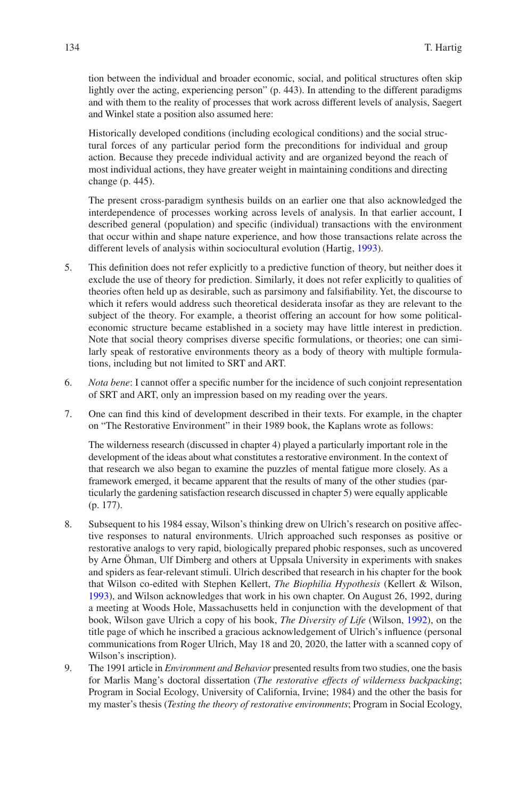tion between the individual and broader economic, social, and political structures often skip lightly over the acting, experiencing person" (p. 443). In attending to the different paradigms and with them to the reality of processes that work across different levels of analysis, Saegert and Winkel state a position also assumed here:

Historically developed conditions (including ecological conditions) and the social structural forces of any particular period form the preconditions for individual and group action. Because they precede individual activity and are organized beyond the reach of most individual actions, they have greater weight in maintaining conditions and directing change (p. 445).

The present cross-paradigm synthesis builds on an earlier one that also acknowledged the interdependence of processes working across levels of analysis. In that earlier account, I described general (population) and specifc (individual) transactions with the environment that occur within and shape nature experience, and how those transactions relate across the different levels of analysis within sociocultural evolution (Hartig, [1993\)](#page-53-8).

- 5. This defnition does not refer explicitly to a predictive function of theory, but neither does it exclude the use of theory for prediction. Similarly, it does not refer explicitly to qualities of theories often held up as desirable, such as parsimony and falsifability. Yet, the discourse to which it refers would address such theoretical desiderata insofar as they are relevant to the subject of the theory. For example, a theorist offering an account for how some politicaleconomic structure became established in a society may have little interest in prediction. Note that social theory comprises diverse specifc formulations, or theories; one can similarly speak of restorative environments theory as a body of theory with multiple formulations, including but not limited to SRT and ART.
- 6. *Nota bene*: I cannot offer a specifc number for the incidence of such conjoint representation of SRT and ART, only an impression based on my reading over the years.
- 7. One can fnd this kind of development described in their texts. For example, in the chapter on "The Restorative Environment" in their 1989 book, the Kaplans wrote as follows:

The wilderness research (discussed in chapter 4) played a particularly important role in the development of the ideas about what constitutes a restorative environment. In the context of that research we also began to examine the puzzles of mental fatigue more closely. As a framework emerged, it became apparent that the results of many of the other studies (particularly the gardening satisfaction research discussed in chapter 5) were equally applicable (p. 177).

- 8. Subsequent to his 1984 essay, Wilson's thinking drew on Ulrich's research on positive affective responses to natural environments. Ulrich approached such responses as positive or restorative analogs to very rapid, biologically prepared phobic responses, such as uncovered by Arne Öhman, Ulf Dimberg and others at Uppsala University in experiments with snakes and spiders as fear-relevant stimuli. Ulrich described that research in his chapter for the book that Wilson co-edited with Stephen Kellert, *The Biophilia Hypothesis* (Kellert & Wilson, [1993\)](#page-55-21), and Wilson acknowledges that work in his own chapter. On August 26, 1992, during a meeting at Woods Hole, Massachusetts held in conjunction with the development of that book, Wilson gave Ulrich a copy of his book, *The Diversity of Life* (Wilson, [1992\)](#page-62-6), on the title page of which he inscribed a gracious acknowledgement of Ulrich's infuence (personal communications from Roger Ulrich, May 18 and 20, 2020, the latter with a scanned copy of Wilson's inscription).
- 9. The 1991 article in *Environment and Behavior* presented results from two studies, one the basis for Marlis Mang's doctoral dissertation (*The restorative effects of wilderness backpacking*; Program in Social Ecology, University of California, Irvine; 1984) and the other the basis for my master's thesis (*Testing the theory of restorative environments*; Program in Social Ecology,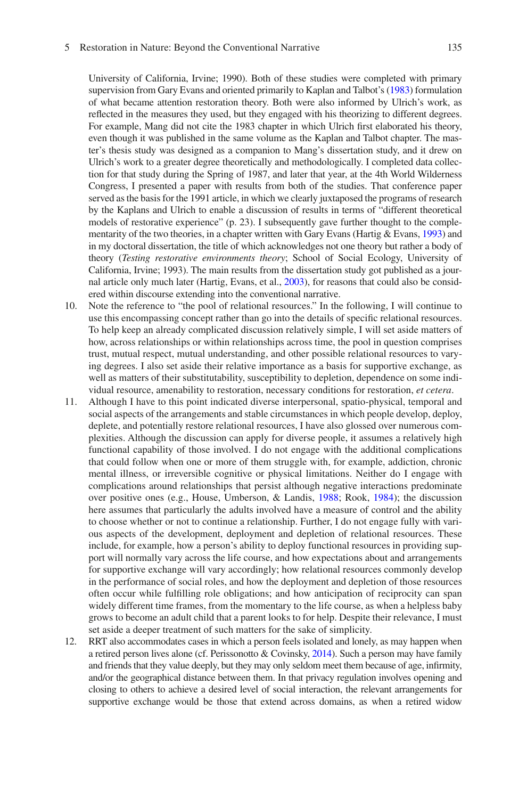#### 5 Restoration in Nature: Beyond the Conventional Narrative

University of California, Irvine; 1990). Both of these studies were completed with primary supervision from Gary Evans and oriented primarily to Kaplan and Talbot's [\(1983\)](#page-55-10) formulation of what became attention restoration theory. Both were also informed by Ulrich's work, as refected in the measures they used, but they engaged with his theorizing to different degrees. For example, Mang did not cite the 1983 chapter in which Ulrich frst elaborated his theory, even though it was published in the same volume as the Kaplan and Talbot chapter. The master's thesis study was designed as a companion to Mang's dissertation study, and it drew on Ulrich's work to a greater degree theoretically and methodologically. I completed data collection for that study during the Spring of 1987, and later that year, at the 4th World Wilderness Congress, I presented a paper with results from both of the studies. That conference paper served as the basis for the 1991 article, in which we clearly juxtaposed the programs of research by the Kaplans and Ulrich to enable a discussion of results in terms of "different theoretical models of restorative experience" (p. 23). I subsequently gave further thought to the complementarity of the two theories, in a chapter written with Gary Evans (Hartig & Evans, [1993\)](#page-53-7) and in my doctoral dissertation, the title of which acknowledges not one theory but rather a body of theory (*Testing restorative environments theory*; School of Social Ecology, University of California, Irvine; 1993). The main results from the dissertation study got published as a journal article only much later (Hartig, Evans, et al., [2003\)](#page-54-6), for reasons that could also be considered within discourse extending into the conventional narrative.

- 10. Note the reference to "the pool of relational resources." In the following, I will continue to use this encompassing concept rather than go into the details of specifc relational resources. To help keep an already complicated discussion relatively simple, I will set aside matters of how, across relationships or within relationships across time, the pool in question comprises trust, mutual respect, mutual understanding, and other possible relational resources to varying degrees. I also set aside their relative importance as a basis for supportive exchange, as well as matters of their substitutability, susceptibility to depletion, dependence on some individual resource, amenability to restoration, necessary conditions for restoration, *et cetera*.
- 11. Although I have to this point indicated diverse interpersonal, spatio-physical, temporal and social aspects of the arrangements and stable circumstances in which people develop, deploy, deplete, and potentially restore relational resources, I have also glossed over numerous complexities. Although the discussion can apply for diverse people, it assumes a relatively high functional capability of those involved. I do not engage with the additional complications that could follow when one or more of them struggle with, for example, addiction, chronic mental illness, or irreversible cognitive or physical limitations. Neither do I engage with complications around relationships that persist although negative interactions predominate over positive ones (e.g., House, Umberson, & Landis, [1988;](#page-54-16) Rook, [1984](#page-58-18)); the discussion here assumes that particularly the adults involved have a measure of control and the ability to choose whether or not to continue a relationship. Further, I do not engage fully with various aspects of the development, deployment and depletion of relational resources. These include, for example, how a person's ability to deploy functional resources in providing support will normally vary across the life course, and how expectations about and arrangements for supportive exchange will vary accordingly; how relational resources commonly develop in the performance of social roles, and how the deployment and depletion of those resources often occur while fulflling role obligations; and how anticipation of reciprocity can span widely different time frames, from the momentary to the life course, as when a helpless baby grows to become an adult child that a parent looks to for help. Despite their relevance, I must set aside a deeper treatment of such matters for the sake of simplicity.
- 12. RRT also accommodates cases in which a person feels isolated and lonely, as may happen when a retired person lives alone (cf. Perissonotto & Covinsky, [2014\)](#page-58-19). Such a person may have family and friends that they value deeply, but they may only seldom meet them because of age, infrmity, and/or the geographical distance between them. In that privacy regulation involves opening and closing to others to achieve a desired level of social interaction, the relevant arrangements for supportive exchange would be those that extend across domains, as when a retired widow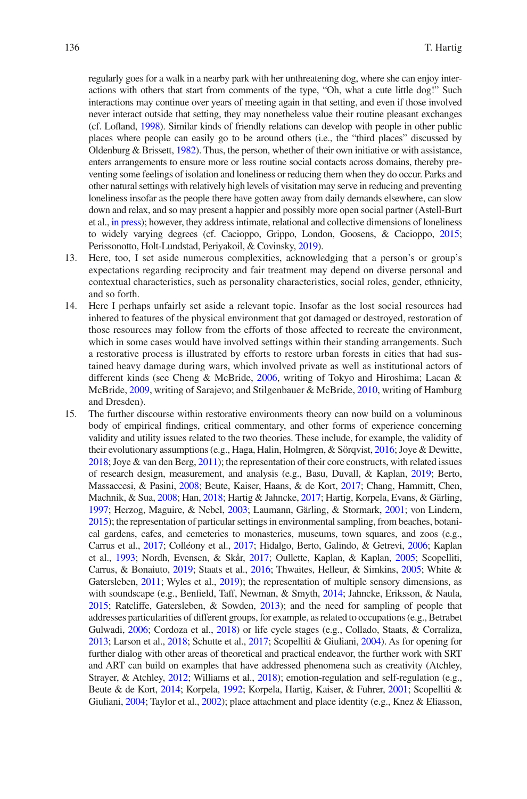regularly goes for a walk in a nearby park with her unthreatening dog, where she can enjoy interactions with others that start from comments of the type, "Oh, what a cute little dog!" Such interactions may continue over years of meeting again in that setting, and even if those involved never interact outside that setting, they may nonetheless value their routine pleasant exchanges (cf. Lofand, [1998](#page-57-13)). Similar kinds of friendly relations can develop with people in other public places where people can easily go to be around others (i.e., the "third places" discussed by Oldenburg & Brissett, [1982](#page-57-21)). Thus, the person, whether of their own initiative or with assistance, enters arrangements to ensure more or less routine social contacts across domains, thereby preventing some feelings of isolation and loneliness or reducing them when they do occur. Parks and other natural settings with relatively high levels of visitation may serve in reducing and preventing loneliness insofar as the people there have gotten away from daily demands elsewhere, can slow down and relax, and so may present a happier and possibly more open social partner (Astell-Burt et al., [in press\)](#page-48-9); however, they address intimate, relational and collective dimensions of loneliness to widely varying degrees (cf. Cacioppo, Grippo, London, Goosens, & Cacioppo, [2015](#page-49-12); Perissonotto, Holt-Lundstad, Periyakoil, & Covinsky, [2019](#page-58-20)).

- 13. Here, too, I set aside numerous complexities, acknowledging that a person's or group's expectations regarding reciprocity and fair treatment may depend on diverse personal and contextual characteristics, such as personality characteristics, social roles, gender, ethnicity, and so forth.
- 14. Here I perhaps unfairly set aside a relevant topic. Insofar as the lost social resources had inhered to features of the physical environment that got damaged or destroyed, restoration of those resources may follow from the efforts of those affected to recreate the environment, which in some cases would have involved settings within their standing arrangements. Such a restorative process is illustrated by efforts to restore urban forests in cities that had sustained heavy damage during wars, which involved private as well as institutional actors of different kinds (see Cheng & McBride, [2006](#page-50-16), writing of Tokyo and Hiroshima; Lacan & McBride, [2009,](#page-56-15) writing of Sarajevo; and Stilgenbauer & McBride, [2010,](#page-60-19) writing of Hamburg and Dresden).
- 15. The further discourse within restorative environments theory can now build on a voluminous body of empirical fndings, critical commentary, and other forms of experience concerning validity and utility issues related to the two theories. These include, for example, the validity of their evolutionary assumptions (e.g., Haga, Halin, Holmgren, & Sörqvist, [2016](#page-53-18); Joye & Dewitte, [2018](#page-55-19); Joye & van den Berg, [2011\)](#page-55-17); the representation of their core constructs, with related issues of research design, measurement, and analysis (e.g., Basu, Duvall, & Kaplan, [2019;](#page-49-13) Berto, Massaccesi, & Pasini, [2008](#page-49-14); Beute, Kaiser, Haans, & de Kort, [2017;](#page-49-15) Chang, Hammitt, Chen, Machnik, & Sua, [2008;](#page-50-17) Han, [2018;](#page-53-19) Hartig & Jahncke, [2017;](#page-54-17) Hartig, Korpela, Evans, & Gärling, [1997](#page-54-18); Herzog, Maguire, & Nebel, [2003](#page-54-19); Laumann, Gärling, & Stormark, [2001;](#page-56-16) von Lindern, [2015](#page-61-7)); the representation of particular settings in environmental sampling, from beaches, botanical gardens, cafes, and cemeteries to monasteries, museums, town squares, and zoos (e.g., Carrus et al., [2017](#page-50-18); Colléony et al., [2017;](#page-51-19) Hidalgo, Berto, Galindo, & Getrevi, [2006;](#page-54-20) Kaplan et al., [1993;](#page-55-3) Nordh, Evensen, & Skår, [2017](#page-57-22); Oullette, Kaplan, & Kaplan, [2005](#page-58-21); Scopelliti, Carrus, & Bonaiuto, [2019;](#page-59-23) Staats et al., [2016;](#page-59-2) Thwaites, Helleur, & Simkins, [2005](#page-60-20); White & Gatersleben, [2011](#page-61-18); Wyles et al., [2019\)](#page-62-7); the representation of multiple sensory dimensions, as with soundscape (e.g., Benfeld, Taff, Newman, & Smyth, [2014;](#page-49-16) Jahncke, Eriksson, & Naula, [2015](#page-54-21); Ratcliffe, Gatersleben, & Sowden, [2013\)](#page-58-22); and the need for sampling of people that addresses particularities of different groups, for example, as related to occupations (e.g., Betrabet Gulwadi, [2006](#page-49-17); Cordoza et al., [2018](#page-51-20)) or life cycle stages (e.g., Collado, Staats, & Corraliza, [2013](#page-50-19); Larson et al., [2018](#page-56-17); Schutte et al., [2017;](#page-59-3) Scopelliti & Giuliani, [2004\)](#page-59-24). As for opening for further dialog with other areas of theoretical and practical endeavor, the further work with SRT and ART can build on examples that have addressed phenomena such as creativity (Atchley, Strayer, & Atchley, [2012;](#page-49-18) Williams et al., [2018](#page-62-8)); emotion-regulation and self-regulation (e.g., Beute & de Kort, [2014;](#page-49-19) Korpela, [1992](#page-56-18); Korpela, Hartig, Kaiser, & Fuhrer, [2001](#page-56-19); Scopelliti & Giuliani, [2004](#page-59-24); Taylor et al., [2002\)](#page-60-7); place attachment and place identity (e.g., Knez & Eliasson,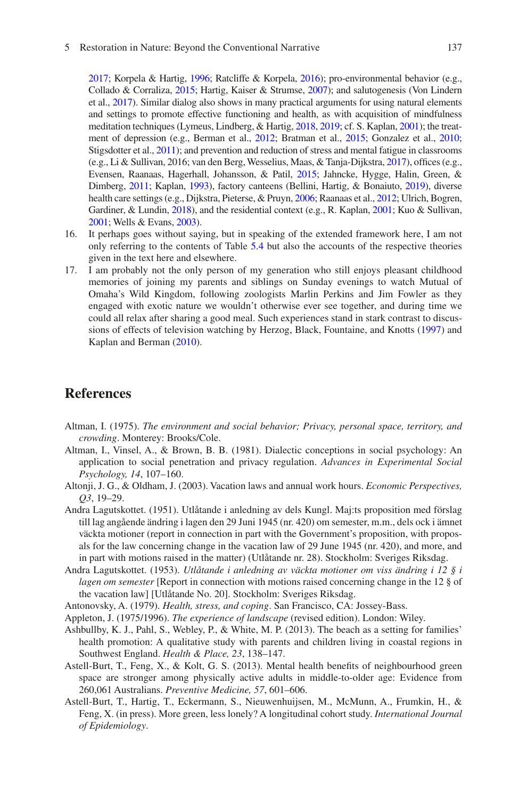#### 5 Restoration in Nature: Beyond the Conventional Narrative

[2017](#page-56-20); Korpela & Hartig, [1996;](#page-56-11) Ratcliffe & Korpela, [2016\)](#page-58-9); pro-environmental behavior (e.g., Collado & Corraliza, [2015;](#page-50-20) Hartig, Kaiser & Strumse, [2007](#page-54-22)); and salutogenesis (Von Lindern et al., [2017](#page-61-6)). Similar dialog also shows in many practical arguments for using natural elements and settings to promote effective functioning and health, as with acquisition of mindfulness meditation techniques (Lymeus, Lindberg, & Hartig, [2018](#page-57-23), [2019](#page-57-24); cf. S. Kaplan, [2001\)](#page-55-22); the treatment of depression (e.g., Berman et al., [2012](#page-49-20); Bratman et al., [2015;](#page-49-0) Gonzalez et al., [2010](#page-52-7); Stigsdotter et al., [2011\)](#page-60-21); and prevention and reduction of stress and mental fatigue in classrooms (e.g., Li & Sullivan, 2016; van den Berg, Wesselius, Maas, & Tanja-Dijkstra, [2017](#page-61-19)), offces (e.g., Evensen, Raanaas, Hagerhall, Johansson, & Patil, [2015](#page-52-21); Jahncke, Hygge, Halin, Green, & Dimberg, [2011](#page-54-23); Kaplan, [1993](#page-55-12)), factory canteens (Bellini, Hartig, & Bonaiuto, [2019\)](#page-49-21), diverse health care settings (e.g., Dijkstra, Pieterse, & Pruyn, [2006;](#page-51-21) Raanaas et al., [2012;](#page-58-6) Ulrich, Bogren, Gardiner, & Lundin, [2018\)](#page-61-20), and the residential context (e.g., R. Kaplan, [2001](#page-55-23); Kuo & Sullivan, [2001](#page-56-6); Wells & Evans, [2003\)](#page-61-21).

- 16. It perhaps goes without saying, but in speaking of the extended framework here, I am not only referring to the contents of Table [5.4](#page-27-0) but also the accounts of the respective theories given in the text here and elsewhere.
- 17. I am probably not the only person of my generation who still enjoys pleasant childhood memories of joining my parents and siblings on Sunday evenings to watch Mutual of Omaha's Wild Kingdom, following zoologists Marlin Perkins and Jim Fowler as they engaged with exotic nature we wouldn't otherwise ever see together, and during time we could all relax after sharing a good meal. Such experiences stand in stark contrast to discussions of effects of television watching by Herzog, Black, Fountaine, and Knotts [\(1997](#page-54-24)) and Kaplan and Berman ([2010\)](#page-55-24).

### **References**

- <span id="page-48-4"></span>Altman, I. (1975). *The environment and social behavior; Privacy, personal space, territory, and crowding*. Monterey: Brooks/Cole.
- <span id="page-48-3"></span>Altman, I., Vinsel, A., & Brown, B. B. (1981). Dialectic conceptions in social psychology: An application to social penetration and privacy regulation. *Advances in Experimental Social Psychology, 14*, 107–160.
- <span id="page-48-6"></span>Altonji, J. G., & Oldham, J. (2003). Vacation laws and annual work hours. *Economic Perspectives, Q3*, 19–29.
- <span id="page-48-8"></span>Andra Lagutskottet. (1951). Utlåtande i anledning av dels Kungl. Maj:ts proposition med förslag till lag angående ändring i lagen den 29 Juni 1945 (nr. 420) om semester, m.m., dels ock i ämnet väckta motioner (report in connection in part with the Government's proposition, with proposals for the law concerning change in the vacation law of 29 June 1945 (nr. 420), and more, and in part with motions raised in the matter) (Utlåtande nr. 28). Stockholm: Sveriges Riksdag.
- <span id="page-48-7"></span>Andra Lagutskottet. (1953). *Utlåtande i anledning av väckta motioner om viss ändring i 12 § i lagen om semester* [Report in connection with motions raised concerning change in the 12 § of the vacation law] [Utlåtande No. 20]. Stockholm: Sveriges Riksdag.
- <span id="page-48-2"></span>Antonovsky, A. (1979). *Health, stress, and coping*. San Francisco, CA: Jossey-Bass.
- <span id="page-48-1"></span>Appleton, J. (1975/1996). *The experience of landscape* (revised edition). London: Wiley.
- <span id="page-48-5"></span>Ashbullby, K. J., Pahl, S., Webley, P., & White, M. P. (2013). The beach as a setting for families' health promotion: A qualitative study with parents and children living in coastal regions in Southwest England. *Health & Place, 23*, 138–147.
- <span id="page-48-0"></span>Astell-Burt, T., Feng, X., & Kolt, G. S. (2013). Mental health benefts of neighbourhood green space are stronger among physically active adults in middle-to-older age: Evidence from 260,061 Australians. *Preventive Medicine, 57*, 601–606.
- <span id="page-48-9"></span>Astell-Burt, T., Hartig, T., Eckermann, S., Nieuwenhuijsen, M., McMunn, A., Frumkin, H., & Feng, X. (in press). More green, less lonely? A longitudinal cohort study. *International Journal of Epidemiology*.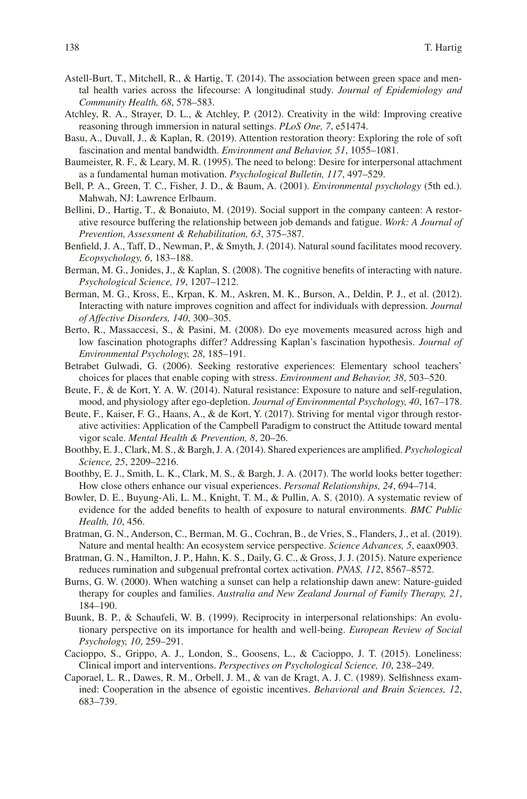- <span id="page-49-4"></span>Astell-Burt, T., Mitchell, R., & Hartig, T. (2014). The association between green space and mental health varies across the lifecourse: A longitudinal study. *Journal of Epidemiology and Community Health, 68*, 578–583.
- <span id="page-49-18"></span>Atchley, R. A., Strayer, D. L., & Atchley, P. (2012). Creativity in the wild: Improving creative reasoning through immersion in natural settings. *PLoS One, 7*, e51474.
- <span id="page-49-13"></span>Basu, A., Duvall, J., & Kaplan, R. (2019). Attention restoration theory: Exploring the role of soft fascination and mental bandwidth. *Environment and Behavior, 51*, 1055–1081.
- <span id="page-49-9"></span>Baumeister, R. F., & Leary, M. R. (1995). The need to belong: Desire for interpersonal attachment as a fundamental human motivation. *Psychological Bulletin, 117*, 497–529.
- <span id="page-49-2"></span>Bell, P. A., Green, T. C., Fisher, J. D., & Baum, A. (2001). *Environmental psychology* (5th ed.). Mahwah, NJ: Lawrence Erlbaum.
- <span id="page-49-21"></span>Bellini, D., Hartig, T., & Bonaiuto, M. (2019). Social support in the company canteen: A restorative resource buffering the relationship between job demands and fatigue. *Work: A Journal of Prevention, Assessment & Rehabilitation, 63*, 375–387.
- <span id="page-49-16"></span>Benfeld, J. A., Taff, D., Newman, P., & Smyth, J. (2014). Natural sound facilitates mood recovery. *Ecopsychology, 6*, 183–188.
- <span id="page-49-3"></span>Berman, M. G., Jonides, J., & Kaplan, S. (2008). The cognitive benefts of interacting with nature. *Psychological Science, 19*, 1207–1212.
- <span id="page-49-20"></span>Berman, M. G., Kross, E., Krpan, K. M., Askren, M. K., Burson, A., Deldin, P. J., et al. (2012). Interacting with nature improves cognition and affect for individuals with depression. *Journal of Affective Disorders, 140*, 300–305.
- <span id="page-49-14"></span>Berto, R., Massaccesi, S., & Pasini, M. (2008). Do eye movements measured across high and low fascination photographs differ? Addressing Kaplan's fascination hypothesis. *Journal of Environmental Psychology, 28*, 185–191.
- <span id="page-49-17"></span>Betrabet Gulwadi, G. (2006). Seeking restorative experiences: Elementary school teachers' choices for places that enable coping with stress. *Environment and Behavior, 38*, 503–520.
- <span id="page-49-19"></span>Beute, F., & de Kort, Y. A. W. (2014). Natural resistance: Exposure to nature and self-regulation, mood, and physiology after ego-depletion. *Journal of Environmental Psychology, 40*, 167–178.
- <span id="page-49-15"></span>Beute, F., Kaiser, F. G., Haans, A., & de Kort, Y. (2017). Striving for mental vigor through restorative activities: Application of the Campbell Paradigm to construct the Attitude toward mental vigor scale. *Mental Health & Prevention, 8*, 20–26.
- <span id="page-49-6"></span>Boothby, E. J., Clark, M. S., & Bargh, J. A. (2014). Shared experiences are amplifed. *Psychological Science, 25*, 2209–2216.
- <span id="page-49-7"></span>Boothby, E. J., Smith, L. K., Clark, M. S., & Bargh, J. A. (2017). The world looks better together: How close others enhance our visual experiences. *Personal Relationships, 24*, 694–714.
- <span id="page-49-1"></span>Bowler, D. E., Buyung-Ali, L. M., Knight, T. M., & Pullin, A. S. (2010). A systematic review of evidence for the added benefts to health of exposure to natural environments. *BMC Public Health, 10*, 456.
- <span id="page-49-11"></span>Bratman, G. N., Anderson, C., Berman, M. G., Cochran, B., de Vries, S., Flanders, J., et al. (2019). Nature and mental health: An ecosystem service perspective. *Science Advances, 5*, eaax0903.
- <span id="page-49-0"></span>Bratman, G. N., Hamilton, J. P., Hahn, K. S., Daily, G. C., & Gross, J. J. (2015). Nature experience reduces rumination and subgenual prefrontal cortex activation. *PNAS, 112*, 8567–8572.
- <span id="page-49-8"></span>Burns, G. W. (2000). When watching a sunset can help a relationship dawn anew: Nature-guided therapy for couples and families. *Australia and New Zealand Journal of Family Therapy, 21*, 184–190.
- <span id="page-49-5"></span>Buunk, B. P., & Schaufeli, W. B. (1999). Reciprocity in interpersonal relationships: An evolutionary perspective on its importance for health and well-being. *European Review of Social Psychology, 10*, 259–291.
- <span id="page-49-12"></span>Cacioppo, S., Grippo, A. J., London, S., Goosens, L., & Cacioppo, J. T. (2015). Loneliness: Clinical import and interventions. *Perspectives on Psychological Science, 10*, 238–249.
- <span id="page-49-10"></span>Caporael, L. R., Dawes, R. M., Orbell, J. M., & van de Kragt, A. J. C. (1989). Selfshness examined: Cooperation in the absence of egoistic incentives. *Behavioral and Brain Sciences, 12*, 683–739.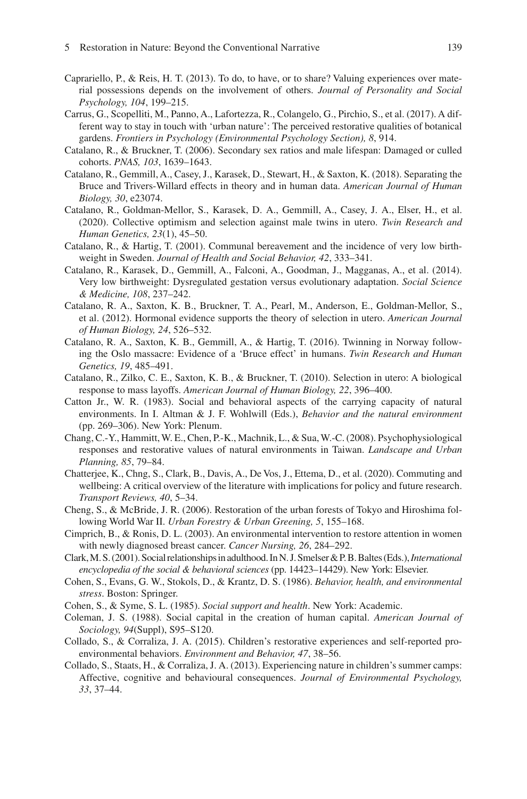- <span id="page-50-10"></span>Caprariello, P., & Reis, H. T. (2013). To do, to have, or to share? Valuing experiences over material possessions depends on the involvement of others. *Journal of Personality and Social Psychology, 104*, 199–215.
- <span id="page-50-18"></span>Carrus, G., Scopelliti, M., Panno, A., Lafortezza, R., Colangelo, G., Pirchio, S., et al. (2017). A different way to stay in touch with 'urban nature': The perceived restorative qualities of botanical gardens. *Frontiers in Psychology (Environmental Psychology Section), 8*, 914.
- <span id="page-50-3"></span>Catalano, R., & Bruckner, T. (2006). Secondary sex ratios and male lifespan: Damaged or culled cohorts. *PNAS, 103*, 1639–1643.
- <span id="page-50-2"></span>Catalano, R., Gemmill, A., Casey, J., Karasek, D., Stewart, H., & Saxton, K. (2018). Separating the Bruce and Trivers-Willard effects in theory and in human data. *American Journal of Human Biology, 30*, e23074.
- <span id="page-50-14"></span>Catalano, R., Goldman-Mellor, S., Karasek, D. A., Gemmill, A., Casey, J. A., Elser, H., et al. (2020). Collective optimism and selection against male twins in utero. *Twin Research and Human Genetics, 23*(1), 45–50.
- <span id="page-50-12"></span>Catalano, R., & Hartig, T. (2001). Communal bereavement and the incidence of very low birthweight in Sweden. *Journal of Health and Social Behavior, 42*, 333–341.
- <span id="page-50-15"></span>Catalano, R., Karasek, D., Gemmill, A., Falconi, A., Goodman, J., Magganas, A., et al. (2014). Very low birthweight: Dysregulated gestation versus evolutionary adaptation. *Social Science & Medicine, 108*, 237–242.
- <span id="page-50-1"></span>Catalano, R. A., Saxton, K. B., Bruckner, T. A., Pearl, M., Anderson, E., Goldman-Mellor, S., et al. (2012). Hormonal evidence supports the theory of selection in utero. *American Journal of Human Biology, 24*, 526–532.
- <span id="page-50-4"></span>Catalano, R. A., Saxton, K. B., Gemmill, A., & Hartig, T. (2016). Twinning in Norway following the Oslo massacre: Evidence of a 'Bruce effect' in humans. *Twin Research and Human Genetics, 19*, 485–491.
- <span id="page-50-5"></span>Catalano, R., Zilko, C. E., Saxton, K. B., & Bruckner, T. (2010). Selection in utero: A biological response to mass layoffs. *American Journal of Human Biology, 22*, 396–400.
- <span id="page-50-13"></span>Catton Jr., W. R. (1983). Social and behavioral aspects of the carrying capacity of natural environments. In I. Altman & J. F. Wohlwill (Eds.), *Behavior and the natural environment* (pp. 269–306). New York: Plenum.
- <span id="page-50-17"></span>Chang, C.-Y., Hammitt, W. E., Chen, P.-K., Machnik, L., & Sua, W.-C. (2008). Psychophysiological responses and restorative values of natural environments in Taiwan. *Landscape and Urban Planning, 85*, 79–84.
- <span id="page-50-8"></span>Chatterjee, K., Chng, S., Clark, B., Davis, A., De Vos, J., Ettema, D., et al. (2020). Commuting and wellbeing: A critical overview of the literature with implications for policy and future research. *Transport Reviews, 40*, 5–34.
- <span id="page-50-16"></span>Cheng, S., & McBride, J. R. (2006). Restoration of the urban forests of Tokyo and Hiroshima following World War II. *Urban Forestry & Urban Greening, 5*, 155–168.
- <span id="page-50-7"></span>Cimprich, B., & Ronis, D. L. (2003). An environmental intervention to restore attention in women with newly diagnosed breast cancer. *Cancer Nursing, 26*, 284–292.
- <span id="page-50-9"></span>Clark, M. S. (2001). Social relationships in adulthood. In N. J. Smelser & P. B. Baltes (Eds.), *International encyclopedia of the social & behavioral sciences* (pp. 14423–14429). New York: Elsevier.
- <span id="page-50-0"></span>Cohen, S., Evans, G. W., Stokols, D., & Krantz, D. S. (1986). *Behavior, health, and environmental stress*. Boston: Springer.
- <span id="page-50-6"></span>Cohen, S., & Syme, S. L. (1985). *Social support and health*. New York: Academic.
- <span id="page-50-11"></span>Coleman, J. S. (1988). Social capital in the creation of human capital. *American Journal of Sociology, 94*(Suppl), S95–S120.
- <span id="page-50-20"></span>Collado, S., & Corraliza, J. A. (2015). Children's restorative experiences and self-reported proenvironmental behaviors. *Environment and Behavior, 47*, 38–56.
- <span id="page-50-19"></span>Collado, S., Staats, H., & Corraliza, J. A. (2013). Experiencing nature in children's summer camps: Affective, cognitive and behavioural consequences. *Journal of Environmental Psychology, 33*, 37–44.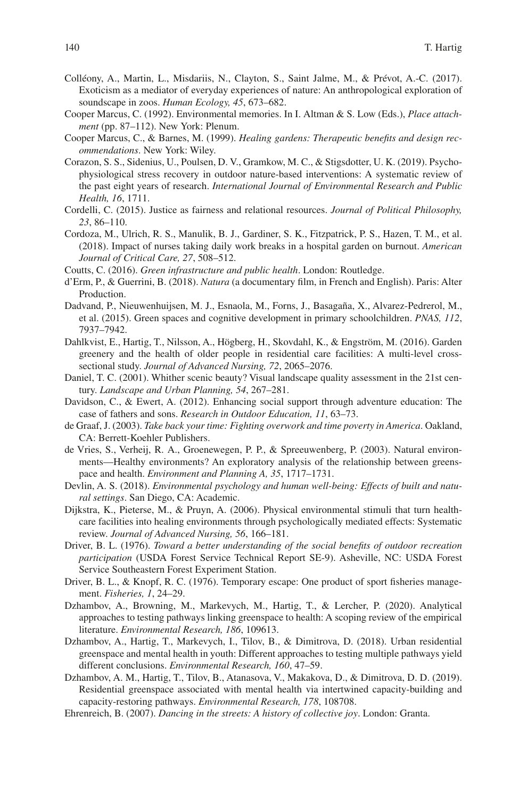- <span id="page-51-19"></span>Colléony, A., Martin, L., Misdariis, N., Clayton, S., Saint Jalme, M., & Prévot, A.-C. (2017). Exoticism as a mediator of everyday experiences of nature: An anthropological exploration of soundscape in zoos. *Human Ecology, 45*, 673–682.
- <span id="page-51-12"></span>Cooper Marcus, C. (1992). Environmental memories. In I. Altman & S. Low (Eds.), *Place attachment* (pp. 87–112). New York: Plenum.
- <span id="page-51-6"></span>Cooper Marcus, C., & Barnes, M. (1999). *Healing gardens: Therapeutic benefts and design recommendations*. New York: Wiley.
- <span id="page-51-8"></span>Corazon, S. S., Sidenius, U., Poulsen, D. V., Gramkow, M. C., & Stigsdotter, U. K. (2019). Psychophysiological stress recovery in outdoor nature-based interventions: A systematic review of the past eight years of research. *International Journal of Environmental Research and Public Health, 16*, 1711.
- <span id="page-51-11"></span>Cordelli, C. (2015). Justice as fairness and relational resources. *Journal of Political Philosophy, 23*, 86–110.
- <span id="page-51-20"></span>Cordoza, M., Ulrich, R. S., Manulik, B. J., Gardiner, S. K., Fitzpatrick, P. S., Hazen, T. M., et al. (2018). Impact of nurses taking daily work breaks in a hospital garden on burnout. *American Journal of Critical Care, 27*, 508–512.
- <span id="page-51-1"></span>Coutts, C. (2016). *Green infrastructure and public health*. London: Routledge.
- <span id="page-51-7"></span>d'Erm, P., & Guerrini, B. (2018). *Natura* (a documentary flm, in French and English). Paris: Alter Production.
- <span id="page-51-0"></span>Dadvand, P., Nieuwenhuijsen, M. J., Esnaola, M., Forns, J., Basagaña, X., Alvarez-Pedrerol, M., et al. (2015). Green spaces and cognitive development in primary schoolchildren. *PNAS, 112*, 7937–7942.
- <span id="page-51-9"></span>Dahlkvist, E., Hartig, T., Nilsson, A., Högberg, H., Skovdahl, K., & Engström, M. (2016). Garden greenery and the health of older people in residential care facilities: A multi-level crosssectional study. *Journal of Advanced Nursing, 72*, 2065–2076.
- <span id="page-51-18"></span>Daniel, T. C. (2001). Whither scenic beauty? Visual landscape quality assessment in the 21st century. *Landscape and Urban Planning, 54*, 267–281.
- <span id="page-51-14"></span>Davidson, C., & Ewert, A. (2012). Enhancing social support through adventure education: The case of fathers and sons. *Research in Outdoor Education, 11*, 63–73.
- <span id="page-51-17"></span>de Graaf, J. (2003). *Take back your time: Fighting overwork and time poverty in America*. Oakland, CA: Berrett-Koehler Publishers.
- <span id="page-51-4"></span>de Vries, S., Verheij, R. A., Groenewegen, P. P., & Spreeuwenberg, P. (2003). Natural environments—Healthy environments? An exploratory analysis of the relationship between greenspace and health. *Environment and Planning A, 35*, 1717–1731.
- <span id="page-51-5"></span>Devlin, A. S. (2018). *Environmental psychology and human well-being: Effects of built and natural settings*. San Diego, CA: Academic.
- <span id="page-51-21"></span>Dijkstra, K., Pieterse, M., & Pruyn, A. (2006). Physical environmental stimuli that turn healthcare facilities into healing environments through psychologically mediated effects: Systematic review. *Journal of Advanced Nursing, 56*, 166–181.
- <span id="page-51-13"></span>Driver, B. L. (1976). *Toward a better understanding of the social benefts of outdoor recreation participation* (USDA Forest Service Technical Report SE-9). Asheville, NC: USDA Forest Service Southeastern Forest Experiment Station.
- <span id="page-51-2"></span>Driver, B. L., & Knopf, R. C. (1976). Temporary escape: One product of sport fsheries management. *Fisheries, 1*, 24–29.
- <span id="page-51-15"></span>Dzhambov, A., Browning, M., Markevych, M., Hartig, T., & Lercher, P. (2020). Analytical approaches to testing pathways linking greenspace to health: A scoping review of the empirical literature. *Environmental Research, 186*, 109613.
- <span id="page-51-3"></span>Dzhambov, A., Hartig, T., Markevych, I., Tilov, B., & Dimitrova, D. (2018). Urban residential greenspace and mental health in youth: Different approaches to testing multiple pathways yield different conclusions. *Environmental Research, 160*, 47–59.
- <span id="page-51-10"></span>Dzhambov, A. M., Hartig, T., Tilov, B., Atanasova, V., Makakova, D., & Dimitrova, D. D. (2019). Residential greenspace associated with mental health via intertwined capacity-building and capacity-restoring pathways. *Environmental Research, 178*, 108708.
- <span id="page-51-16"></span>Ehrenreich, B. (2007). *Dancing in the streets: A history of collective joy*. London: Granta.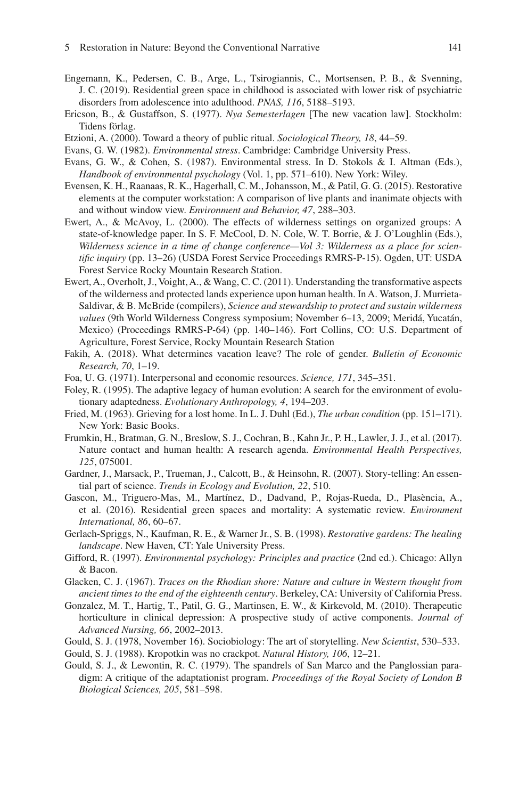- <span id="page-52-0"></span>Engemann, K., Pedersen, C. B., Arge, L., Tsirogiannis, C., Mortsensen, P. B., & Svenning, J. C. (2019). Residential green space in childhood is associated with lower risk of psychiatric disorders from adolescence into adulthood. *PNAS, 116*, 5188–5193.
- <span id="page-52-14"></span>Ericson, B., & Gustaffson, S. (1977). *Nya Semesterlagen* [The new vacation law]. Stockholm: Tidens förlag.
- <span id="page-52-13"></span>Etzioni, A. (2000). Toward a theory of public ritual. *Sociological Theory, 18*, 44–59.
- <span id="page-52-2"></span>Evans, G. W. (1982). *Environmental stress*. Cambridge: Cambridge University Press.
- <span id="page-52-1"></span>Evans, G. W., & Cohen, S. (1987). Environmental stress. In D. Stokols & I. Altman (Eds.), *Handbook of environmental psychology* (Vol. 1, pp. 571–610). New York: Wiley.
- <span id="page-52-21"></span>Evensen, K. H., Raanaas, R. K., Hagerhall, C. M., Johansson, M., & Patil, G. G. (2015). Restorative elements at the computer workstation: A comparison of live plants and inanimate objects with and without window view. *Environment and Behavior, 47*, 288–303.
- <span id="page-52-9"></span>Ewert, A., & McAvoy, L. (2000). The effects of wilderness settings on organized groups: A state-of-knowledge paper. In S. F. McCool, D. N. Cole, W. T. Borrie, & J. O'Loughlin (Eds.), *Wilderness science in a time of change conference—Vol 3: Wilderness as a place for scientifc inquiry* (pp. 13–26) (USDA Forest Service Proceedings RMRS-P-15). Ogden, UT: USDA Forest Service Rocky Mountain Research Station.
- <span id="page-52-10"></span>Ewert, A., Overholt, J., Voight, A., & Wang, C. C. (2011). Understanding the transformative aspects of the wilderness and protected lands experience upon human health. In A. Watson, J. Murrieta-Saldivar, & B. McBride (compilers), *Science and stewardship to protect and sustain wilderness values* (9th World Wilderness Congress symposium; November 6–13, 2009; Meridá, Yucatán, Mexico) (Proceedings RMRS-P-64) (pp. 140–146). Fort Collins, CO: U.S. Department of Agriculture, Forest Service, Rocky Mountain Research Station
- <span id="page-52-12"></span>Fakih, A. (2018). What determines vacation leave? The role of gender. *Bulletin of Economic Research, 70*, 1–19.
- <span id="page-52-8"></span>Foa, U. G. (1971). Interpersonal and economic resources. *Science, 171*, 345–351.
- <span id="page-52-15"></span>Foley, R. (1995). The adaptive legacy of human evolution: A search for the environment of evolutionary adaptedness. *Evolutionary Anthropology, 4*, 194–203.
- <span id="page-52-11"></span>Fried, M. (1963). Grieving for a lost home. In L. J. Duhl (Ed.), *The urban condition* (pp. 151–171). New York: Basic Books.
- <span id="page-52-3"></span>Frumkin, H., Bratman, G. N., Breslow, S. J., Cochran, B., Kahn Jr., P. H., Lawler, J. J., et al. (2017). Nature contact and human health: A research agenda. *Environmental Health Perspectives, 125*, 075001.
- <span id="page-52-19"></span>Gardner, J., Marsack, P., Trueman, J., Calcott, B., & Heinsohn, R. (2007). Story-telling: An essential part of science. *Trends in Ecology and Evolution, 22*, 510.
- <span id="page-52-4"></span>Gascon, M., Triguero-Mas, M., Martínez, D., Dadvand, P., Rojas-Rueda, D., Plasència, A., et al. (2016). Residential green spaces and mortality: A systematic review. *Environment International, 86*, 60–67.
- <span id="page-52-6"></span>Gerlach-Spriggs, N., Kaufman, R. E., & Warner Jr., S. B. (1998). *Restorative gardens: The healing landscape*. New Haven, CT: Yale University Press.
- <span id="page-52-5"></span>Gifford, R. (1997). *Environmental psychology: Principles and practice* (2nd ed.). Chicago: Allyn & Bacon.
- <span id="page-52-20"></span>Glacken, C. J. (1967). *Traces on the Rhodian shore: Nature and culture in Western thought from ancient times to the end of the eighteenth century*. Berkeley, CA: University of California Press.
- <span id="page-52-7"></span>Gonzalez, M. T., Hartig, T., Patil, G. G., Martinsen, E. W., & Kirkevold, M. (2010). Therapeutic horticulture in clinical depression: A prospective study of active components. *Journal of Advanced Nursing, 66*, 2002–2013.
- <span id="page-52-16"></span>Gould, S. J. (1978, November 16). Sociobiology: The art of storytelling. *New Scientist*, 530–533.
- <span id="page-52-18"></span>Gould, S. J. (1988). Kropotkin was no crackpot. *Natural History, 106*, 12–21.
- <span id="page-52-17"></span>Gould, S. J., & Lewontin, R. C. (1979). The spandrels of San Marco and the Panglossian paradigm: A critique of the adaptationist program. *Proceedings of the Royal Society of London B Biological Sciences, 205*, 581–598.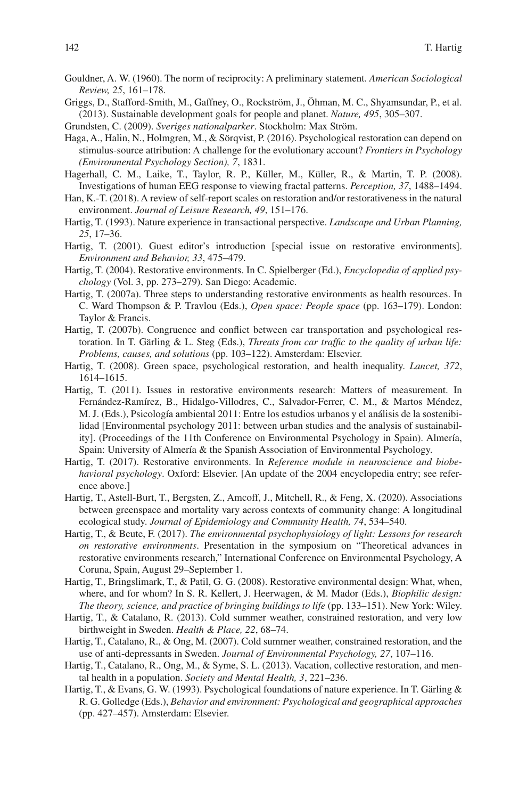- <span id="page-53-10"></span>Gouldner, A. W. (1960). The norm of reciprocity: A preliminary statement. *American Sociological Review, 25*, 161–178.
- <span id="page-53-0"></span>Griggs, D., Stafford-Smith, M., Gaffney, O., Rockström, J., Öhman, M. C., Shyamsundar, P., et al. (2013). Sustainable development goals for people and planet. *Nature, 495*, 305–307.
- <span id="page-53-11"></span>Grundsten, C. (2009). *Sveriges nationalparker*. Stockholm: Max Ström.
- <span id="page-53-18"></span>Haga, A., Halin, N., Holmgren, M., & Sörqvist, P. (2016). Psychological restoration can depend on stimulus-source attribution: A challenge for the evolutionary account? *Frontiers in Psychology (Environmental Psychology Section), 7*, 1831.
- <span id="page-53-15"></span>Hagerhall, C. M., Laike, T., Taylor, R. P., Küller, M., Küller, R., & Martin, T. P. (2008). Investigations of human EEG response to viewing fractal patterns. *Perception, 37*, 1488–1494.
- <span id="page-53-19"></span>Han, K.-T. (2018). A review of self-report scales on restoration and/or restorativeness in the natural environment. *Journal of Leisure Research, 49*, 151–176.
- <span id="page-53-8"></span>Hartig, T. (1993). Nature experience in transactional perspective. *Landscape and Urban Planning, 25*, 17–36.
- <span id="page-53-2"></span>Hartig, T. (2001). Guest editor's introduction [special issue on restorative environments]. *Environment and Behavior, 33*, 475–479.
- <span id="page-53-3"></span>Hartig, T. (2004). Restorative environments. In C. Spielberger (Ed.), *Encyclopedia of applied psychology* (Vol. 3, pp. 273–279). San Diego: Academic.
- <span id="page-53-1"></span>Hartig, T. (2007a). Three steps to understanding restorative environments as health resources. In C. Ward Thompson & P. Travlou (Eds.), *Open space: People space* (pp. 163–179). London: Taylor & Francis.
- <span id="page-53-12"></span>Hartig, T. (2007b). Congruence and confict between car transportation and psychological restoration. In T. Gärling & L. Steg (Eds.), *Threats from car traffc to the quality of urban life: Problems, causes, and solutions* (pp. 103–122). Amsterdam: Elsevier.
- <span id="page-53-5"></span>Hartig, T. (2008). Green space, psychological restoration, and health inequality. *Lancet, 372*, 1614–1615.
- Hartig, T. (2011). Issues in restorative environments research: Matters of measurement. In Fernández-Ramírez, B., Hidalgo-Villodres, C., Salvador-Ferrer, C. M., & Martos Méndez, M. J. (Eds.), Psicología ambiental 2011: Entre los estudios urbanos y el análisis de la sostenibilidad [Environmental psychology 2011: between urban studies and the analysis of sustainability]. (Proceedings of the 11th Conference on Environmental Psychology in Spain). Almería, Spain: University of Almería & the Spanish Association of Environmental Psychology.
- <span id="page-53-4"></span>Hartig, T. (2017). Restorative environments. In *Reference module in neuroscience and biobehavioral psychology*. Oxford: Elsevier. [An update of the 2004 encyclopedia entry; see reference above.]
- <span id="page-53-17"></span>Hartig, T., Astell-Burt, T., Bergsten, Z., Amcoff, J., Mitchell, R., & Feng, X. (2020). Associations between greenspace and mortality vary across contexts of community change: A longitudinal ecological study. *Journal of Epidemiology and Community Health, 74*, 534–540.
- <span id="page-53-16"></span>Hartig, T., & Beute, F. (2017). *The environmental psychophysiology of light: Lessons for research on restorative environments*. Presentation in the symposium on "Theoretical advances in restorative environments research," International Conference on Environmental Psychology, A Coruna, Spain, August 29–September 1.
- <span id="page-53-6"></span>Hartig, T., Bringslimark, T., & Patil, G. G. (2008). Restorative environmental design: What, when, where, and for whom? In S. R. Kellert, J. Heerwagen, & M. Mador (Eds.), *Biophilic design: The theory, science, and practice of bringing buildings to life* (pp. 133–151). New York: Wiley.
- <span id="page-53-13"></span>Hartig, T., & Catalano, R. (2013). Cold summer weather, constrained restoration, and very low birthweight in Sweden. *Health & Place, 22*, 68–74.
- <span id="page-53-14"></span>Hartig, T., Catalano, R., & Ong, M. (2007). Cold summer weather, constrained restoration, and the use of anti-depressants in Sweden. *Journal of Environmental Psychology, 27*, 107–116.
- <span id="page-53-9"></span>Hartig, T., Catalano, R., Ong, M., & Syme, S. L. (2013). Vacation, collective restoration, and mental health in a population. *Society and Mental Health, 3*, 221–236.
- <span id="page-53-7"></span>Hartig, T., & Evans, G. W. (1993). Psychological foundations of nature experience. In T. Gärling & R. G. Golledge (Eds.), *Behavior and environment: Psychological and geographical approaches* (pp. 427–457). Amsterdam: Elsevier.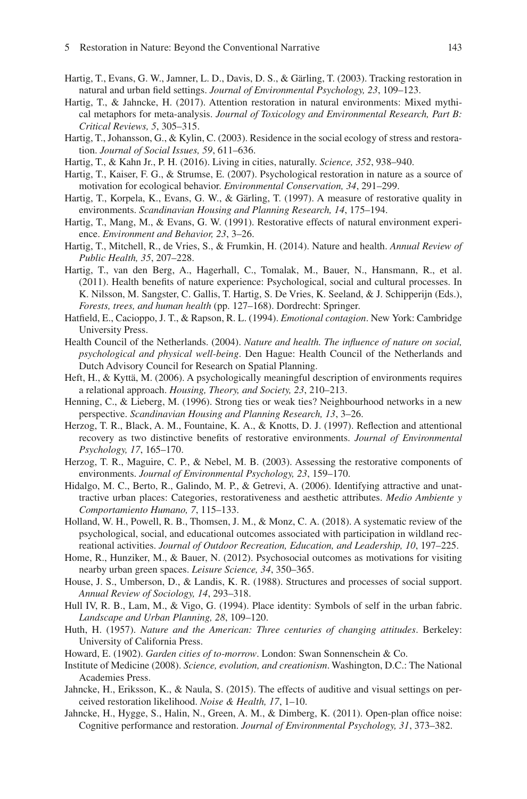- <span id="page-54-6"></span>Hartig, T., Evans, G. W., Jamner, L. D., Davis, D. S., & Gärling, T. (2003). Tracking restoration in natural and urban feld settings. *Journal of Environmental Psychology, 23*, 109–123.
- <span id="page-54-17"></span>Hartig, T., & Jahncke, H. (2017). Attention restoration in natural environments: Mixed mythical metaphors for meta-analysis. *Journal of Toxicology and Environmental Research, Part B: Critical Reviews, 5*, 305–315.
- <span id="page-54-3"></span>Hartig, T., Johansson, G., & Kylin, C. (2003). Residence in the social ecology of stress and restoration. *Journal of Social Issues, 59*, 611–636.
- <span id="page-54-13"></span>Hartig, T., & Kahn Jr., P. H. (2016). Living in cities, naturally. *Science, 352*, 938–940.
- <span id="page-54-22"></span>Hartig, T., Kaiser, F. G., & Strumse, E. (2007). Psychological restoration in nature as a source of motivation for ecological behavior. *Environmental Conservation, 34*, 291–299.
- <span id="page-54-18"></span>Hartig, T., Korpela, K., Evans, G. W., & Gärling, T. (1997). A measure of restorative quality in environments. *Scandinavian Housing and Planning Research, 14*, 175–194.
- <span id="page-54-5"></span>Hartig, T., Mang, M., & Evans, G. W. (1991). Restorative effects of natural environment experience. *Environment and Behavior, 23*, 3–26.
- <span id="page-54-1"></span>Hartig, T., Mitchell, R., de Vries, S., & Frumkin, H. (2014). Nature and health. *Annual Review of Public Health, 35*, 207–228.
- <span id="page-54-7"></span>Hartig, T., van den Berg, A., Hagerhall, C., Tomalak, M., Bauer, N., Hansmann, R., et al. (2011). Health benefts of nature experience: Psychological, social and cultural processes. In K. Nilsson, M. Sangster, C. Gallis, T. Hartig, S. De Vries, K. Seeland, & J. Schipperijn (Eds.), *Forests, trees, and human health* (pp. 127–168). Dordrecht: Springer.
- <span id="page-54-12"></span>Hatfeld, E., Cacioppo, J. T., & Rapson, R. L. (1994). *Emotional contagion*. New York: Cambridge University Press.
- <span id="page-54-2"></span>Health Council of the Netherlands. (2004). *Nature and health. The infuence of nature on social, psychological and physical well-being*. Den Hague: Health Council of the Netherlands and Dutch Advisory Council for Research on Spatial Planning.
- <span id="page-54-4"></span>Heft, H., & Kyttä, M. (2006). A psychologically meaningful description of environments requires a relational approach. *Housing, Theory, and Society, 23*, 210–213.
- <span id="page-54-9"></span>Henning, C., & Lieberg, M. (1996). Strong ties or weak ties? Neighbourhood networks in a new perspective. *Scandinavian Housing and Planning Research, 13*, 3–26.
- <span id="page-54-24"></span>Herzog, T. R., Black, A. M., Fountaine, K. A., & Knotts, D. J. (1997). Refection and attentional recovery as two distinctive benefts of restorative environments. *Journal of Environmental Psychology, 17*, 165–170.
- <span id="page-54-19"></span>Herzog, T. R., Maguire, C. P., & Nebel, M. B. (2003). Assessing the restorative components of environments. *Journal of Environmental Psychology, 23*, 159–170.
- <span id="page-54-20"></span>Hidalgo, M. C., Berto, R., Galindo, M. P., & Getrevi, A. (2006). Identifying attractive and unattractive urban places: Categories, restorativeness and aesthetic attributes. *Medio Ambiente y Comportamiento Humano, 7*, 115–133.
- <span id="page-54-10"></span>Holland, W. H., Powell, R. B., Thomsen, J. M., & Monz, C. A. (2018). A systematic review of the psychological, social, and educational outcomes associated with participation in wildland recreational activities. *Journal of Outdoor Recreation, Education, and Leadership, 10*, 197–225.
- <span id="page-54-0"></span>Home, R., Hunziker, M., & Bauer, N. (2012). Psychosocial outcomes as motivations for visiting nearby urban green spaces. *Leisure Science, 34*, 350–365.
- <span id="page-54-16"></span>House, J. S., Umberson, D., & Landis, K. R. (1988). Structures and processes of social support. *Annual Review of Sociology, 14*, 293–318.
- <span id="page-54-11"></span>Hull IV, R. B., Lam, M., & Vigo, G. (1994). Place identity: Symbols of self in the urban fabric. *Landscape and Urban Planning, 28*, 109–120.
- <span id="page-54-15"></span>Huth, H. (1957). *Nature and the American: Three centuries of changing attitudes*. Berkeley: University of California Press.
- <span id="page-54-14"></span>Howard, E. (1902). *Garden cities of to-morrow*. London: Swan Sonnenschein & Co.
- <span id="page-54-8"></span>Institute of Medicine (2008). *Science, evolution, and creationism*. Washington, D.C.: The National Academies Press.
- <span id="page-54-21"></span>Jahncke, H., Eriksson, K., & Naula, S. (2015). The effects of auditive and visual settings on perceived restoration likelihood. *Noise & Health, 17*, 1–10.
- <span id="page-54-23"></span>Jahncke, H., Hygge, S., Halin, N., Green, A. M., & Dimberg, K. (2011). Open-plan office noise: Cognitive performance and restoration. *Journal of Environmental Psychology, 31*, 373–382.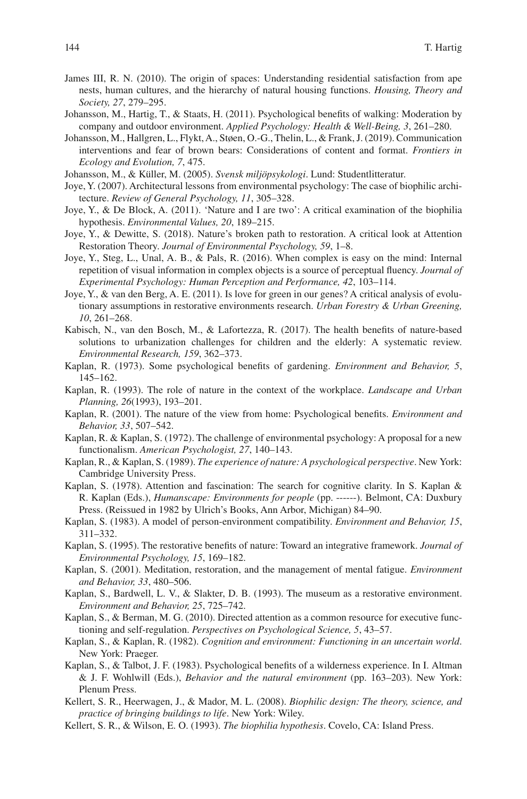- <span id="page-55-2"></span>James III, R. N. (2010). The origin of spaces: Understanding residential satisfaction from ape nests, human cultures, and the hierarchy of natural housing functions. *Housing, Theory and Society, 27*, 279–295.
- <span id="page-55-13"></span>Johansson, M., Hartig, T., & Staats, H. (2011). Psychological benefts of walking: Moderation by company and outdoor environment. *Applied Psychology: Health & Well-Being, 3*, 261–280.
- <span id="page-55-14"></span>Johansson, M., Hallgren, L., Flykt, A., Støen, O.-G., Thelin, L., & Frank, J. (2019). Communication interventions and fear of brown bears: Considerations of content and format. *Frontiers in Ecology and Evolution, 7*, 475.
- <span id="page-55-9"></span>Johansson, M., & Küller, M. (2005). *Svensk miljöpsykologi*. Lund: Studentlitteratur.
- <span id="page-55-15"></span>Joye, Y. (2007). Architectural lessons from environmental psychology: The case of biophilic architecture. *Review of General Psychology, 11*, 305–328.
- <span id="page-55-18"></span>Joye, Y., & De Block, A. (2011). 'Nature and I are two': A critical examination of the biophilia hypothesis. *Environmental Values, 20*, 189–215.
- <span id="page-55-19"></span>Joye, Y., & Dewitte, S. (2018). Nature's broken path to restoration. A critical look at Attention Restoration Theory. *Journal of Environmental Psychology, 59*, 1–8.
- <span id="page-55-16"></span>Joye, Y., Steg, L., Unal, A. B., & Pals, R. (2016). When complex is easy on the mind: Internal repetition of visual information in complex objects is a source of perceptual fuency. *Journal of Experimental Psychology: Human Perception and Performance, 42*, 103–114.
- <span id="page-55-17"></span>Joye, Y., & van den Berg, A. E. (2011). Is love for green in our genes? A critical analysis of evolutionary assumptions in restorative environments research. *Urban Forestry & Urban Greening, 10*, 261–268.
- <span id="page-55-8"></span>Kabisch, N., van den Bosch, M., & Lafortezza, R. (2017). The health benefts of nature-based solutions to urbanization challenges for children and the elderly: A systematic review. *Environmental Research, 159*, 362–373.
- <span id="page-55-0"></span>Kaplan, R. (1973). Some psychological benefts of gardening. *Environment and Behavior, 5*, 145–162.
- <span id="page-55-12"></span>Kaplan, R. (1993). The role of nature in the context of the workplace. *Landscape and Urban Planning, 26*(1993), 193–201.
- <span id="page-55-23"></span>Kaplan, R. (2001). The nature of the view from home: Psychological benefts. *Environment and Behavior, 33*, 507–542.
- <span id="page-55-11"></span>Kaplan, R. & Kaplan, S. (1972). The challenge of environmental psychology: A proposal for a new functionalism. *American Psychologist, 27*, 140–143.
- <span id="page-55-1"></span>Kaplan, R., & Kaplan, S. (1989). *The experience of nature: A psychological perspective*. New York: Cambridge University Press.
- <span id="page-55-4"></span>Kaplan, S. (1978). Attention and fascination: The search for cognitive clarity. In S. Kaplan & R. Kaplan (Eds.), *Humanscape: Environments for people* (pp. ------). Belmont, CA: Duxbury Press. (Reissued in 1982 by Ulrich's Books, Ann Arbor, Michigan) 84–90.
- <span id="page-55-5"></span>Kaplan, S. (1983). A model of person-environment compatibility. *Environment and Behavior, 15*, 311–332.
- <span id="page-55-6"></span>Kaplan, S. (1995). The restorative benefts of nature: Toward an integrative framework. *Journal of Environmental Psychology, 15*, 169–182.
- <span id="page-55-22"></span>Kaplan, S. (2001). Meditation, restoration, and the management of mental fatigue. *Environment and Behavior, 33*, 480–506.
- <span id="page-55-3"></span>Kaplan, S., Bardwell, L. V., & Slakter, D. B. (1993). The museum as a restorative environment. *Environment and Behavior, 25*, 725–742.
- <span id="page-55-24"></span>Kaplan, S., & Berman, M. G. (2010). Directed attention as a common resource for executive functioning and self-regulation. *Perspectives on Psychological Science, 5*, 43–57.
- <span id="page-55-7"></span>Kaplan, S., & Kaplan, R. (1982). *Cognition and environment: Functioning in an uncertain world*. New York: Praeger.
- <span id="page-55-10"></span>Kaplan, S., & Talbot, J. F. (1983). Psychological benefts of a wilderness experience. In I. Altman & J. F. Wohlwill (Eds.), *Behavior and the natural environment* (pp. 163–203). New York: Plenum Press.
- <span id="page-55-20"></span>Kellert, S. R., Heerwagen, J., & Mador, M. L. (2008). *Biophilic design: The theory, science, and practice of bringing buildings to life*. New York: Wiley.
- <span id="page-55-21"></span>Kellert, S. R., & Wilson, E. O. (1993). *The biophilia hypothesis*. Covelo, CA: Island Press.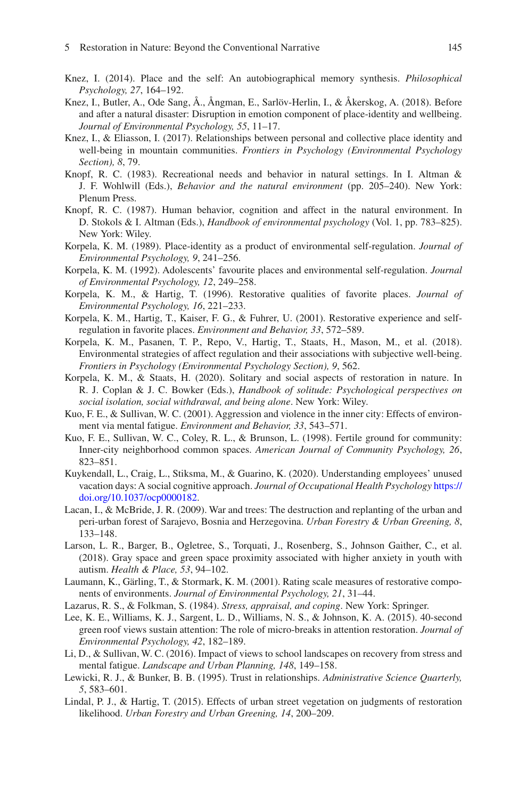- <span id="page-56-8"></span>Knez, I. (2014). Place and the self: An autobiographical memory synthesis. *Philosophical Psychology, 27*, 164–192.
- <span id="page-56-13"></span>Knez, I., Butler, A., Ode Sang, Å., Ångman, E., Sarlöv-Herlin, I., & Åkerskog, A. (2018). Before and after a natural disaster: Disruption in emotion component of place-identity and wellbeing. *Journal of Environmental Psychology, 55*, 11–17.
- <span id="page-56-20"></span>Knez, I., & Eliasson, I. (2017). Relationships between personal and collective place identity and well-being in mountain communities. *Frontiers in Psychology (Environmental Psychology Section), 8*, 79.
- <span id="page-56-2"></span>Knopf, R. C. (1983). Recreational needs and behavior in natural settings. In I. Altman & J. F. Wohlwill (Eds.), *Behavior and the natural environment* (pp. 205–240). New York: Plenum Press.
- <span id="page-56-3"></span>Knopf, R. C. (1987). Human behavior, cognition and affect in the natural environment. In D. Stokols & I. Altman (Eds.), *Handbook of environmental psychology* (Vol. 1, pp. 783–825). New York: Wiley.
- <span id="page-56-9"></span>Korpela, K. M. (1989). Place-identity as a product of environmental self-regulation. *Journal of Environmental Psychology, 9*, 241–256.
- <span id="page-56-18"></span>Korpela, K. M. (1992). Adolescents' favourite places and environmental self-regulation. *Journal of Environmental Psychology, 12*, 249–258.
- <span id="page-56-11"></span>Korpela, K. M., & Hartig, T. (1996). Restorative qualities of favorite places. *Journal of Environmental Psychology, 16*, 221–233.
- <span id="page-56-19"></span>Korpela, K. M., Hartig, T., Kaiser, F. G., & Fuhrer, U. (2001). Restorative experience and selfregulation in favorite places. *Environment and Behavior, 33*, 572–589.
- <span id="page-56-10"></span>Korpela, K. M., Pasanen, T. P., Repo, V., Hartig, T., Staats, H., Mason, M., et al. (2018). Environmental strategies of affect regulation and their associations with subjective well-being. *Frontiers in Psychology (Environmental Psychology Section), 9*, 562.
- <span id="page-56-12"></span>Korpela, K. M., & Staats, H. (2020). Solitary and social aspects of restoration in nature. In R. J. Coplan & J. C. Bowker (Eds.), *Handbook of solitude: Psychological perspectives on social isolation, social withdrawal, and being alone*. New York: Wiley.
- <span id="page-56-6"></span>Kuo, F. E., & Sullivan, W. C. (2001). Aggression and violence in the inner city: Effects of environment via mental fatigue. *Environment and Behavior, 33*, 543–571.
- <span id="page-56-4"></span>Kuo, F. E., Sullivan, W. C., Coley, R. L., & Brunson, L. (1998). Fertile ground for community: Inner-city neighborhood common spaces. *American Journal of Community Psychology, 26*, 823–851.
- <span id="page-56-14"></span>Kuykendall, L., Craig, L., Stiksma, M., & Guarino, K. (2020). Understanding employees' unused vacation days: A social cognitive approach. *Journal of Occupational Health Psychology* [https://](https://doi.org/10.1037/ocp0000182) [doi.org/10.1037/ocp0000182](https://doi.org/10.1037/ocp0000182).
- <span id="page-56-15"></span>Lacan, I., & McBride, J. R. (2009). War and trees: The destruction and replanting of the urban and peri-urban forest of Sarajevo, Bosnia and Herzegovina. *Urban Forestry & Urban Greening, 8*, 133–148.
- <span id="page-56-17"></span>Larson, L. R., Barger, B., Ogletree, S., Torquati, J., Rosenberg, S., Johnson Gaither, C., et al. (2018). Gray space and green space proximity associated with higher anxiety in youth with autism. *Health & Place, 53*, 94–102.
- <span id="page-56-16"></span>Laumann, K., Gärling, T., & Stormark, K. M. (2001). Rating scale measures of restorative components of environments. *Journal of Environmental Psychology, 21*, 31–44.
- <span id="page-56-5"></span>Lazarus, R. S., & Folkman, S. (1984). *Stress, appraisal, and coping*. New York: Springer.
- <span id="page-56-0"></span>Lee, K. E., Williams, K. J., Sargent, L. D., Williams, N. S., & Johnson, K. A. (2015). 40-second green roof views sustain attention: The role of micro-breaks in attention restoration. *Journal of Environmental Psychology, 42*, 182–189.
- Li, D., & Sullivan, W. C. (2016). Impact of views to school landscapes on recovery from stress and mental fatigue. *Landscape and Urban Planning, 148*, 149–158.
- <span id="page-56-7"></span>Lewicki, R. J., & Bunker, B. B. (1995). Trust in relationships. *Administrative Science Quarterly, 5*, 583–601.
- <span id="page-56-1"></span>Lindal, P. J., & Hartig, T. (2015). Effects of urban street vegetation on judgments of restoration likelihood. *Urban Forestry and Urban Greening, 14*, 200–209.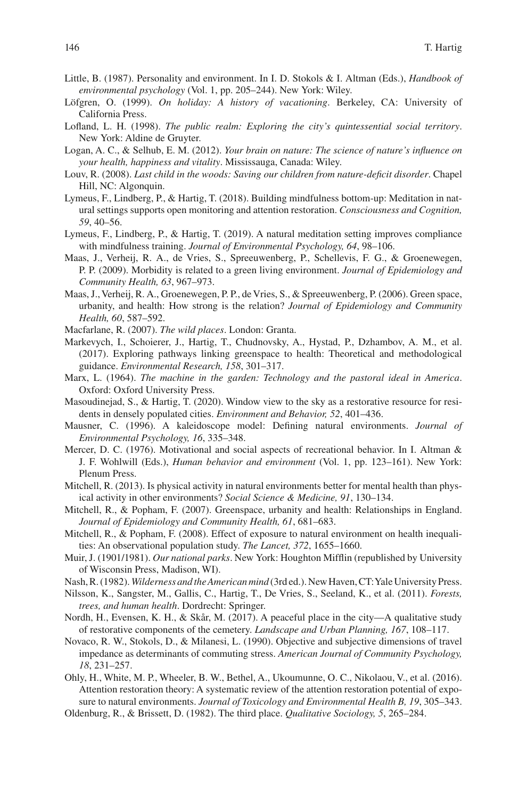- <span id="page-57-20"></span>Little, B. (1987). Personality and environment. In I. D. Stokols & I. Altman (Eds.), *Handbook of environmental psychology* (Vol. 1, pp. 205–244). New York: Wiley.
- <span id="page-57-2"></span>Löfgren, O. (1999). *On holiday: A history of vacationing*. Berkeley, CA: University of California Press.
- <span id="page-57-13"></span>Lofand, L. H. (1998). *The public realm: Exploring the city's quintessential social territory*. New York: Aldine de Gruyter.
- <span id="page-57-8"></span>Logan, A. C., & Selhub, E. M. (2012). *Your brain on nature: The science of nature's infuence on your health, happiness and vitality*. Mississauga, Canada: Wiley.
- <span id="page-57-9"></span>Louv, R. (2008). *Last child in the woods: Saving our children from nature-defcit disorder*. Chapel Hill, NC: Algonquin.
- <span id="page-57-23"></span>Lymeus, F., Lindberg, P., & Hartig, T. (2018). Building mindfulness bottom-up: Meditation in natural settings supports open monitoring and attention restoration. *Consciousness and Cognition, 59*, 40–56.
- <span id="page-57-24"></span>Lymeus, F., Lindberg, P., & Hartig, T. (2019). A natural meditation setting improves compliance with mindfulness training. *Journal of Environmental Psychology, 64*, 98–106.
- <span id="page-57-11"></span>Maas, J., Verheij, R. A., de Vries, S., Spreeuwenberg, P., Schellevis, F. G., & Groenewegen, P. P. (2009). Morbidity is related to a green living environment. *Journal of Epidemiology and Community Health, 63*, 967–973.
- <span id="page-57-3"></span>Maas, J., Verheij, R. A., Groenewegen, P. P., de Vries, S., & Spreeuwenberg, P. (2006). Green space, urbanity, and health: How strong is the relation? *Journal of Epidemiology and Community Health, 60*, 587–592.
- <span id="page-57-17"></span>Macfarlane, R. (2007). *The wild places*. London: Granta.
- <span id="page-57-6"></span>Markevych, I., Schoierer, J., Hartig, T., Chudnovsky, A., Hystad, P., Dzhambov, A. M., et al. (2017). Exploring pathways linking greenspace to health: Theoretical and methodological guidance. *Environmental Research, 158*, 301–317.
- <span id="page-57-18"></span>Marx, L. (1964). *The machine in the garden: Technology and the pastoral ideal in America*. Oxford: Oxford University Press.
- <span id="page-57-12"></span>Masoudinejad, S., & Hartig, T. (2020). Window view to the sky as a restorative resource for residents in densely populated cities. *Environment and Behavior, 52*, 401–436.
- <span id="page-57-16"></span>Mausner, C. (1996). A kaleidoscope model: Defning natural environments. *Journal of Environmental Psychology, 16*, 335–348.
- <span id="page-57-1"></span>Mercer, D. C. (1976). Motivational and social aspects of recreational behavior. In I. Altman & J. F. Wohlwill (Eds.), *Human behavior and environment* (Vol. 1, pp. 123–161). New York: Plenum Press.
- <span id="page-57-0"></span>Mitchell, R. (2013). Is physical activity in natural environments better for mental health than physical activity in other environments? *Social Science & Medicine, 91*, 130–134.
- <span id="page-57-4"></span>Mitchell, R., & Popham, F. (2007). Greenspace, urbanity and health: Relationships in England. *Journal of Epidemiology and Community Health, 61*, 681–683.
- <span id="page-57-5"></span>Mitchell, R., & Popham, F. (2008). Effect of exposure to natural environment on health inequalities: An observational population study. *The Lancet, 372*, 1655–1660.
- <span id="page-57-15"></span>Muir, J. (1901/1981). *Our national parks*. New York: Houghton Miffin (republished by University of Wisconsin Press, Madison, WI).
- <span id="page-57-19"></span>Nash, R. (1982). *Wilderness and the American mind* (3rd ed.). New Haven, CT: Yale University Press.
- <span id="page-57-7"></span>Nilsson, K., Sangster, M., Gallis, C., Hartig, T., De Vries, S., Seeland, K., et al. (2011). *Forests, trees, and human health*. Dordrecht: Springer.
- <span id="page-57-22"></span>Nordh, H., Evensen, K. H., & Skår, M. (2017). A peaceful place in the city—A qualitative study of restorative components of the cemetery. *Landscape and Urban Planning, 167*, 108–117.
- <span id="page-57-14"></span>Novaco, R. W., Stokols, D., & Milanesi, L. (1990). Objective and subjective dimensions of travel impedance as determinants of commuting stress. *American Journal of Community Psychology, 18*, 231–257.
- <span id="page-57-10"></span>Ohly, H., White, M. P., Wheeler, B. W., Bethel, A., Ukoumunne, O. C., Nikolaou, V., et al. (2016). Attention restoration theory: A systematic review of the attention restoration potential of exposure to natural environments. *Journal of Toxicology and Environmental Health B, 19*, 305–343.
- <span id="page-57-21"></span>Oldenburg, R., & Brissett, D. (1982). The third place. *Qualitative Sociology, 5*, 265–284.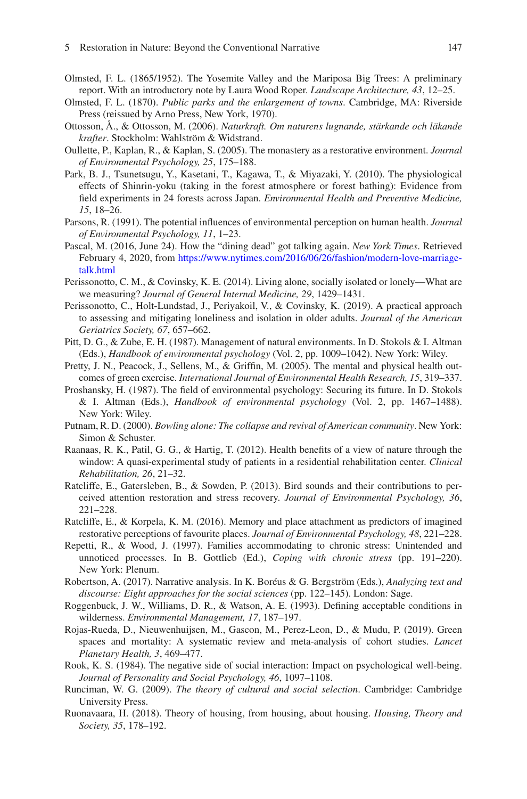- <span id="page-58-12"></span>Olmsted, F. L. (1865/1952). The Yosemite Valley and the Mariposa Big Trees: A preliminary report. With an introductory note by Laura Wood Roper. *Landscape Architecture, 43*, 12–25.
- <span id="page-58-1"></span>Olmsted, F. L. (1870). *Public parks and the enlargement of towns*. Cambridge, MA: Riverside Press (reissued by Arno Press, New York, 1970).
- <span id="page-58-4"></span>Ottosson, Å., & Ottosson, M. (2006). *Naturkraft. Om naturens lugnande, stärkande och läkande krafter*. Stockholm: Wahlström & Widstrand.
- <span id="page-58-21"></span>Oullette, P., Kaplan, R., & Kaplan, S. (2005). The monastery as a restorative environment. *Journal of Environmental Psychology, 25*, 175–188.
- <span id="page-58-15"></span>Park, B. J., Tsunetsugu, Y., Kasetani, T., Kagawa, T., & Miyazaki, Y. (2010). The physiological effects of Shinrin-yoku (taking in the forest atmosphere or forest bathing): Evidence from feld experiments in 24 forests across Japan. *Environmental Health and Preventive Medicine, 15*, 18–26.
- <span id="page-58-13"></span>Parsons, R. (1991). The potential infuences of environmental perception on human health. *Journal of Environmental Psychology, 11*, 1–23.
- <span id="page-58-5"></span>Pascal, M. (2016, June 24). How the "dining dead" got talking again. *New York Times*. Retrieved February 4, 2020, from [https://www.nytimes.com/2016/06/26/fashion/modern-love-marriage](https://www.nytimes.com/2016/06/26/fashion/modern-love-marriage-talk.html)[talk.html](https://www.nytimes.com/2016/06/26/fashion/modern-love-marriage-talk.html)
- <span id="page-58-19"></span>Perissonotto, C. M., & Covinsky, K. E. (2014). Living alone, socially isolated or lonely—What are we measuring? *Journal of General Internal Medicine, 29*, 1429–1431.
- <span id="page-58-20"></span>Perissonotto, C., Holt-Lundstad, J., Periyakoil, V., & Covinsky, K. (2019). A practical approach to assessing and mitigating loneliness and isolation in older adults. *Journal of the American Geriatrics Society, 67*, 657–662.
- <span id="page-58-16"></span>Pitt, D. G., & Zube, E. H. (1987). Management of natural environments. In D. Stokols & I. Altman (Eds.), *Handbook of environmental psychology* (Vol. 2, pp. 1009–1042). New York: Wiley.
- <span id="page-58-0"></span>Pretty, J. N., Peacock, J., Sellens, M., & Griffn, M. (2005). The mental and physical health outcomes of green exercise. *International Journal of Environmental Health Research, 15*, 319–337.
- <span id="page-58-17"></span>Proshansky, H. (1987). The feld of environmental psychology: Securing its future. In D. Stokols & I. Altman (Eds.), *Handbook of environmental psychology* (Vol. 2, pp. 1467–1488). New York: Wiley.
- <span id="page-58-10"></span>Putnam, R. D. (2000). *Bowling alone: The collapse and revival of American community*. New York: Simon & Schuster.
- <span id="page-58-6"></span>Raanaas, R. K., Patil, G. G., & Hartig, T. (2012). Health benefts of a view of nature through the window: A quasi-experimental study of patients in a residential rehabilitation center. *Clinical Rehabilitation, 26*, 21–32.
- <span id="page-58-22"></span>Ratcliffe, E., Gatersleben, B., & Sowden, P. (2013). Bird sounds and their contributions to perceived attention restoration and stress recovery. *Journal of Environmental Psychology, 36*, 221–228.
- <span id="page-58-9"></span>Ratcliffe, E., & Korpela, K. M. (2016). Memory and place attachment as predictors of imagined restorative perceptions of favourite places. *Journal of Environmental Psychology, 48*, 221–228.
- <span id="page-58-8"></span>Repetti, R., & Wood, J. (1997). Families accommodating to chronic stress: Unintended and unnoticed processes. In B. Gottlieb (Ed.), *Coping with chronic stress* (pp. 191–220). New York: Plenum.
- <span id="page-58-7"></span>Robertson, A. (2017). Narrative analysis. In K. Boréus & G. Bergström (Eds.), *Analyzing text and discourse: Eight approaches for the social sciences* (pp. 122–145). London: Sage.
- <span id="page-58-11"></span>Roggenbuck, J. W., Williams, D. R., & Watson, A. E. (1993). Defning acceptable conditions in wilderness. *Environmental Management, 17*, 187–197.
- <span id="page-58-2"></span>Rojas-Rueda, D., Nieuwenhuijsen, M., Gascon, M., Perez-Leon, D., & Mudu, P. (2019). Green spaces and mortality: A systematic review and meta-analysis of cohort studies. *Lancet Planetary Health, 3*, 469–477.
- <span id="page-58-18"></span>Rook, K. S. (1984). The negative side of social interaction: Impact on psychological well-being. *Journal of Personality and Social Psychology, 46*, 1097–1108.
- <span id="page-58-14"></span>Runciman, W. G. (2009). *The theory of cultural and social selection*. Cambridge: Cambridge University Press.
- <span id="page-58-3"></span>Ruonavaara, H. (2018). Theory of housing, from housing, about housing. *Housing, Theory and Society, 35*, 178–192.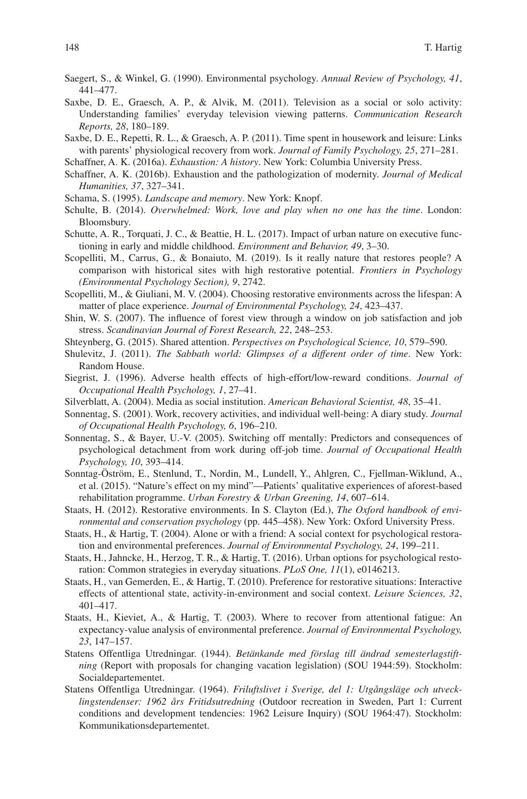- <span id="page-59-1"></span>Saegert, S., & Winkel, G. (1990). Environmental psychology. *Annual Review of Psychology, 41*, 441–477.
- <span id="page-59-12"></span>Saxbe, D. E., Graesch, A. P., & Alvik, M. (2011). Television as a social or solo activity: Understanding families' everyday television viewing patterns. *Communication Research Reports, 28*, 180–189.
- <span id="page-59-13"></span>Saxbe, D. E., Repetti, R. L., & Graesch, A. P. (2011). Time spent in housework and leisure: Links with parents' physiological recovery from work. *Journal of Family Psychology, 25*, 271–281.
- <span id="page-59-20"></span>Schaffner, A. K. (2016a). *Exhaustion: A history*. New York: Columbia University Press.
- <span id="page-59-21"></span>Schaffner, A. K. (2016b). Exhaustion and the pathologization of modernity. *Journal of Medical Humanities, 37*, 327–341.
- <span id="page-59-22"></span>Schama, S. (1995). *Landscape and memory*. New York: Knopf.
- <span id="page-59-6"></span>Schulte, B. (2014). *Overwhelmed: Work, love and play when no one has the time*. London: Bloomsbury.
- <span id="page-59-3"></span>Schutte, A. R., Torquati, J. C., & Beattie, H. L. (2017). Impact of urban nature on executive functioning in early and middle childhood. *Environment and Behavior, 49*, 3–30.
- <span id="page-59-23"></span>Scopelliti, M., Carrus, G., & Bonaiuto, M. (2019). Is it really nature that restores people? A comparison with historical sites with high restorative potential. *Frontiers in Psychology (Environmental Psychology Section), 9*, 2742.
- <span id="page-59-24"></span>Scopelliti, M., & Giuliani, M. V. (2004). Choosing restorative environments across the lifespan: A matter of place experience. *Journal of Environmental Psychology, 24*, 423–437.
- <span id="page-59-5"></span>Shin, W. S. (2007). The infuence of forest view through a window on job satisfaction and job stress. *Scandinavian Journal of Forest Research, 22*, 248–253.
- <span id="page-59-11"></span>Shteynberg, G. (2015). Shared attention. *Perspectives on Psychological Science, 10*, 579–590.
- <span id="page-59-17"></span>Shulevitz, J. (2011). *The Sabbath world: Glimpses of a different order of time*. New York: Random House.
- <span id="page-59-8"></span>Siegrist, J. (1996). Adverse health effects of high-effort/low-reward conditions. *Journal of Occupational Health Psychology, 1*, 27–41.
- <span id="page-59-16"></span>Silverblatt, A. (2004). Media as social institution. *American Behavioral Scientist, 48*, 35–41.
- <span id="page-59-14"></span>Sonnentag, S. (2001). Work, recovery activities, and individual well-being: A diary study. *Journal of Occupational Health Psychology, 6*, 196–210.
- <span id="page-59-15"></span>Sonnentag, S., & Bayer, U.-V. (2005). Switching off mentally: Predictors and consequences of psychological detachment from work during off-job time. *Journal of Occupational Health Psychology, 10*, 393–414.
- <span id="page-59-4"></span>Sonntag-Öström, E., Stenlund, T., Nordin, M., Lundell, Y., Ahlgren, C., Fjellman-Wiklund, A., et al. (2015). "Nature's effect on my mind"—Patients' qualitative experiences of aforest-based rehabilitation programme. *Urban Forestry & Urban Greening, 14*, 607–614.
- <span id="page-59-9"></span>Staats, H. (2012). Restorative environments. In S. Clayton (Ed.), *The Oxford handbook of environmental and conservation psychology* (pp. 445–458). New York: Oxford University Press.
- <span id="page-59-7"></span>Staats, H., & Hartig, T. (2004). Alone or with a friend: A social context for psychological restoration and environmental preferences. *Journal of Environmental Psychology, 24*, 199–211.
- <span id="page-59-2"></span>Staats, H., Jahncke, H., Herzog, T. R., & Hartig, T. (2016). Urban options for psychological restoration: Common strategies in everyday situations. *PLoS One, 11*(1), e0146213.
- <span id="page-59-10"></span>Staats, H., van Gemerden, E., & Hartig, T. (2010). Preference for restorative situations: Interactive effects of attentional state, activity-in-environment and social context. *Leisure Sciences, 32*, 401–417.
- <span id="page-59-0"></span>Staats, H., Kieviet, A., & Hartig, T. (2003). Where to recover from attentional fatigue: An expectancy-value analysis of environmental preference. *Journal of Environmental Psychology, 23*, 147–157.
- <span id="page-59-18"></span>Statens Offentliga Utredningar. (1944). *Betänkande med förslag till ändrad semesterlagstiftning* (Report with proposals for changing vacation legislation) (SOU 1944:59). Stockholm: Socialdepartementet.
- <span id="page-59-19"></span>Statens Offentliga Utredningar. (1964). *Friluftslivet i Sverige, del 1: Utgångsläge och utvecklingstendenser: 1962 års Fritidsutredning* (Outdoor recreation in Sweden, Part 1: Current conditions and development tendencies: 1962 Leisure Inquiry) (SOU 1964:47). Stockholm: Kommunikationsdepartementet.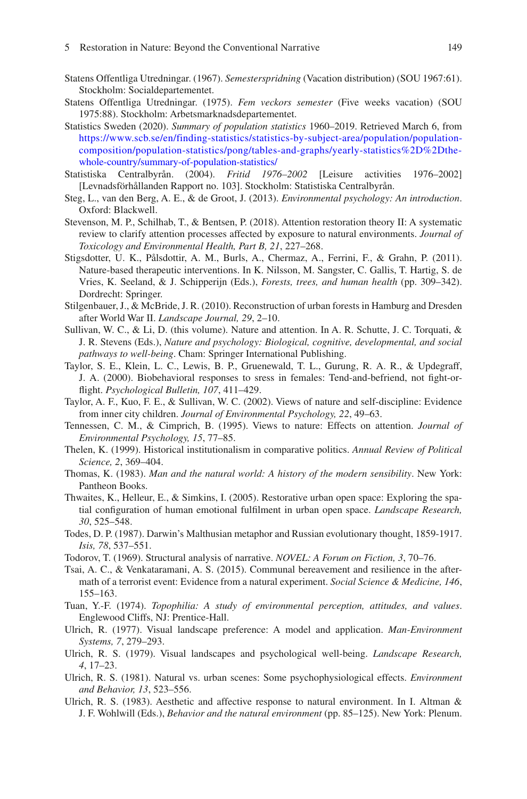- <span id="page-60-11"></span>Statens Offentliga Utredningar. (1967). *Semesterspridning* (Vacation distribution) (SOU 1967:61). Stockholm: Socialdepartementet.
- <span id="page-60-12"></span>Statens Offentliga Utredningar. (1975). *Fem veckors semester* (Five weeks vacation) (SOU 1975:88). Stockholm: Arbetsmarknadsdepartementet.
- <span id="page-60-10"></span>Statistics Sweden (2020). *Summary of population statistics* 1960–2019. Retrieved March 6, from [https://www.scb.se/en/finding-statistics/statistics-by-subject-area/population/population](https://www.scb.se/en/finding-statistics/statistics-by-subject-area/population/population-composition/population-statistics/pong/tables-and-graphs/yearly-statistics--the-whole-country/summary-of-population-statistics/)[composition/population-statistics/pong/tables-and-graphs/yearly-statistics%2D%2Dthe](https://www.scb.se/en/finding-statistics/statistics-by-subject-area/population/population-composition/population-statistics/pong/tables-and-graphs/yearly-statistics--the-whole-country/summary-of-population-statistics/)[whole-country/summary-of-population-statistics/](https://www.scb.se/en/finding-statistics/statistics-by-subject-area/population/population-composition/population-statistics/pong/tables-and-graphs/yearly-statistics--the-whole-country/summary-of-population-statistics/)
- <span id="page-60-13"></span>Statistiska Centralbyrån. (2004). *Fritid 1976–2002* [Leisure activities 1976–2002] [Levnadsförhållanden Rapport no. 103]. Stockholm: Statistiska Centralbyrån.
- <span id="page-60-6"></span>Steg, L., van den Berg, A. E., & de Groot, J. (2013). *Environmental psychology: An introduction*. Oxford: Blackwell.
- <span id="page-60-1"></span>Stevenson, M. P., Schilhab, T., & Bentsen, P. (2018). Attention restoration theory II: A systematic review to clarify attention processes affected by exposure to natural environments. *Journal of Toxicology and Environmental Health, Part B, 21*, 227–268.
- <span id="page-60-21"></span>Stigsdotter, U. K., Pålsdottir, A. M., Burls, A., Chermaz, A., Ferrini, F., & Grahn, P. (2011). Nature-based therapeutic interventions. In K. Nilsson, M. Sangster, C. Gallis, T. Hartig, S. de Vries, K. Seeland, & J. Schipperijn (Eds.), *Forests, trees, and human health* (pp. 309–342). Dordrecht: Springer.
- <span id="page-60-19"></span>Stilgenbauer, J., & McBride, J. R. (2010). Reconstruction of urban forests in Hamburg and Dresden after World War II. *Landscape Journal, 29*, 2–10.
- Sullivan, W. C., & Li, D. (this volume). Nature and attention. In A. R. Schutte, J. C. Torquati, & J. R. Stevens (Eds.), *Nature and psychology: Biological, cognitive, developmental, and social pathways to well-being*. Cham: Springer International Publishing.
- <span id="page-60-14"></span>Taylor, S. E., Klein, L. C., Lewis, B. P., Gruenewald, T. L., Gurung, R. A. R., & Updegraff, J. A. (2000). Biobehavioral responses to sress in females: Tend-and-befriend, not fght-orfight. *Psychological Bulletin, 107*, 411–429.
- <span id="page-60-7"></span>Taylor, A. F., Kuo, F. E., & Sullivan, W. C. (2002). Views of nature and self-discipline: Evidence from inner city children. *Journal of Environmental Psychology, 22*, 49–63.
- <span id="page-60-5"></span>Tennessen, C. M., & Cimprich, B. (1995). Views to nature: Effects on attention. *Journal of Environmental Psychology, 15*, 77–85.
- <span id="page-60-16"></span>Thelen, K. (1999). Historical institutionalism in comparative politics. *Annual Review of Political Science, 2*, 369–404.
- <span id="page-60-17"></span>Thomas, K. (1983). *Man and the natural world: A history of the modern sensibility*. New York: Pantheon Books.
- <span id="page-60-20"></span>Thwaites, K., Helleur, E., & Simkins, I. (2005). Restorative urban open space: Exploring the spatial confguration of human emotional fulflment in urban open space. *Landscape Research, 30*, 525–548.
- <span id="page-60-15"></span>Todes, D. P. (1987). Darwin's Malthusian metaphor and Russian evolutionary thought, 1859-1917. *Isis, 78*, 537–551.
- <span id="page-60-8"></span>Todorov, T. (1969). Structural analysis of narrative. *NOVEL: A Forum on Fiction, 3*, 70–76.
- <span id="page-60-9"></span>Tsai, A. C., & Venkataramani, A. S. (2015). Communal bereavement and resilience in the aftermath of a terrorist event: Evidence from a natural experiment. *Social Science & Medicine, 146*, 155–163.
- <span id="page-60-18"></span>Tuan, Y.-F. (1974). *Topophilia: A study of environmental perception, attitudes, and values*. Englewood Cliffs, NJ: Prentice-Hall.
- <span id="page-60-3"></span>Ulrich, R. (1977). Visual landscape preference: A model and application. *Man-Environment Systems, 7*, 279–293.
- <span id="page-60-0"></span>Ulrich, R. S. (1979). Visual landscapes and psychological well-being. *Landscape Research, 4*, 17–23.
- <span id="page-60-4"></span>Ulrich, R. S. (1981). Natural vs. urban scenes: Some psychophysiological effects. *Environment and Behavior, 13*, 523–556.
- <span id="page-60-2"></span>Ulrich, R. S. (1983). Aesthetic and affective response to natural environment. In I. Altman  $\&$ J. F. Wohlwill (Eds.), *Behavior and the natural environment* (pp. 85–125). New York: Plenum.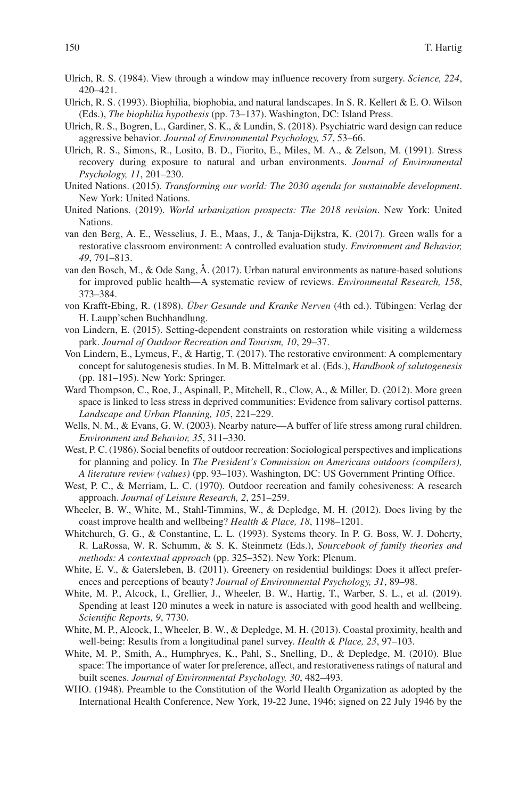- <span id="page-61-12"></span>Ulrich, R. S. (1984). View through a window may infuence recovery from surgery. *Science, 224*, 420–421.
- <span id="page-61-8"></span>Ulrich, R. S. (1993). Biophilia, biophobia, and natural landscapes. In S. R. Kellert & E. O. Wilson (Eds.), *The biophilia hypothesis* (pp. 73–137). Washington, DC: Island Press.
- <span id="page-61-20"></span>Ulrich, R. S., Bogren, L., Gardiner, S. K., & Lundin, S. (2018). Psychiatric ward design can reduce aggressive behavior. *Journal of Environmental Psychology, 57*, 53–66.
- <span id="page-61-9"></span>Ulrich, R. S., Simons, R., Losito, B. D., Fiorito, E., Miles, M. A., & Zelson, M. (1991). Stress recovery during exposure to natural and urban environments. *Journal of Environmental Psychology, 11*, 201–230.
- <span id="page-61-5"></span>United Nations. (2015). *Transforming our world: The 2030 agenda for sustainable development*. New York: United Nations.
- <span id="page-61-0"></span>United Nations. (2019). *World urbanization prospects: The 2018 revision*. New York: United Nations.
- <span id="page-61-19"></span>van den Berg, A. E., Wesselius, J. E., Maas, J., & Tanja-Dijkstra, K. (2017). Green walls for a restorative classroom environment: A controlled evaluation study. *Environment and Behavior, 49*, 791–813.
- <span id="page-61-10"></span>van den Bosch, M., & Ode Sang, Å. (2017). Urban natural environments as nature-based solutions for improved public health—A systematic review of reviews. *Environmental Research, 158*, 373–384.
- <span id="page-61-16"></span>von Krafft-Ebing, R. (1898). *Über Gesunde und Kranke Nerven* (4th ed.). Tübingen: Verlag der H. Laupp'schen Buchhandlung.
- <span id="page-61-7"></span>von Lindern, E. (2015). Setting-dependent constraints on restoration while visiting a wilderness park. *Journal of Outdoor Recreation and Tourism, 10*, 29–37.
- <span id="page-61-6"></span>Von Lindern, E., Lymeus, F., & Hartig, T. (2017). The restorative environment: A complementary concept for salutogenesis studies. In M. B. Mittelmark et al. (Eds.), *Handbook of salutogenesis* (pp. 181–195). New York: Springer.
- <span id="page-61-11"></span>Ward Thompson, C., Roe, J., Aspinall, P., Mitchell, R., Clow, A., & Miller, D. (2012). More green space is linked to less stress in deprived communities: Evidence from salivary cortisol patterns. *Landscape and Urban Planning, 105*, 221–229.
- <span id="page-61-21"></span>Wells, N. M., & Evans, G. W. (2003). Nearby nature—A buffer of life stress among rural children. *Environment and Behavior, 35*, 311–330.
- <span id="page-61-14"></span>West, P. C. (1986). Social benefits of outdoor recreation: Sociological perspectives and implications for planning and policy. In *The President's Commission on Americans outdoors (compilers), A literature review (values)* (pp. 93–103). Washington, DC: US Government Printing Offce.
- <span id="page-61-15"></span>West, P. C., & Merriam, L. C. (1970). Outdoor recreation and family cohesiveness: A research approach. *Journal of Leisure Research, 2*, 251–259.
- <span id="page-61-1"></span>Wheeler, B. W., White, M., Stahl-Timmins, W., & Depledge, M. H. (2012). Does living by the coast improve health and wellbeing? *Health & Place, 18*, 1198–1201.
- <span id="page-61-13"></span>Whitchurch, G. G., & Constantine, L. L. (1993). Systems theory. In P. G. Boss, W. J. Doherty, R. LaRossa, W. R. Schumm, & S. K. Steinmetz (Eds.), *Sourcebook of family theories and methods: A contextual approach* (pp. 325–352). New York: Plenum.
- <span id="page-61-18"></span>White, E. V., & Gatersleben, B. (2011). Greenery on residential buildings: Does it affect preferences and perceptions of beauty? *Journal of Environmental Psychology, 31*, 89–98.
- <span id="page-61-3"></span>White, M. P., Alcock, I., Grellier, J., Wheeler, B. W., Hartig, T., Warber, S. L., et al. (2019). Spending at least 120 minutes a week in nature is associated with good health and wellbeing. *Scientifc Reports, 9*, 7730.
- <span id="page-61-4"></span>White, M. P., Alcock, I., Wheeler, B. W., & Depledge, M. H. (2013). Coastal proximity, health and well-being: Results from a longitudinal panel survey. *Health & Place, 23*, 97–103.
- <span id="page-61-2"></span>White, M. P., Smith, A., Humphryes, K., Pahl, S., Snelling, D., & Depledge, M. (2010). Blue space: The importance of water for preference, affect, and restorativeness ratings of natural and built scenes. *Journal of Environmental Psychology, 30*, 482–493.
- <span id="page-61-17"></span>WHO. (1948). Preamble to the Constitution of the World Health Organization as adopted by the International Health Conference, New York, 19-22 June, 1946; signed on 22 July 1946 by the